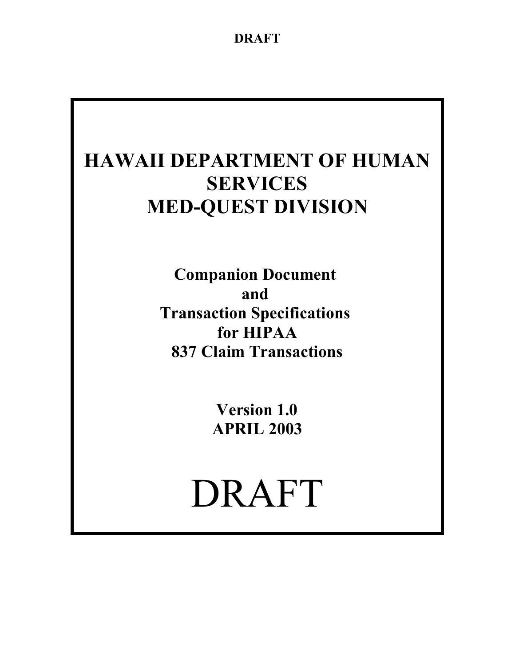# **HAWAII DEPARTMENT OF HUMAN SERVICES MED-QUEST DIVISION**

**Companion Document and Transaction Specifications for HIPAA 837 Claim Transactions**

> **Version 1.0 APRIL 2003**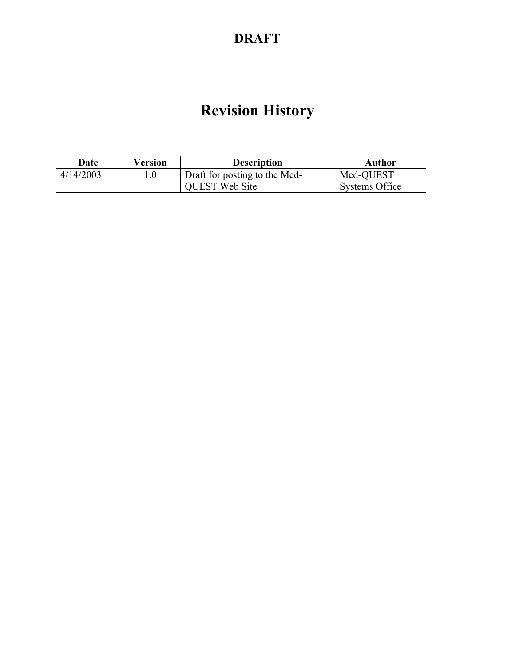# **Revision History**

| Date      | Version | <b>Description</b>            | Author         |
|-----------|---------|-------------------------------|----------------|
| 4/14/2003 |         | Draft for posting to the Med- | Med-QUEST      |
|           |         | <b>QUEST Web Site</b>         | Systems Office |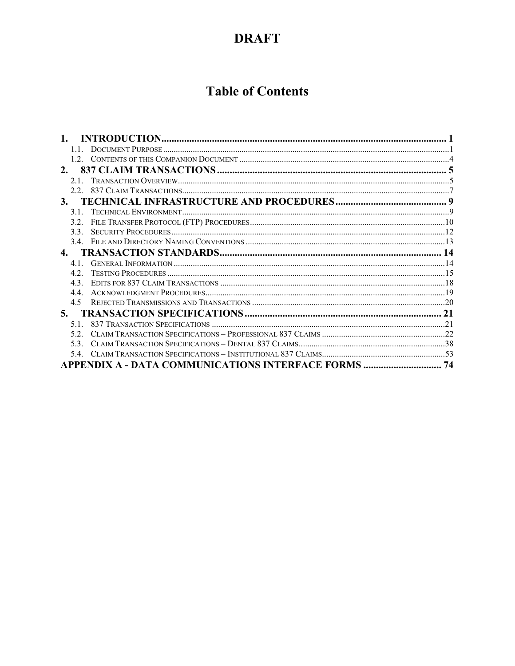# **Table of Contents**

| 2.  |                                                             |  |
|-----|-------------------------------------------------------------|--|
| 2.1 |                                                             |  |
|     |                                                             |  |
|     |                                                             |  |
| 31  |                                                             |  |
| 32  |                                                             |  |
| 33  |                                                             |  |
|     |                                                             |  |
| 4.  |                                                             |  |
| 41  |                                                             |  |
| 42  |                                                             |  |
| 43  |                                                             |  |
| 44  |                                                             |  |
| 4.5 |                                                             |  |
| 5.  |                                                             |  |
| 51  |                                                             |  |
| 52. |                                                             |  |
| 53  |                                                             |  |
|     |                                                             |  |
|     | <b>APPENDIX A - DATA COMMUNICATIONS INTERFACE FORMS  74</b> |  |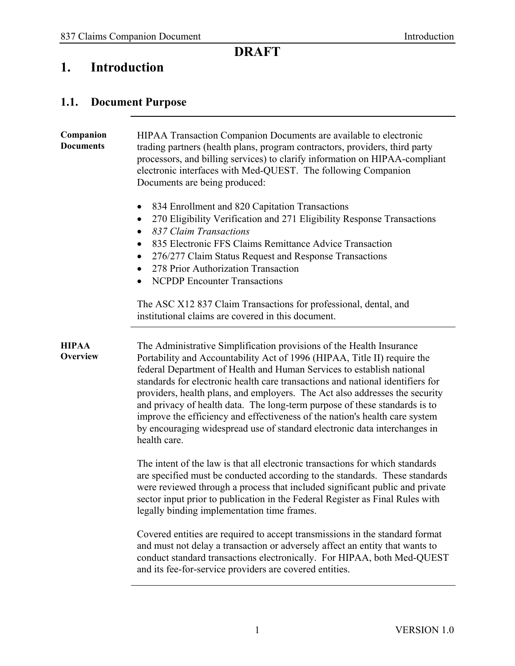# <span id="page-3-0"></span>**1. Introduction**

# <span id="page-3-1"></span>**1.1. Document Purpose**

| Companion<br><b>Documents</b> | HIPAA Transaction Companion Documents are available to electronic<br>trading partners (health plans, program contractors, providers, third party<br>processors, and billing services) to clarify information on HIPAA-compliant<br>electronic interfaces with Med-QUEST. The following Companion<br>Documents are being produced:<br>834 Enrollment and 820 Capitation Transactions<br>270 Eligibility Verification and 271 Eligibility Response Transactions<br>$\bullet$                                                                                                                                                                           |
|-------------------------------|------------------------------------------------------------------------------------------------------------------------------------------------------------------------------------------------------------------------------------------------------------------------------------------------------------------------------------------------------------------------------------------------------------------------------------------------------------------------------------------------------------------------------------------------------------------------------------------------------------------------------------------------------|
|                               | 837 Claim Transactions<br>٠<br>835 Electronic FFS Claims Remittance Advice Transaction<br>٠<br>276/277 Claim Status Request and Response Transactions<br>278 Prior Authorization Transaction<br><b>NCPDP</b> Encounter Transactions<br>$\bullet$                                                                                                                                                                                                                                                                                                                                                                                                     |
|                               | The ASC X12 837 Claim Transactions for professional, dental, and<br>institutional claims are covered in this document.                                                                                                                                                                                                                                                                                                                                                                                                                                                                                                                               |
| <b>HIPAA</b><br>Overview      | The Administrative Simplification provisions of the Health Insurance<br>Portability and Accountability Act of 1996 (HIPAA, Title II) require the<br>federal Department of Health and Human Services to establish national<br>standards for electronic health care transactions and national identifiers for<br>providers, health plans, and employers. The Act also addresses the security<br>and privacy of health data. The long-term purpose of these standards is to<br>improve the efficiency and effectiveness of the nation's health care system<br>by encouraging widespread use of standard electronic data interchanges in<br>health care. |
|                               | The intent of the law is that all electronic transactions for which standards<br>are specified must be conducted according to the standards. These standards<br>were reviewed through a process that included significant public and private<br>sector input prior to publication in the Federal Register as Final Rules with<br>legally binding implementation time frames.                                                                                                                                                                                                                                                                         |
|                               | Covered entities are required to accept transmissions in the standard format<br>and must not delay a transaction or adversely affect an entity that wants to<br>conduct standard transactions electronically. For HIPAA, both Med-QUEST<br>and its fee-for-service providers are covered entities.                                                                                                                                                                                                                                                                                                                                                   |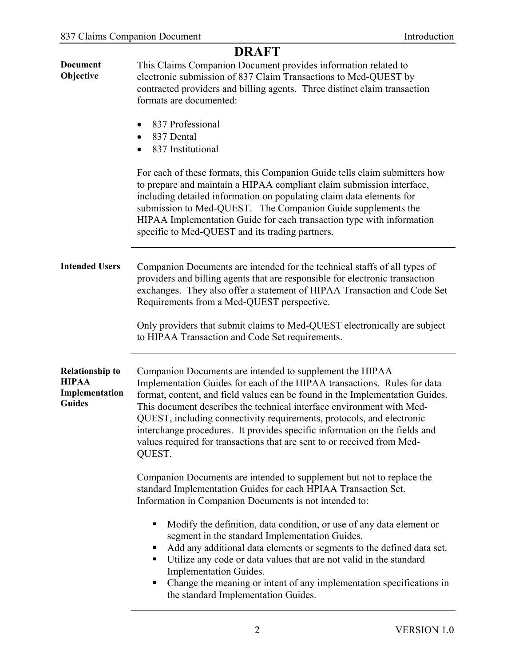|                                                                           | <b>DRAFT</b>                                                                                                                                                                                                                                                                                                                                                                                                                                                                                                                              |
|---------------------------------------------------------------------------|-------------------------------------------------------------------------------------------------------------------------------------------------------------------------------------------------------------------------------------------------------------------------------------------------------------------------------------------------------------------------------------------------------------------------------------------------------------------------------------------------------------------------------------------|
| <b>Document</b><br>Objective                                              | This Claims Companion Document provides information related to<br>electronic submission of 837 Claim Transactions to Med-QUEST by<br>contracted providers and billing agents. Three distinct claim transaction<br>formats are documented:                                                                                                                                                                                                                                                                                                 |
|                                                                           | 837 Professional<br>٠<br>837 Dental<br>$\bullet$<br>837 Institutional                                                                                                                                                                                                                                                                                                                                                                                                                                                                     |
|                                                                           | For each of these formats, this Companion Guide tells claim submitters how<br>to prepare and maintain a HIPAA compliant claim submission interface,<br>including detailed information on populating claim data elements for<br>submission to Med-QUEST. The Companion Guide supplements the<br>HIPAA Implementation Guide for each transaction type with information<br>specific to Med-QUEST and its trading partners.                                                                                                                   |
| <b>Intended Users</b>                                                     | Companion Documents are intended for the technical staffs of all types of<br>providers and billing agents that are responsible for electronic transaction<br>exchanges. They also offer a statement of HIPAA Transaction and Code Set<br>Requirements from a Med-QUEST perspective.                                                                                                                                                                                                                                                       |
|                                                                           | Only providers that submit claims to Med-QUEST electronically are subject<br>to HIPAA Transaction and Code Set requirements.                                                                                                                                                                                                                                                                                                                                                                                                              |
| <b>Relationship to</b><br><b>HIPAA</b><br>Implementation<br><b>Guides</b> | Companion Documents are intended to supplement the HIPAA<br>Implementation Guides for each of the HIPAA transactions. Rules for data<br>format, content, and field values can be found in the Implementation Guides.<br>This document describes the technical interface environment with Med-<br>QUEST, including connectivity requirements, protocols, and electronic<br>interchange procedures. It provides specific information on the fields and<br>values required for transactions that are sent to or received from Med-<br>QUEST. |
|                                                                           | Companion Documents are intended to supplement but not to replace the<br>standard Implementation Guides for each HPIAA Transaction Set.<br>Information in Companion Documents is not intended to:                                                                                                                                                                                                                                                                                                                                         |
|                                                                           | Modify the definition, data condition, or use of any data element or<br>٠<br>segment in the standard Implementation Guides.<br>Add any additional data elements or segments to the defined data set.<br>п<br>Utilize any code or data values that are not valid in the standard<br>п<br>Implementation Guides.<br>Change the meaning or intent of any implementation specifications in<br>п<br>the standard Implementation Guides.                                                                                                        |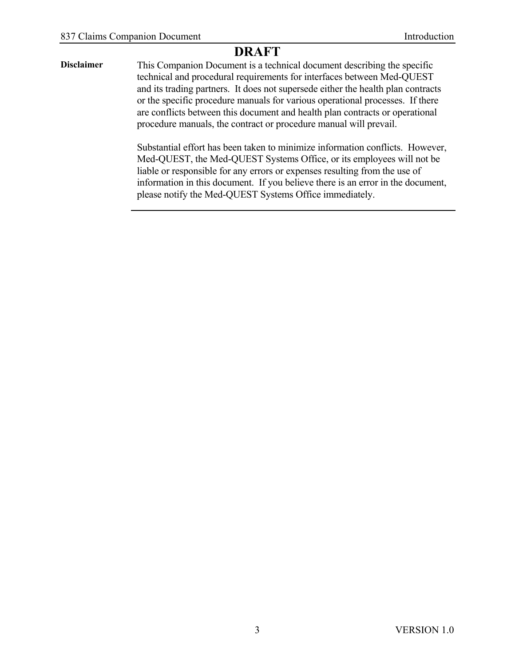**Disclaimer** This Companion Document is a technical document describing the specific technical and procedural requirements for interfaces between Med-QUEST and its trading partners. It does not supersede either the health plan contracts or the specific procedure manuals for various operational processes. If there are conflicts between this document and health plan contracts or operational procedure manuals, the contract or procedure manual will prevail.

> Substantial effort has been taken to minimize information conflicts. However, Med-QUEST, the Med-QUEST Systems Office, or its employees will not be liable or responsible for any errors or expenses resulting from the use of information in this document. If you believe there is an error in the document, please notify the Med-QUEST Systems Office immediately.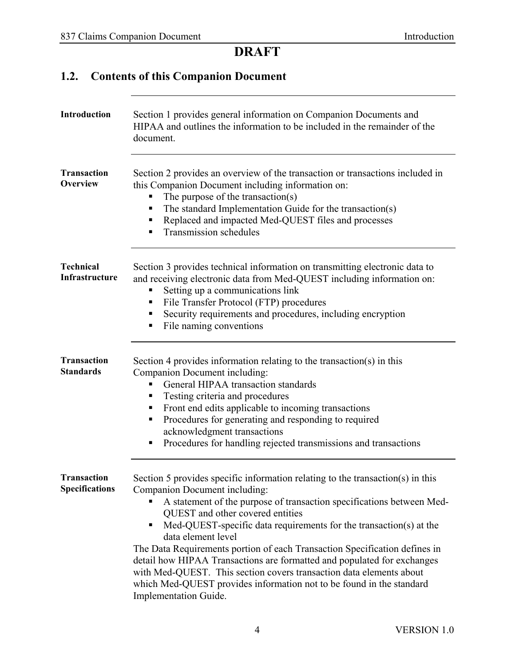# <span id="page-6-0"></span>**1.2. Contents of this Companion Document**

| Introduction                                | Section 1 provides general information on Companion Documents and<br>HIPAA and outlines the information to be included in the remainder of the<br>document.                                                                                                                                                                                                                                                                                                                                                                                                                                                                                                     |
|---------------------------------------------|-----------------------------------------------------------------------------------------------------------------------------------------------------------------------------------------------------------------------------------------------------------------------------------------------------------------------------------------------------------------------------------------------------------------------------------------------------------------------------------------------------------------------------------------------------------------------------------------------------------------------------------------------------------------|
| <b>Transaction</b><br><b>Overview</b>       | Section 2 provides an overview of the transaction or transactions included in<br>this Companion Document including information on:<br>The purpose of the transaction(s)<br>The standard Implementation Guide for the transaction(s)<br>Replaced and impacted Med-QUEST files and processes<br>п<br>Transmission schedules                                                                                                                                                                                                                                                                                                                                       |
| <b>Technical</b><br>Infrastructure          | Section 3 provides technical information on transmitting electronic data to<br>and receiving electronic data from Med-QUEST including information on:<br>Setting up a communications link<br>File Transfer Protocol (FTP) procedures<br>п<br>Security requirements and procedures, including encryption<br>п<br>File naming conventions<br>п                                                                                                                                                                                                                                                                                                                    |
| <b>Transaction</b><br><b>Standards</b>      | Section 4 provides information relating to the transaction(s) in this<br>Companion Document including:<br>General HIPAA transaction standards<br>Testing criteria and procedures<br>п<br>Front end edits applicable to incoming transactions<br>п<br>Procedures for generating and responding to required<br>п<br>acknowledgment transactions<br>Procedures for handling rejected transmissions and transactions                                                                                                                                                                                                                                                |
| <b>Transaction</b><br><b>Specifications</b> | Section 5 provides specific information relating to the transaction(s) in this<br>Companion Document including:<br>A statement of the purpose of transaction specifications between Med-<br>QUEST and other covered entities<br>Med-QUEST-specific data requirements for the transaction(s) at the<br>π.<br>data element level<br>The Data Requirements portion of each Transaction Specification defines in<br>detail how HIPAA Transactions are formatted and populated for exchanges<br>with Med-QUEST. This section covers transaction data elements about<br>which Med-QUEST provides information not to be found in the standard<br>Implementation Guide. |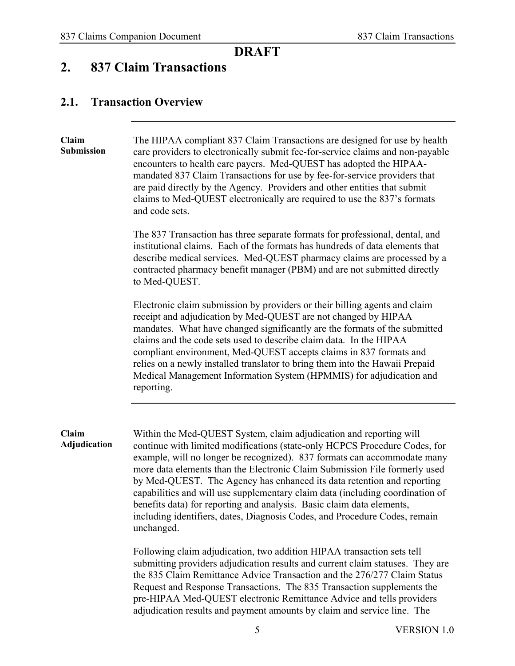#### <span id="page-7-0"></span>**2. 837 Claim Transactions**

#### <span id="page-7-1"></span>**2.1. Transaction Overview**

| Claim<br>Submission   | The HIPAA compliant 837 Claim Transactions are designed for use by health<br>care providers to electronically submit fee-for-service claims and non-payable<br>encounters to health care payers. Med-QUEST has adopted the HIPAA-<br>mandated 837 Claim Transactions for use by fee-for-service providers that<br>are paid directly by the Agency. Providers and other entities that submit<br>claims to Med-QUEST electronically are required to use the 837's formats<br>and code sets.                                                                                                                                                                                                                                                                                                                                                                                                                                                                    |
|-----------------------|--------------------------------------------------------------------------------------------------------------------------------------------------------------------------------------------------------------------------------------------------------------------------------------------------------------------------------------------------------------------------------------------------------------------------------------------------------------------------------------------------------------------------------------------------------------------------------------------------------------------------------------------------------------------------------------------------------------------------------------------------------------------------------------------------------------------------------------------------------------------------------------------------------------------------------------------------------------|
|                       | The 837 Transaction has three separate formats for professional, dental, and<br>institutional claims. Each of the formats has hundreds of data elements that<br>describe medical services. Med-QUEST pharmacy claims are processed by a<br>contracted pharmacy benefit manager (PBM) and are not submitted directly<br>to Med-QUEST.                                                                                                                                                                                                                                                                                                                                                                                                                                                                                                                                                                                                                         |
|                       | Electronic claim submission by providers or their billing agents and claim<br>receipt and adjudication by Med-QUEST are not changed by HIPAA<br>mandates. What have changed significantly are the formats of the submitted<br>claims and the code sets used to describe claim data. In the HIPAA<br>compliant environment, Med-QUEST accepts claims in 837 formats and<br>relies on a newly installed translator to bring them into the Hawaii Prepaid<br>Medical Management Information System (HPMMIS) for adjudication and<br>reporting.                                                                                                                                                                                                                                                                                                                                                                                                                  |
| Claim<br>Adjudication | Within the Med-QUEST System, claim adjudication and reporting will<br>continue with limited modifications (state-only HCPCS Procedure Codes, for<br>example, will no longer be recognized). 837 formats can accommodate many<br>more data elements than the Electronic Claim Submission File formerly used<br>by Med-QUEST. The Agency has enhanced its data retention and reporting<br>capabilities and will use supplementary claim data (including coordination of<br>benefits data) for reporting and analysis. Basic claim data elements,<br>including identifiers, dates, Diagnosis Codes, and Procedure Codes, remain<br>unchanged.<br>Following claim adjudication, two addition HIPAA transaction sets tell<br>submitting providers adjudication results and current claim statuses. They are<br>the 835 Claim Remittance Advice Transaction and the 276/277 Claim Status<br>Request and Response Transactions. The 835 Transaction supplements the |

pre-HIPAA Med-QUEST electronic Remittance Advice and tells providers adjudication results and payment amounts by claim and service line. The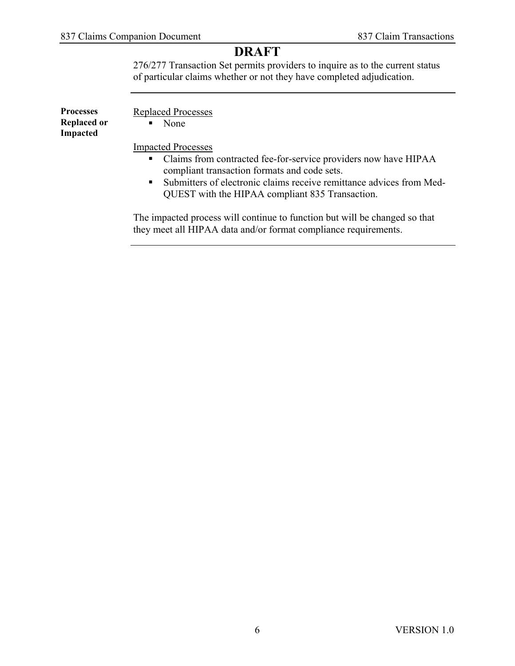276/277 Transaction Set permits providers to inquire as to the current status of particular claims whether or not they have completed adjudication.

| <b>Processes</b><br><b>Replaced or</b><br><b>Impacted</b> | Replaced Processes<br>None<br>$\blacksquare$                           |
|-----------------------------------------------------------|------------------------------------------------------------------------|
|                                                           | <b>Impacted Processes</b>                                              |
|                                                           | • Claims from contracted fee-for-service providers now have HIPAA      |
|                                                           | compliant transaction formats and code sets.                           |
|                                                           | • Submitters of electronic claims receive remittance advices from Med- |
|                                                           | QUEST with the HIPAA compliant 835 Transaction.                        |

The impacted process will continue to function but will be changed so that they meet all HIPAA data and/or format compliance requirements.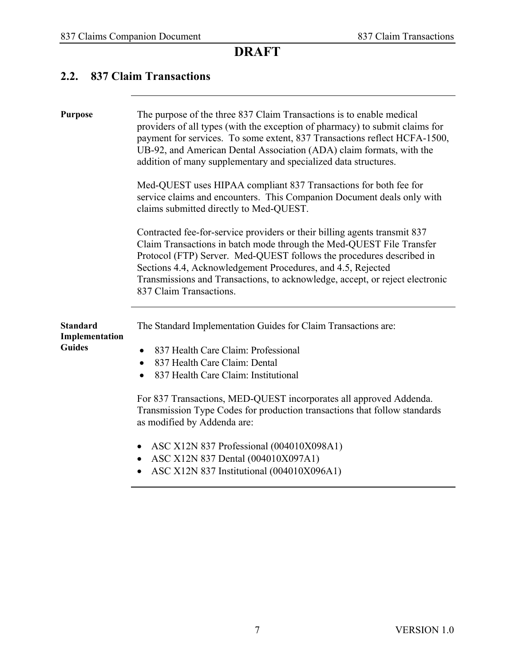#### <span id="page-9-0"></span>**2.2. 837 Claim Transactions**

| <b>Purpose</b>                                     | The purpose of the three 837 Claim Transactions is to enable medical<br>providers of all types (with the exception of pharmacy) to submit claims for<br>payment for services. To some extent, 837 Transactions reflect HCFA-1500,<br>UB-92, and American Dental Association (ADA) claim formats, with the<br>addition of many supplementary and specialized data structures.                                                                                                                                                                        |
|----------------------------------------------------|-----------------------------------------------------------------------------------------------------------------------------------------------------------------------------------------------------------------------------------------------------------------------------------------------------------------------------------------------------------------------------------------------------------------------------------------------------------------------------------------------------------------------------------------------------|
|                                                    | Med-QUEST uses HIPAA compliant 837 Transactions for both fee for<br>service claims and encounters. This Companion Document deals only with<br>claims submitted directly to Med-QUEST.                                                                                                                                                                                                                                                                                                                                                               |
|                                                    | Contracted fee-for-service providers or their billing agents transmit 837<br>Claim Transactions in batch mode through the Med-QUEST File Transfer<br>Protocol (FTP) Server. Med-QUEST follows the procedures described in<br>Sections 4.4, Acknowledgement Procedures, and 4.5, Rejected<br>Transmissions and Transactions, to acknowledge, accept, or reject electronic<br>837 Claim Transactions.                                                                                                                                                 |
| <b>Standard</b><br>Implementation<br><b>Guides</b> | The Standard Implementation Guides for Claim Transactions are:<br>837 Health Care Claim: Professional<br>$\bullet$<br>837 Health Care Claim: Dental<br>$\bullet$<br>837 Health Care Claim: Institutional<br>$\bullet$<br>For 837 Transactions, MED-QUEST incorporates all approved Addenda.<br>Transmission Type Codes for production transactions that follow standards<br>as modified by Addenda are:<br>ASC X12N 837 Professional (004010X098A1)<br>$\bullet$<br>ASC X12N 837 Dental (004010X097A1)<br>ASC X12N 837 Institutional (004010X096A1) |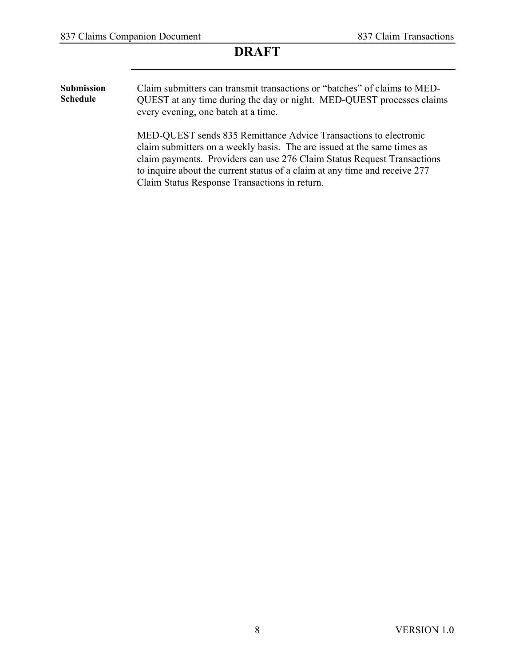**Submission Schedule** Claim submitters can transmit transactions or "batches" of claims to MED-QUEST at any time during the day or night. MED-QUEST processes claims every evening, one batch at a time.

> MED-QUEST sends 835 Remittance Advice Transactions to electronic claim submitters on a weekly basis. The are issued at the same times as claim payments. Providers can use 276 Claim Status Request Transactions to inquire about the current status of a claim at any time and receive 277 Claim Status Response Transactions in return.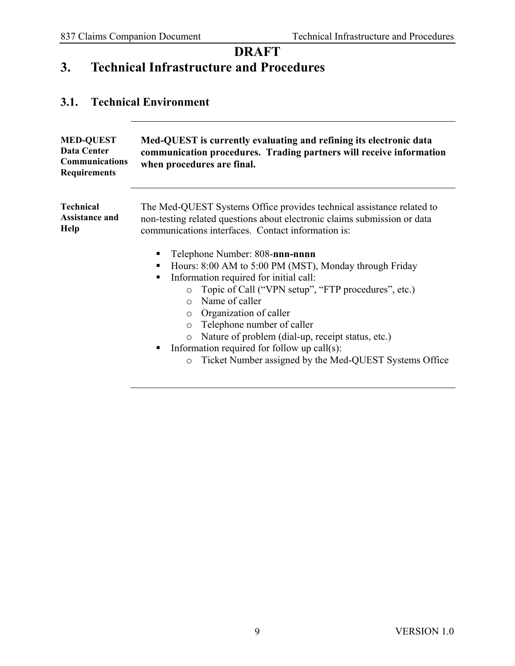# <span id="page-11-0"></span>**DRAFT 3. Technical Infrastructure and Procedures**

#### <span id="page-11-1"></span>**3.1. Technical Environment**

| <b>MED-QUEST</b><br><b>Data Center</b><br><b>Communications</b><br><b>Requirements</b> | Med-QUEST is currently evaluating and refining its electronic data<br>communication procedures. Trading partners will receive information<br>when procedures are final.                                                                                                                                                                                                                                               |
|----------------------------------------------------------------------------------------|-----------------------------------------------------------------------------------------------------------------------------------------------------------------------------------------------------------------------------------------------------------------------------------------------------------------------------------------------------------------------------------------------------------------------|
| <b>Technical</b><br><b>Assistance and</b><br>Help                                      | The Med-QUEST Systems Office provides technical assistance related to<br>non-testing related questions about electronic claims submission or data<br>communications interfaces. Contact information is:<br>Telephone Number: 808-nnn-nnnn<br>٠<br>Hours: 8:00 AM to 5:00 PM (MST), Monday through Friday<br>п                                                                                                         |
|                                                                                        | Information required for initial call:<br>٠<br>Topic of Call ("VPN setup", "FTP procedures", etc.)<br>$\circ$<br>Name of caller<br>$\Omega$<br>Organization of caller<br>$\circ$<br>Telephone number of caller<br>$\circ$<br>Nature of problem (dial-up, receipt status, etc.)<br>$\circ$<br>Information required for follow up $call(s)$ :<br>п<br>Ticket Number assigned by the Med-QUEST Systems Office<br>$\circ$ |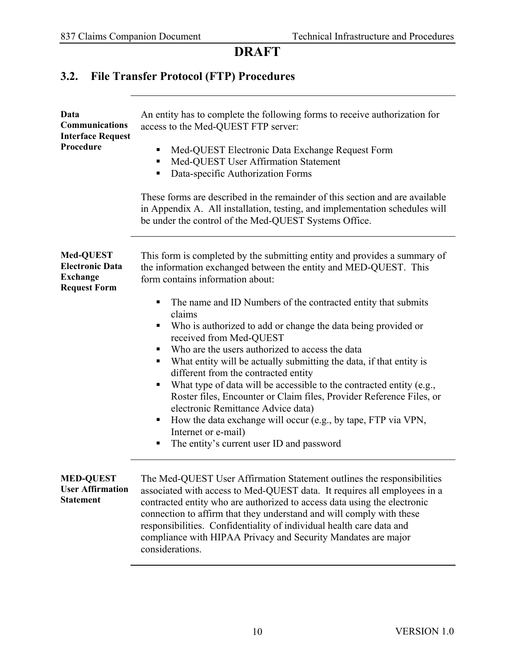# <span id="page-12-0"></span>**3.2. File Transfer Protocol (FTP) Procedures**

| Data<br>Communications<br><b>Interface Request</b><br>Procedure               | An entity has to complete the following forms to receive authorization for<br>access to the Med-QUEST FTP server:<br>Med-QUEST Electronic Data Exchange Request Form<br>Med-QUEST User Affirmation Statement<br>Data-specific Authorization Forms<br>п<br>These forms are described in the remainder of this section and are available<br>in Appendix A. All installation, testing, and implementation schedules will<br>be under the control of the Med-QUEST Systems Office.                                                                                                                                                                                                                                                                                                                                                                        |
|-------------------------------------------------------------------------------|-------------------------------------------------------------------------------------------------------------------------------------------------------------------------------------------------------------------------------------------------------------------------------------------------------------------------------------------------------------------------------------------------------------------------------------------------------------------------------------------------------------------------------------------------------------------------------------------------------------------------------------------------------------------------------------------------------------------------------------------------------------------------------------------------------------------------------------------------------|
| Med-QUEST<br><b>Electronic Data</b><br><b>Exchange</b><br><b>Request Form</b> | This form is completed by the submitting entity and provides a summary of<br>the information exchanged between the entity and MED-QUEST. This<br>form contains information about:<br>The name and ID Numbers of the contracted entity that submits<br>claims<br>Who is authorized to add or change the data being provided or<br>received from Med-QUEST<br>Who are the users authorized to access the data<br>What entity will be actually submitting the data, if that entity is<br>different from the contracted entity<br>What type of data will be accessible to the contracted entity (e.g.,<br>Roster files, Encounter or Claim files, Provider Reference Files, or<br>electronic Remittance Advice data)<br>How the data exchange will occur (e.g., by tape, FTP via VPN,<br>Internet or e-mail)<br>The entity's current user ID and password |
| <b>MED-QUEST</b><br><b>User Affirmation</b><br><b>Statement</b>               | The Med-QUEST User Affirmation Statement outlines the responsibilities<br>associated with access to Med-QUEST data. It requires all employees in a<br>contracted entity who are authorized to access data using the electronic<br>connection to affirm that they understand and will comply with these<br>responsibilities. Confidentiality of individual health care data and<br>compliance with HIPAA Privacy and Security Mandates are major<br>considerations.                                                                                                                                                                                                                                                                                                                                                                                    |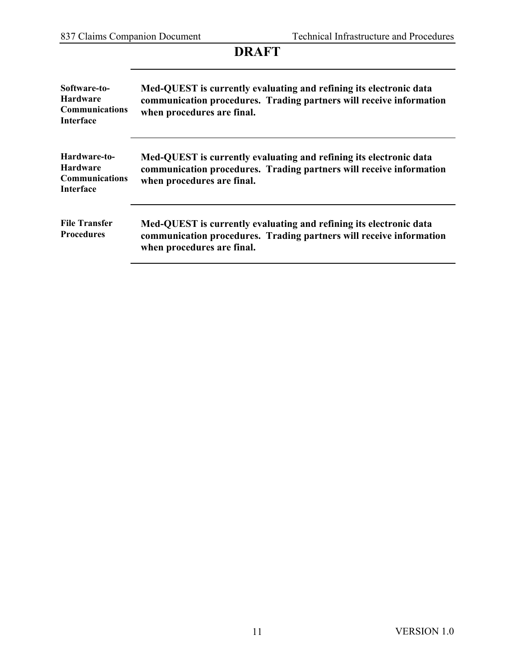| <b>DRAFT</b>                                                                 |                                                                                                                                                                         |
|------------------------------------------------------------------------------|-------------------------------------------------------------------------------------------------------------------------------------------------------------------------|
| Software-to-<br><b>Hardware</b><br><b>Communications</b><br>Interface        | Med-QUEST is currently evaluating and refining its electronic data<br>communication procedures. Trading partners will receive information<br>when procedures are final. |
| Hardware-to-<br><b>Hardware</b><br><b>Communications</b><br><b>Interface</b> | Med-QUEST is currently evaluating and refining its electronic data<br>communication procedures. Trading partners will receive information<br>when procedures are final. |
| <b>File Transfer</b><br><b>Procedures</b>                                    | Med-QUEST is currently evaluating and refining its electronic data<br>communication procedures. Trading partners will receive information<br>when procedures are final. |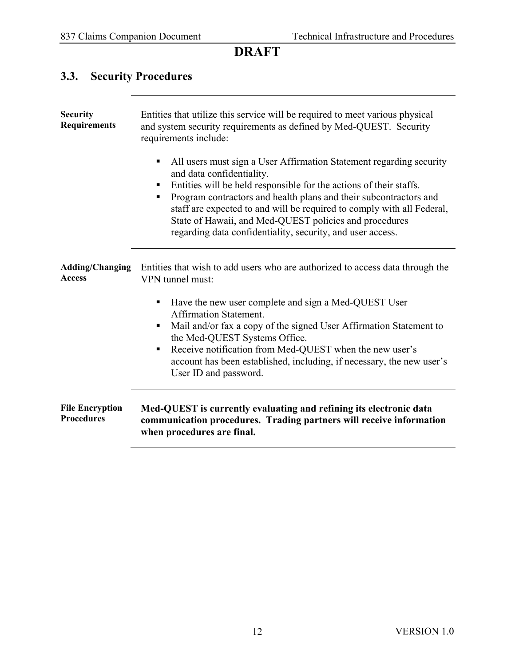# <span id="page-14-0"></span>**3.3. Security Procedures**

| <b>Security</b><br><b>Requirements</b>      | Entities that utilize this service will be required to meet various physical<br>and system security requirements as defined by Med-QUEST. Security<br>requirements include:                                                                                                                                                                                                                                                                                  |  |
|---------------------------------------------|--------------------------------------------------------------------------------------------------------------------------------------------------------------------------------------------------------------------------------------------------------------------------------------------------------------------------------------------------------------------------------------------------------------------------------------------------------------|--|
|                                             | All users must sign a User Affirmation Statement regarding security<br>Ξ<br>and data confidentiality.<br>Entities will be held responsible for the actions of their staffs.<br>п<br>Program contractors and health plans and their subcontractors and<br>п<br>staff are expected to and will be required to comply with all Federal,<br>State of Hawaii, and Med-QUEST policies and procedures<br>regarding data confidentiality, security, and user access. |  |
| <b>Adding/Changing</b><br><b>Access</b>     | Entities that wish to add users who are authorized to access data through the<br>VPN tunnel must:                                                                                                                                                                                                                                                                                                                                                            |  |
|                                             | Have the new user complete and sign a Med-QUEST User<br><b>Affirmation Statement.</b><br>Mail and/or fax a copy of the signed User Affirmation Statement to<br>п<br>the Med-QUEST Systems Office.<br>Receive notification from Med-QUEST when the new user's<br>account has been established, including, if necessary, the new user's<br>User ID and password.                                                                                               |  |
| <b>File Encryption</b><br><b>Procedures</b> | Med-QUEST is currently evaluating and refining its electronic data<br>communication procedures. Trading partners will receive information<br>when procedures are final.                                                                                                                                                                                                                                                                                      |  |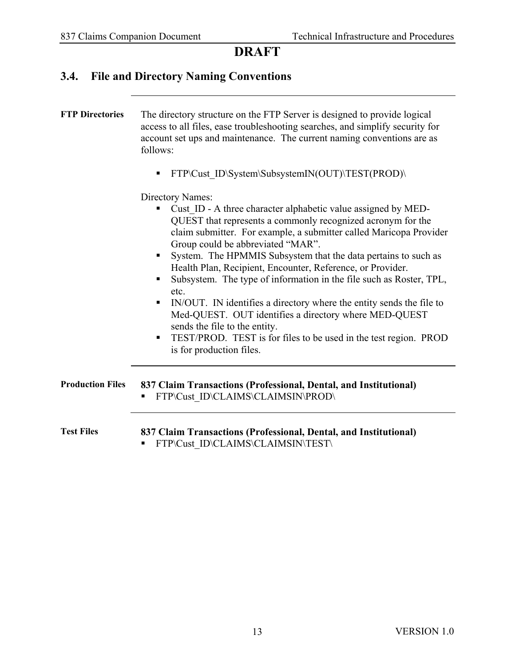#### <span id="page-15-0"></span>**3.4. File and Directory Naming Conventions**

**FTP Directories** The directory structure on the FTP Server is designed to provide logical access to all files, ease troubleshooting searches, and simplify security for account set ups and maintenance. The current naming conventions are as follows:

FTP\Cust\_ID\System\SubsystemIN(OUT)\TEST(PROD)\

Directory Names:

- Cust ID A three character alphabetic value assigned by MED-QUEST that represents a commonly recognized acronym for the claim submitter. For example, a submitter called Maricopa Provider Group could be abbreviated "MAR".
- System. The HPMMIS Subsystem that the data pertains to such as Health Plan, Recipient, Encounter, Reference, or Provider.
- Subsystem. The type of information in the file such as Roster, TPL, etc.
- IN/OUT. IN identifies a directory where the entity sends the file to Med-QUEST. OUT identifies a directory where MED-QUEST sends the file to the entity.
- TEST/PROD. TEST is for files to be used in the test region. PROD is for production files.
- **Production Files 837 Claim Transactions (Professional, Dental, and Institutional)** FTP\Cust\_ID\CLAIMS\CLAIMSIN\PROD\

**Test Files 837 Claim Transactions (Professional, Dental, and Institutional)** FTP\Cust\_ID\CLAIMS\CLAIMSIN\TEST\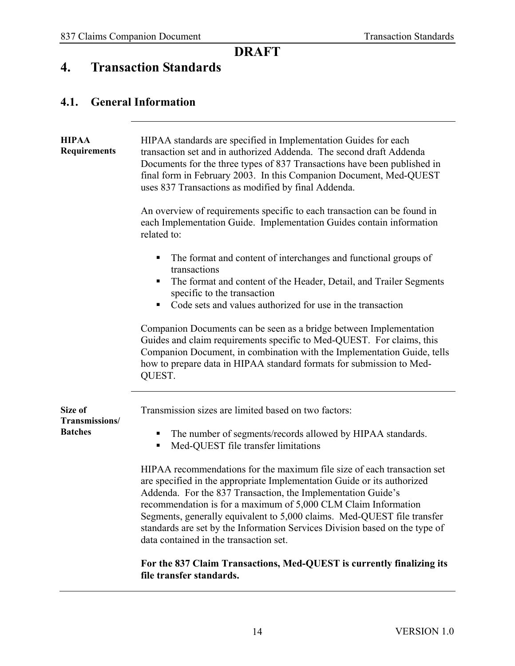# <span id="page-16-0"></span>**4. Transaction Standards**

#### <span id="page-16-1"></span>**4.1. General Information**

| <b>HIPAA</b><br><b>Requirements</b>         | HIPAA standards are specified in Implementation Guides for each<br>transaction set and in authorized Addenda. The second draft Addenda<br>Documents for the three types of 837 Transactions have been published in<br>final form in February 2003. In this Companion Document, Med-QUEST<br>uses 837 Transactions as modified by final Addenda.                                                                                                                                                                                                                                                                                                                                                                                                                      |  |  |  |  |
|---------------------------------------------|----------------------------------------------------------------------------------------------------------------------------------------------------------------------------------------------------------------------------------------------------------------------------------------------------------------------------------------------------------------------------------------------------------------------------------------------------------------------------------------------------------------------------------------------------------------------------------------------------------------------------------------------------------------------------------------------------------------------------------------------------------------------|--|--|--|--|
|                                             | An overview of requirements specific to each transaction can be found in<br>each Implementation Guide. Implementation Guides contain information<br>related to:                                                                                                                                                                                                                                                                                                                                                                                                                                                                                                                                                                                                      |  |  |  |  |
|                                             | The format and content of interchanges and functional groups of<br>Е<br>transactions<br>The format and content of the Header, Detail, and Trailer Segments<br>п<br>specific to the transaction<br>Code sets and values authorized for use in the transaction<br>п<br>Companion Documents can be seen as a bridge between Implementation<br>Guides and claim requirements specific to Med-QUEST. For claims, this<br>Companion Document, in combination with the Implementation Guide, tells<br>how to prepare data in HIPAA standard formats for submission to Med-<br>QUEST.                                                                                                                                                                                        |  |  |  |  |
| Size of<br>Transmissions/<br><b>Batches</b> | Transmission sizes are limited based on two factors:<br>The number of segments/records allowed by HIPAA standards.<br>Е<br>Med-QUEST file transfer limitations<br>Е<br>HIPAA recommendations for the maximum file size of each transaction set<br>are specified in the appropriate Implementation Guide or its authorized<br>Addenda. For the 837 Transaction, the Implementation Guide's<br>recommendation is for a maximum of 5,000 CLM Claim Information<br>Segments, generally equivalent to 5,000 claims. Med-QUEST file transfer<br>standards are set by the Information Services Division based on the type of<br>data contained in the transaction set.<br>For the 837 Claim Transactions, Med-QUEST is currently finalizing its<br>file transfer standards. |  |  |  |  |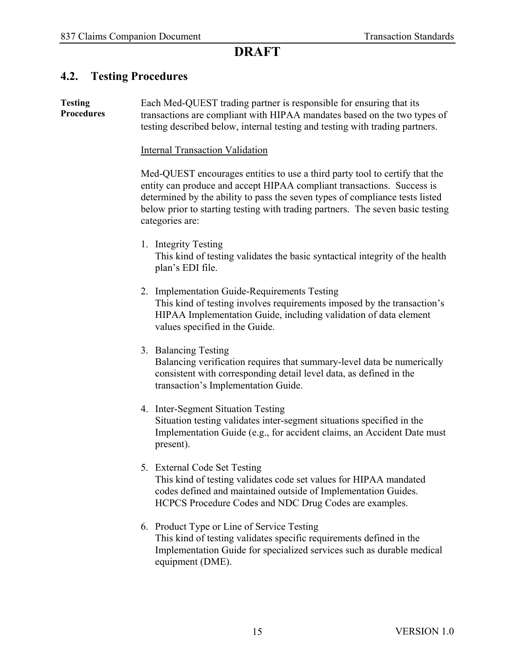#### <span id="page-17-0"></span>**4.2. Testing Procedures**

**Testing Procedures** Each Med-QUEST trading partner is responsible for ensuring that its transactions are compliant with HIPAA mandates based on the two types of testing described below, internal testing and testing with trading partners.

Internal Transaction Validation

Med-QUEST encourages entities to use a third party tool to certify that the entity can produce and accept HIPAA compliant transactions. Success is determined by the ability to pass the seven types of compliance tests listed below prior to starting testing with trading partners. The seven basic testing categories are:

- 1. Integrity Testing This kind of testing validates the basic syntactical integrity of the health plan's EDI file.
- 2. Implementation Guide-Requirements Testing This kind of testing involves requirements imposed by the transaction's HIPAA Implementation Guide, including validation of data element values specified in the Guide.
- 3. Balancing Testing

Balancing verification requires that summary-level data be numerically consistent with corresponding detail level data, as defined in the transaction's Implementation Guide.

- 4. Inter-Segment Situation Testing Situation testing validates inter-segment situations specified in the Implementation Guide (e.g., for accident claims, an Accident Date must present).
- 5. External Code Set Testing This kind of testing validates code set values for HIPAA mandated codes defined and maintained outside of Implementation Guides. HCPCS Procedure Codes and NDC Drug Codes are examples.
- 6. Product Type or Line of Service Testing This kind of testing validates specific requirements defined in the Implementation Guide for specialized services such as durable medical equipment (DME).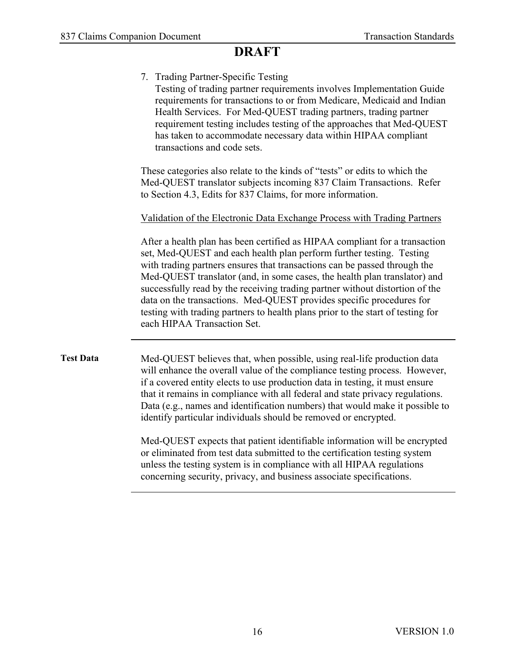|                  | 7. Trading Partner-Specific Testing<br>Testing of trading partner requirements involves Implementation Guide<br>requirements for transactions to or from Medicare, Medicaid and Indian<br>Health Services. For Med-QUEST trading partners, trading partner<br>requirement testing includes testing of the approaches that Med-QUEST<br>has taken to accommodate necessary data within HIPAA compliant<br>transactions and code sets.                                                                                                                                                    |  |  |  |  |
|------------------|-----------------------------------------------------------------------------------------------------------------------------------------------------------------------------------------------------------------------------------------------------------------------------------------------------------------------------------------------------------------------------------------------------------------------------------------------------------------------------------------------------------------------------------------------------------------------------------------|--|--|--|--|
|                  | These categories also relate to the kinds of "tests" or edits to which the<br>Med-QUEST translator subjects incoming 837 Claim Transactions. Refer<br>to Section 4.3, Edits for 837 Claims, for more information.                                                                                                                                                                                                                                                                                                                                                                       |  |  |  |  |
|                  | Validation of the Electronic Data Exchange Process with Trading Partners                                                                                                                                                                                                                                                                                                                                                                                                                                                                                                                |  |  |  |  |
|                  | After a health plan has been certified as HIPAA compliant for a transaction<br>set, Med-QUEST and each health plan perform further testing. Testing<br>with trading partners ensures that transactions can be passed through the<br>Med-QUEST translator (and, in some cases, the health plan translator) and<br>successfully read by the receiving trading partner without distortion of the<br>data on the transactions. Med-QUEST provides specific procedures for<br>testing with trading partners to health plans prior to the start of testing for<br>each HIPAA Transaction Set. |  |  |  |  |
| <b>Test Data</b> | Med-QUEST believes that, when possible, using real-life production data<br>will enhance the overall value of the compliance testing process. However,<br>if a covered entity elects to use production data in testing, it must ensure<br>that it remains in compliance with all federal and state privacy regulations.<br>Data (e.g., names and identification numbers) that would make it possible to<br>identify particular individuals should be removed or encrypted.                                                                                                               |  |  |  |  |
|                  | Med-QUEST expects that patient identifiable information will be encrypted<br>or eliminated from test data submitted to the certification testing system<br>unless the testing system is in compliance with all HIPAA regulations<br>concerning security, privacy, and business associate specifications.                                                                                                                                                                                                                                                                                |  |  |  |  |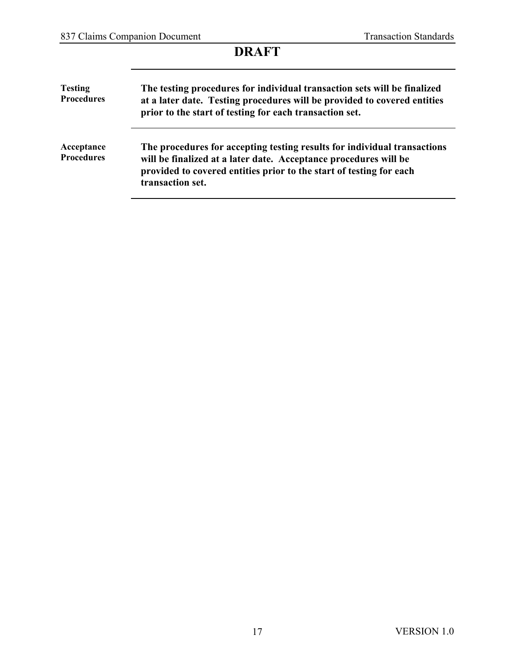| <b>Testing</b><br><b>Procedures</b> | The testing procedures for individual transaction sets will be finalized<br>at a later date. Testing procedures will be provided to covered entities<br>prior to the start of testing for each transaction set.                         |
|-------------------------------------|-----------------------------------------------------------------------------------------------------------------------------------------------------------------------------------------------------------------------------------------|
| Acceptance<br><b>Procedures</b>     | The procedures for accepting testing results for individual transactions<br>will be finalized at a later date. Acceptance procedures will be<br>provided to covered entities prior to the start of testing for each<br>transaction set. |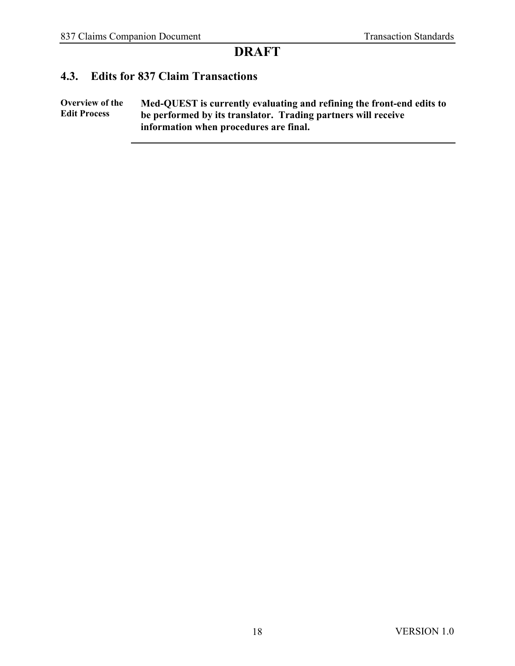#### <span id="page-20-0"></span>**4.3. Edits for 837 Claim Transactions**

**Overview of the Edit Process Med-QUEST is currently evaluating and refining the front-end edits to be performed by its translator. Trading partners will receive information when procedures are final.**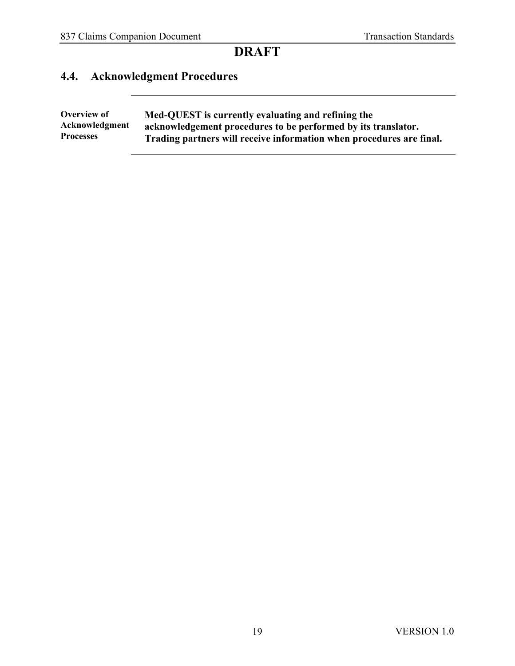# <span id="page-21-0"></span>**4.4. Acknowledgment Procedures**

| Overview of      | Med-QUEST is currently evaluating and refining the                   |
|------------------|----------------------------------------------------------------------|
| Acknowledgment   | acknowledgement procedures to be performed by its translator.        |
| <b>Processes</b> | Trading partners will receive information when procedures are final. |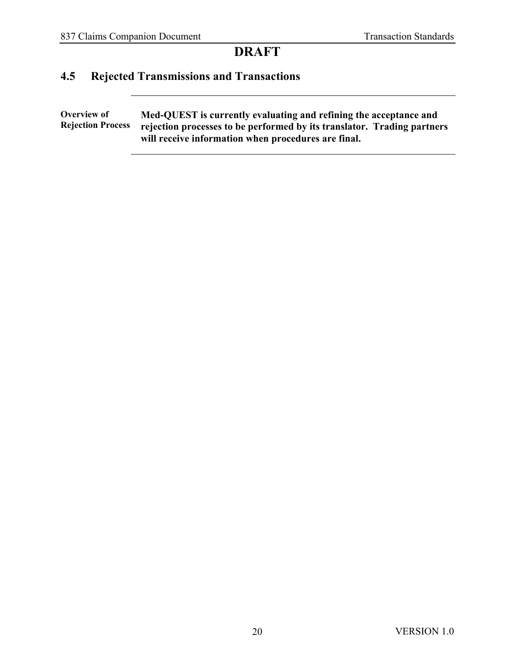# <span id="page-22-0"></span>**4.5 Rejected Transmissions and Transactions**

**Overview of Rejection Process Med-QUEST is currently evaluating and refining the acceptance and rejection processes to be performed by its translator. Trading partners will receive information when procedures are final.**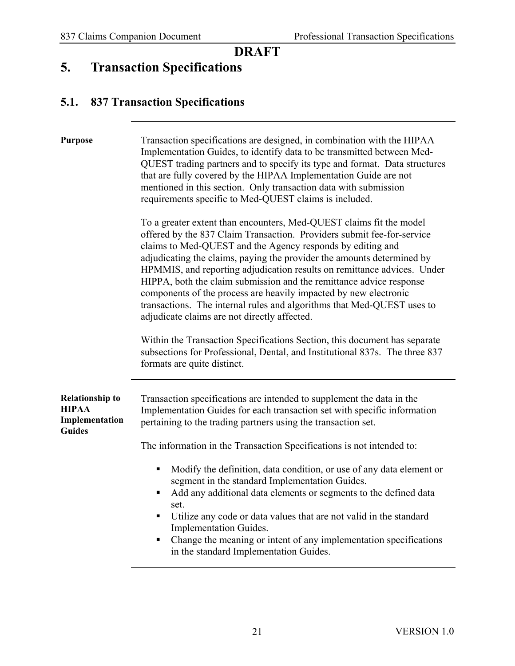#### <span id="page-23-0"></span>**5. Transaction Specifications**

#### <span id="page-23-1"></span>**5.1. 837 Transaction Specifications**

**Purpose** Transaction specifications are designed, in combination with the HIPAA Implementation Guides, to identify data to be transmitted between Med-QUEST trading partners and to specify its type and format. Data structures that are fully covered by the HIPAA Implementation Guide are not mentioned in this section. Only transaction data with submission requirements specific to Med-QUEST claims is included.

> To a greater extent than encounters, Med-QUEST claims fit the model offered by the 837 Claim Transaction. Providers submit fee-for-service claims to Med-QUEST and the Agency responds by editing and adjudicating the claims, paying the provider the amounts determined by HPMMIS, and reporting adjudication results on remittance advices. Under HIPPA, both the claim submission and the remittance advice response components of the process are heavily impacted by new electronic transactions. The internal rules and algorithms that Med-QUEST uses to adjudicate claims are not directly affected.

> Within the Transaction Specifications Section, this document has separate subsections for Professional, Dental, and Institutional 837s. The three 837 formats are quite distinct.

| <b>Relationship to</b><br><b>HIPAA</b><br>Implementation<br><b>Guides</b> | Transaction specifications are intended to supplement the data in the<br>Implementation Guides for each transaction set with specific information<br>pertaining to the trading partners using the transaction set. |
|---------------------------------------------------------------------------|--------------------------------------------------------------------------------------------------------------------------------------------------------------------------------------------------------------------|
|                                                                           |                                                                                                                                                                                                                    |

The information in the Transaction Specifications is not intended to:

- Modify the definition, data condition, or use of any data element or segment in the standard Implementation Guides.
- Add any additional data elements or segments to the defined data set.
- Utilize any code or data values that are not valid in the standard Implementation Guides.
- Change the meaning or intent of any implementation specifications in the standard Implementation Guides.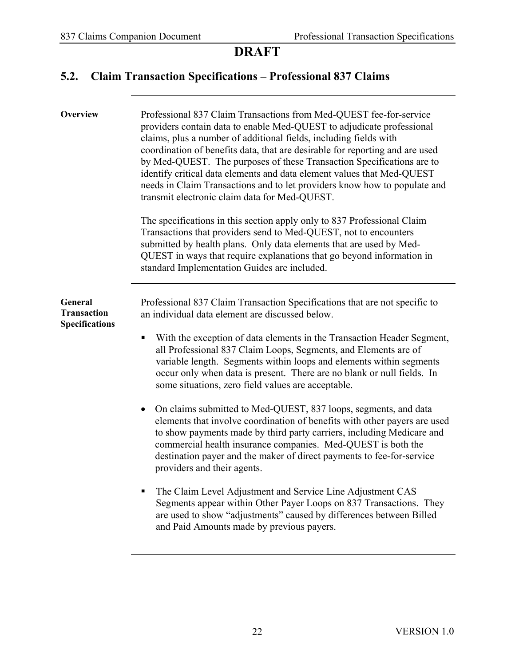# <span id="page-24-0"></span>**5.2. Claim Transaction Specifications – Professional 837 Claims**

| Overview                                                      | Professional 837 Claim Transactions from Med-QUEST fee-for-service<br>providers contain data to enable Med-QUEST to adjudicate professional<br>claims, plus a number of additional fields, including fields with<br>coordination of benefits data, that are desirable for reporting and are used<br>by Med-QUEST. The purposes of these Transaction Specifications are to<br>identify critical data elements and data element values that Med-QUEST<br>needs in Claim Transactions and to let providers know how to populate and<br>transmit electronic claim data for Med-QUEST.<br>The specifications in this section apply only to 837 Professional Claim<br>Transactions that providers send to Med-QUEST, not to encounters<br>submitted by health plans. Only data elements that are used by Med-<br>QUEST in ways that require explanations that go beyond information in<br>standard Implementation Guides are included.                                                                                                                                                                                                                |
|---------------------------------------------------------------|-------------------------------------------------------------------------------------------------------------------------------------------------------------------------------------------------------------------------------------------------------------------------------------------------------------------------------------------------------------------------------------------------------------------------------------------------------------------------------------------------------------------------------------------------------------------------------------------------------------------------------------------------------------------------------------------------------------------------------------------------------------------------------------------------------------------------------------------------------------------------------------------------------------------------------------------------------------------------------------------------------------------------------------------------------------------------------------------------------------------------------------------------|
| <b>General</b><br><b>Transaction</b><br><b>Specifications</b> | Professional 837 Claim Transaction Specifications that are not specific to<br>an individual data element are discussed below.<br>With the exception of data elements in the Transaction Header Segment,<br>٠<br>all Professional 837 Claim Loops, Segments, and Elements are of<br>variable length. Segments within loops and elements within segments<br>occur only when data is present. There are no blank or null fields. In<br>some situations, zero field values are acceptable.<br>On claims submitted to Med-QUEST, 837 loops, segments, and data<br>elements that involve coordination of benefits with other payers are used<br>to show payments made by third party carriers, including Medicare and<br>commercial health insurance companies. Med-QUEST is both the<br>destination payer and the maker of direct payments to fee-for-service<br>providers and their agents.<br>The Claim Level Adjustment and Service Line Adjustment CAS<br>Segments appear within Other Payer Loops on 837 Transactions. They<br>are used to show "adjustments" caused by differences between Billed<br>and Paid Amounts made by previous payers. |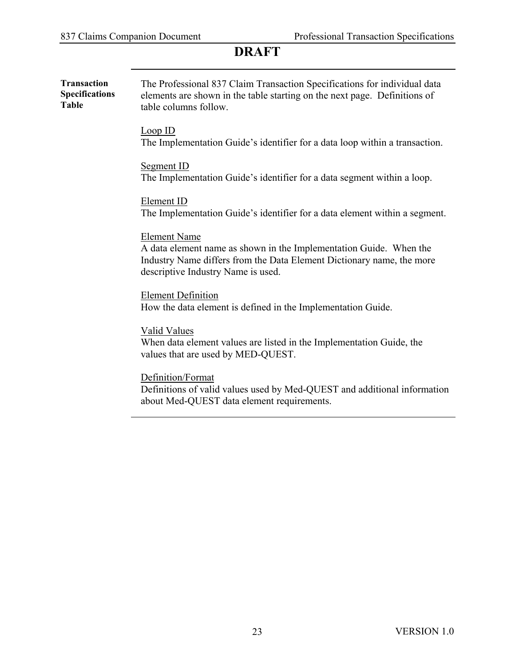| <b>Transaction</b><br><b>Specifications</b><br><b>Table</b> | The Professional 837 Claim Transaction Specifications for individual data<br>elements are shown in the table starting on the next page. Definitions of<br>table columns follow.                          |  |  |  |  |
|-------------------------------------------------------------|----------------------------------------------------------------------------------------------------------------------------------------------------------------------------------------------------------|--|--|--|--|
|                                                             | Loop ID<br>The Implementation Guide's identifier for a data loop within a transaction.                                                                                                                   |  |  |  |  |
|                                                             | Segment ID<br>The Implementation Guide's identifier for a data segment within a loop.                                                                                                                    |  |  |  |  |
|                                                             | Element ID<br>The Implementation Guide's identifier for a data element within a segment.                                                                                                                 |  |  |  |  |
|                                                             | <b>Element Name</b><br>A data element name as shown in the Implementation Guide. When the<br>Industry Name differs from the Data Element Dictionary name, the more<br>descriptive Industry Name is used. |  |  |  |  |
|                                                             | <b>Element Definition</b><br>How the data element is defined in the Implementation Guide.                                                                                                                |  |  |  |  |
|                                                             | <b>Valid Values</b><br>When data element values are listed in the Implementation Guide, the<br>values that are used by MED-QUEST.                                                                        |  |  |  |  |
|                                                             | Definition/Format<br>Definitions of valid values used by Med-QUEST and additional information<br>about Med-QUEST data element requirements.                                                              |  |  |  |  |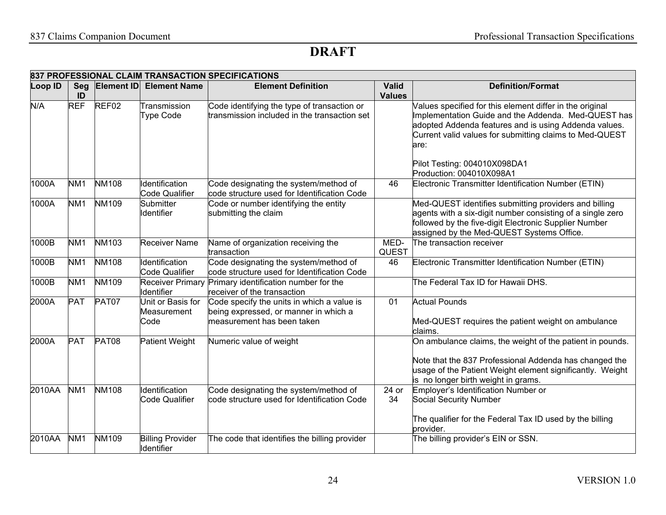|         |                  |                   |                                          | 837 PROFESSIONAL CLAIM TRANSACTION SPECIFICATIONS                                                                 |                               |                                                                                                                                                                                                                                                                             |
|---------|------------------|-------------------|------------------------------------------|-------------------------------------------------------------------------------------------------------------------|-------------------------------|-----------------------------------------------------------------------------------------------------------------------------------------------------------------------------------------------------------------------------------------------------------------------------|
| Loop ID | <b>Seg</b><br>ID |                   | <b>Element ID Element Name</b>           | <b>Element Definition</b>                                                                                         | <b>Valid</b><br><b>Values</b> | <b>Definition/Format</b>                                                                                                                                                                                                                                                    |
| N/A     | <b>REF</b>       | REF <sub>02</sub> | Transmission<br><b>Type Code</b>         | Code identifying the type of transaction or<br>transmission included in the transaction set                       |                               | Values specified for this element differ in the original<br>Implementation Guide and the Addenda. Med-QUEST has<br>adopted Addenda features and is using Addenda values.<br>Current valid values for submitting claims to Med-QUEST<br>are:<br>Pilot Testing: 004010X098DA1 |
|         |                  |                   |                                          |                                                                                                                   |                               | Production: 004010X098A1                                                                                                                                                                                                                                                    |
| 1000A   | NM <sub>1</sub>  | <b>NM108</b>      | Identification<br>Code Qualifier         | Code designating the system/method of<br>code structure used for Identification Code                              | 46                            | Electronic Transmitter Identification Number (ETIN)                                                                                                                                                                                                                         |
| 1000A   | NM <sub>1</sub>  | <b>NM109</b>      | Submitter<br><b>Identifier</b>           | Code or number identifying the entity<br>submitting the claim                                                     |                               | Med-QUEST identifies submitting providers and billing<br>agents with a six-digit number consisting of a single zero<br>followed by the five-digit Electronic Supplier Number<br>assigned by the Med-QUEST Systems Office.                                                   |
| 1000B   | NM <sub>1</sub>  | <b>NM103</b>      | <b>Receiver Name</b>                     | Name of organization receiving the                                                                                | MED-                          | The transaction receiver                                                                                                                                                                                                                                                    |
|         |                  |                   |                                          | transaction                                                                                                       | <b>QUEST</b>                  |                                                                                                                                                                                                                                                                             |
| 1000B   | NM <sub>1</sub>  | <b>NM108</b>      | Identification<br><b>Code Qualifier</b>  | Code designating the system/method of<br>code structure used for Identification Code                              | 46                            | Electronic Transmitter Identification Number (ETIN)                                                                                                                                                                                                                         |
| 1000B   | NM <sub>1</sub>  | <b>NM109</b>      | Identifier                               | Receiver Primary Primary identification number for the<br>receiver of the transaction                             |                               | The Federal Tax ID for Hawaii DHS.                                                                                                                                                                                                                                          |
| 2000A   | <b>PAT</b>       | PAT07             | Unit or Basis for<br>Measurement<br>Code | Code specify the units in which a value is<br>being expressed, or manner in which a<br>measurement has been taken | 01                            | <b>Actual Pounds</b><br>Med-QUEST requires the patient weight on ambulance<br>claims.                                                                                                                                                                                       |
| 2000A   | <b>PAT</b>       | PAT08             | <b>Patient Weight</b>                    | Numeric value of weight                                                                                           |                               | On ambulance claims, the weight of the patient in pounds.<br>Note that the 837 Professional Addenda has changed the<br>usage of the Patient Weight element significantly. Weight<br>is no longer birth weight in grams.                                                     |
| 2010AA  | NM <sub>1</sub>  | <b>NM108</b>      | Identification<br>Code Qualifier         | Code designating the system/method of<br>code structure used for Identification Code                              | 24 or<br>34                   | Employer's Identification Number or<br>Social Security Number<br>The qualifier for the Federal Tax ID used by the billing                                                                                                                                                   |
|         |                  |                   |                                          |                                                                                                                   |                               | provider.                                                                                                                                                                                                                                                                   |
| 2010AA  | NM <sub>1</sub>  | <b>NM109</b>      | <b>Billing Provider</b><br>Identifier    | The code that identifies the billing provider                                                                     |                               | The billing provider's EIN or SSN.                                                                                                                                                                                                                                          |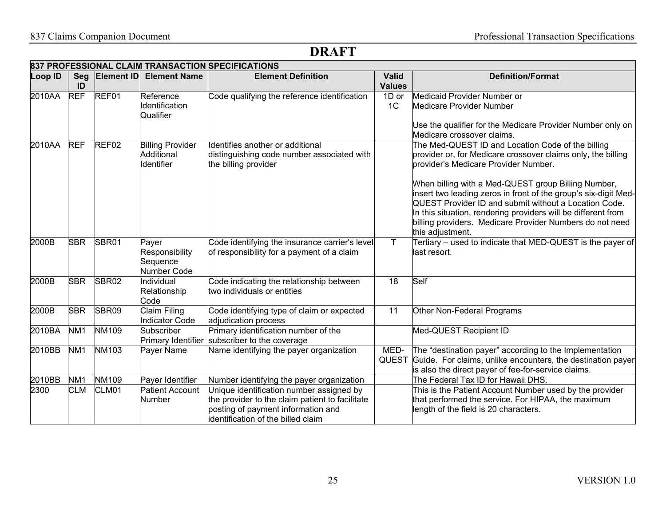|         | 837 PROFESSIONAL CLAIM TRANSACTION SPECIFICATIONS |              |                                                     |                                                                                                                                                                        |                               |                                                                                                                                                                                                                                                                                                                                                                                                                                                                                               |  |  |
|---------|---------------------------------------------------|--------------|-----------------------------------------------------|------------------------------------------------------------------------------------------------------------------------------------------------------------------------|-------------------------------|-----------------------------------------------------------------------------------------------------------------------------------------------------------------------------------------------------------------------------------------------------------------------------------------------------------------------------------------------------------------------------------------------------------------------------------------------------------------------------------------------|--|--|
| Loop ID | Seg<br>ID                                         | Element ID   | <b>Element Name</b>                                 | <b>Element Definition</b>                                                                                                                                              | <b>Valid</b><br><b>Values</b> | <b>Definition/Format</b>                                                                                                                                                                                                                                                                                                                                                                                                                                                                      |  |  |
| 2010AA  | <b>REF</b>                                        | REF01        | Reference<br>Identification<br>Qualifier            | Code qualifying the reference identification                                                                                                                           | 1D or<br>1 <sup>C</sup>       | Medicaid Provider Number or<br><b>Medicare Provider Number</b><br>Use the qualifier for the Medicare Provider Number only on<br>Medicare crossover claims.                                                                                                                                                                                                                                                                                                                                    |  |  |
| 2010AA  | <b>REF</b>                                        | REF02        | <b>Billing Provider</b><br>Additional<br>Identifier | Identifies another or additional<br>distinguishing code number associated with<br>the billing provider                                                                 |                               | The Med-QUEST ID and Location Code of the billing<br>provider or, for Medicare crossover claims only, the billing<br>provider's Medicare Provider Number.<br>When billing with a Med-QUEST group Billing Number,<br>insert two leading zeros in front of the group's six-digit Med-<br>QUEST Provider ID and submit without a Location Code.<br>In this situation, rendering providers will be different from<br>billing providers. Medicare Provider Numbers do not need<br>this adjustment. |  |  |
| 2000B   | <b>SBR</b>                                        | SBR01        | Payer<br>Responsibility<br>Sequence<br>Number Code  | Code identifying the insurance carrier's level<br>of responsibility for a payment of a claim                                                                           | $\mathsf{T}$                  | Tertiary – used to indicate that MED-QUEST is the payer of<br>last resort.                                                                                                                                                                                                                                                                                                                                                                                                                    |  |  |
| 2000B   | <b>SBR</b>                                        | SBR02        | Individual<br>Relationship<br>Code                  | Code indicating the relationship between<br>two individuals or entities                                                                                                | 18                            | Self                                                                                                                                                                                                                                                                                                                                                                                                                                                                                          |  |  |
| 2000B   | <b>SBR</b>                                        | SBR09        | <b>Claim Filing</b><br><b>Indicator Code</b>        | Code identifying type of claim or expected<br>adjudication process                                                                                                     | 11                            | Other Non-Federal Programs                                                                                                                                                                                                                                                                                                                                                                                                                                                                    |  |  |
| 2010BA  | NM <sub>1</sub>                                   | NM109        | Subscriber                                          | Primary identification number of the<br>Primary Identifier subscriber to the coverage                                                                                  |                               | Med-QUEST Recipient ID                                                                                                                                                                                                                                                                                                                                                                                                                                                                        |  |  |
| 2010BB  | NM <sub>1</sub>                                   | NM103        | Payer Name                                          | Name identifying the payer organization                                                                                                                                | MED-                          | The "destination payer" according to the Implementation<br>QUEST Guide. For claims, unlike encounters, the destination payer<br>is also the direct payer of fee-for-service claims.                                                                                                                                                                                                                                                                                                           |  |  |
| 2010BB  | NM <sub>1</sub>                                   | <b>NM109</b> | Payer Identifier                                    | Number identifying the payer organization                                                                                                                              |                               | The Federal Tax ID for Hawaii DHS.                                                                                                                                                                                                                                                                                                                                                                                                                                                            |  |  |
| 2300    | <b>CLM</b>                                        | CLM01        | <b>Patient Account</b><br><b>Number</b>             | Unique identification number assigned by<br>he provider to the claim patient to facilitate<br>posting of payment information and<br>identification of the billed claim |                               | This is the Patient Account Number used by the provider<br>that performed the service. For HIPAA, the maximum<br>length of the field is 20 characters.                                                                                                                                                                                                                                                                                                                                        |  |  |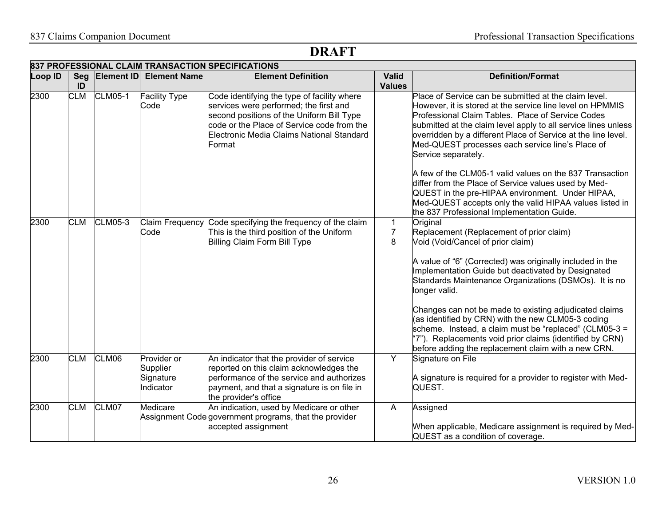|                | 837 PROFESSIONAL CLAIM TRANSACTION SPECIFICATIONS |                |                                                   |                                                                                                                                                                                                                                         |                               |                                                                                                                                                                                                                                                                                                                                                                                       |  |  |
|----------------|---------------------------------------------------|----------------|---------------------------------------------------|-----------------------------------------------------------------------------------------------------------------------------------------------------------------------------------------------------------------------------------------|-------------------------------|---------------------------------------------------------------------------------------------------------------------------------------------------------------------------------------------------------------------------------------------------------------------------------------------------------------------------------------------------------------------------------------|--|--|
| <b>Loop ID</b> | Seg<br>ID                                         |                | <b>Element ID Element Name</b>                    | <b>Element Definition</b>                                                                                                                                                                                                               | <b>Valid</b><br><b>Values</b> | <b>Definition/Format</b>                                                                                                                                                                                                                                                                                                                                                              |  |  |
| 2300           | <b>CLM</b>                                        | <b>CLM05-1</b> | <b>Facility Type</b><br>Code                      | Code identifying the type of facility where<br>services were performed; the first and<br>second positions of the Uniform Bill Type<br>code or the Place of Service code from the<br>Electronic Media Claims National Standard<br>Format |                               | Place of Service can be submitted at the claim level.<br>However, it is stored at the service line level on HPMMIS<br>Professional Claim Tables. Place of Service Codes<br>submitted at the claim level apply to all service lines unless<br>overridden by a different Place of Service at the line level.<br>Med-QUEST processes each service line's Place of<br>Service separately. |  |  |
|                |                                                   |                |                                                   |                                                                                                                                                                                                                                         |                               | A few of the CLM05-1 valid values on the 837 Transaction<br>differ from the Place of Service values used by Med-<br>QUEST in the pre-HIPAA environment. Under HIPAA,<br>Med-QUEST accepts only the valid HIPAA values listed in<br>the 837 Professional Implementation Guide.                                                                                                         |  |  |
| 2300           | <b>CLM</b>                                        | <b>CLM05-3</b> | Code                                              | Claim Frequency Code specifying the frequency of the claim<br>This is the third position of the Uniform<br>Billing Claim Form Bill Type                                                                                                 | 1<br>$\overline{7}$<br>8      | Original<br>Replacement (Replacement of prior claim)<br>Void (Void/Cancel of prior claim)<br>A value of "6" (Corrected) was originally included in the                                                                                                                                                                                                                                |  |  |
|                |                                                   |                |                                                   |                                                                                                                                                                                                                                         |                               | Implementation Guide but deactivated by Designated<br>Standards Maintenance Organizations (DSMOs). It is no<br>longer valid.                                                                                                                                                                                                                                                          |  |  |
|                |                                                   |                |                                                   |                                                                                                                                                                                                                                         |                               | Changes can not be made to existing adjudicated claims<br>(as identified by CRN) with the new CLM05-3 coding<br>scheme. Instead, a claim must be "replaced" (CLM05-3 =<br>'7"). Replacements void prior claims (identified by CRN)<br>before adding the replacement claim with a new CRN.                                                                                             |  |  |
| 2300           | <b>CLM</b>                                        | CLM06          | Provider or<br>Supplier<br>Signature<br>Indicator | An indicator that the provider of service<br>reported on this claim acknowledges the<br>performance of the service and authorizes<br>payment, and that a signature is on file in<br>the provider's office                               | Y                             | Signature on File<br>A signature is required for a provider to register with Med-<br>QUEST.                                                                                                                                                                                                                                                                                           |  |  |
| 2300           | <b>CLM</b>                                        | CLM07          | Medicare                                          | An indication, used by Medicare or other<br>Assignment Code government programs, that the provider<br>accepted assignment                                                                                                               | $\mathsf{A}$                  | Assigned<br>When applicable, Medicare assignment is required by Med-<br>QUEST as a condition of coverage.                                                                                                                                                                                                                                                                             |  |  |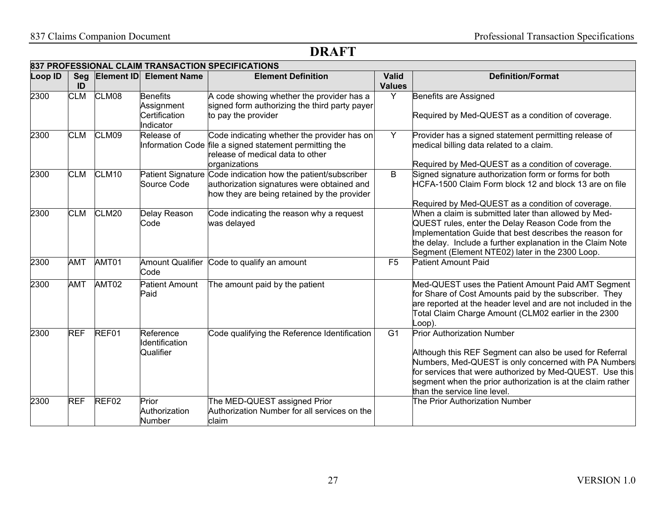|         | 837 PROFESSIONAL CLAIM TRANSACTION SPECIFICATIONS |                   |                                                             |                                                                                                                                                             |                               |                                                                                                                                                                                                                                                                                                                 |  |
|---------|---------------------------------------------------|-------------------|-------------------------------------------------------------|-------------------------------------------------------------------------------------------------------------------------------------------------------------|-------------------------------|-----------------------------------------------------------------------------------------------------------------------------------------------------------------------------------------------------------------------------------------------------------------------------------------------------------------|--|
| Loop ID | ID                                                | Seg Element ID    | <b>Element Name</b>                                         | <b>Element Definition</b>                                                                                                                                   | <b>Valid</b><br><b>Values</b> | <b>Definition/Format</b>                                                                                                                                                                                                                                                                                        |  |
| 2300    | <b>CLM</b>                                        | CLM08             | <b>Benefits</b><br>Assignment<br>Certification<br>Indicator | A code showing whether the provider has a<br>signed form authorizing the third party payer<br>to pay the provider                                           | Y                             | Benefits are Assigned<br>Required by Med-QUEST as a condition of coverage.                                                                                                                                                                                                                                      |  |
| 2300    | <b>CLM</b>                                        | CLM09             | Release of                                                  | Code indicating whether the provider has on<br>Information Code file a signed statement permitting the<br>release of medical data to other<br>organizations | Y                             | Provider has a signed statement permitting release of<br>medical billing data related to a claim.<br>Required by Med-QUEST as a condition of coverage.                                                                                                                                                          |  |
| 2300    | <b>CLM</b>                                        | CLM <sub>10</sub> | Source Code                                                 | Patient Signature Code indication how the patient/subscriber<br>authorization signatures were obtained and<br>how they are being retained by the provider   | B                             | Signed signature authorization form or forms for both<br>HCFA-1500 Claim Form block 12 and block 13 are on file<br>Required by Med-QUEST as a condition of coverage.                                                                                                                                            |  |
| 2300    | <b>CLM</b>                                        | CLM20             | Delay Reason<br>Code                                        | Code indicating the reason why a request<br>was delayed                                                                                                     |                               | When a claim is submitted later than allowed by Med-<br>QUEST rules, enter the Delay Reason Code from the<br>Implementation Guide that best describes the reason for<br>the delay. Include a further explanation in the Claim Note<br>Segment (Element NTE02) later in the 2300 Loop.                           |  |
| 2300    | <b>AMT</b>                                        | AMT01             | <b>Amount Qualifier</b><br>Code                             | Code to qualify an amount                                                                                                                                   | F <sub>5</sub>                | <b>Patient Amount Paid</b>                                                                                                                                                                                                                                                                                      |  |
| 2300    | <b>AMT</b>                                        | AMT02             | <b>Patient Amount</b><br>Paid                               | The amount paid by the patient                                                                                                                              |                               | Med-QUEST uses the Patient Amount Paid AMT Segment<br>for Share of Cost Amounts paid by the subscriber. They<br>are reported at the header level and are not included in the<br>Total Claim Charge Amount (CLM02 earlier in the 2300<br>Loop).                                                                  |  |
| 2300    | <b>REF</b>                                        | REF01             | Reference<br>Identification<br>Qualifier                    | Code qualifying the Reference Identification                                                                                                                | G <sub>1</sub>                | <b>Prior Authorization Number</b><br>Although this REF Segment can also be used for Referral<br>Numbers, Med-QUEST is only concerned with PA Numbers<br>for services that were authorized by Med-QUEST. Use this<br>segment when the prior authorization is at the claim rather<br>than the service line level. |  |
| 2300    | <b>REF</b>                                        | REF02             | Prior<br>Authorization<br>Number                            | The MED-QUEST assigned Prior<br>Authorization Number for all services on the<br>claim                                                                       |                               | The Prior Authorization Number                                                                                                                                                                                                                                                                                  |  |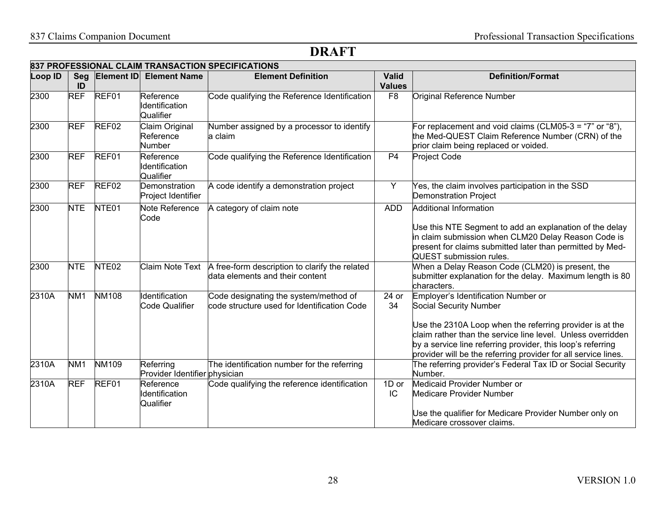|         |                 |                   |                                              | 837 PROFESSIONAL CLAIM TRANSACTION SPECIFICATIONS                                                 |                               |                                                                                                                                                                                                                                                                                                                           |
|---------|-----------------|-------------------|----------------------------------------------|---------------------------------------------------------------------------------------------------|-------------------------------|---------------------------------------------------------------------------------------------------------------------------------------------------------------------------------------------------------------------------------------------------------------------------------------------------------------------------|
| Loop ID | ID              |                   | Seg Element ID Element Name                  | <b>Element Definition</b>                                                                         | <b>Valid</b><br><b>Values</b> | <b>Definition/Format</b>                                                                                                                                                                                                                                                                                                  |
| 2300    | <b>REF</b>      | REF01             | Reference<br>Identification<br>Qualifier     | Code qualifying the Reference Identification                                                      | F <sub>8</sub>                | Original Reference Number                                                                                                                                                                                                                                                                                                 |
| 2300    | <b>REF</b>      | REF <sub>02</sub> | Claim Original<br>Reference<br><b>Number</b> | Number assigned by a processor to identify<br>la claim                                            |                               | For replacement and void claims (CLM05-3 = "7" or "8"),<br>the Med-QUEST Claim Reference Number (CRN) of the<br>prior claim being replaced or voided.                                                                                                                                                                     |
| 2300    | <b>REF</b>      | REF01             | Reference<br>Identification<br>Qualifier     | Code qualifying the Reference Identification                                                      | P <sub>4</sub>                | Project Code                                                                                                                                                                                                                                                                                                              |
| 2300    | <b>REF</b>      | REF <sub>02</sub> | Demonstration<br>Project Identifier          | A code identify a demonstration project                                                           | Y                             | Yes, the claim involves participation in the SSD<br><b>Demonstration Project</b>                                                                                                                                                                                                                                          |
| 2300    | <b>NTE</b>      | NTE <sub>01</sub> | Note Reference<br>Code                       | A category of claim note                                                                          | <b>ADD</b>                    | Additional Information<br>Use this NTE Segment to add an explanation of the delay<br>in claim submission when CLM20 Delay Reason Code is<br>present for claims submitted later than permitted by Med-<br>QUEST submission rules.                                                                                          |
| 2300    | <b>NTE</b>      | NTE <sub>02</sub> |                                              | Claim Note Text A free-form description to clarify the related<br>data elements and their content |                               | When a Delay Reason Code (CLM20) is present, the<br>submitter explanation for the delay. Maximum length is 80<br>characters.                                                                                                                                                                                              |
| 2310A   | NM <sub>1</sub> | <b>NM108</b>      | Identification<br><b>Code Qualifier</b>      | Code designating the system/method of<br>code structure used for Identification Code              | 24 or<br>34                   | Employer's Identification Number or<br>Social Security Number<br>Use the 2310A Loop when the referring provider is at the<br>claim rather than the service line level. Unless overridden<br>by a service line referring provider, this loop's referring<br>provider will be the referring provider for all service lines. |
| 2310A   | NM <sub>1</sub> | <b>NM109</b>      | Referring<br>Provider Identifier physician   | The identification number for the referring                                                       |                               | The referring provider's Federal Tax ID or Social Security<br>Number.                                                                                                                                                                                                                                                     |
| 2310A   | <b>REF</b>      | REF01             | Reference<br>Identification<br>Qualifier     | Code qualifying the reference identification                                                      | 1D or<br>IC                   | Medicaid Provider Number or<br><b>Medicare Provider Number</b><br>Use the qualifier for Medicare Provider Number only on<br>Medicare crossover claims.                                                                                                                                                                    |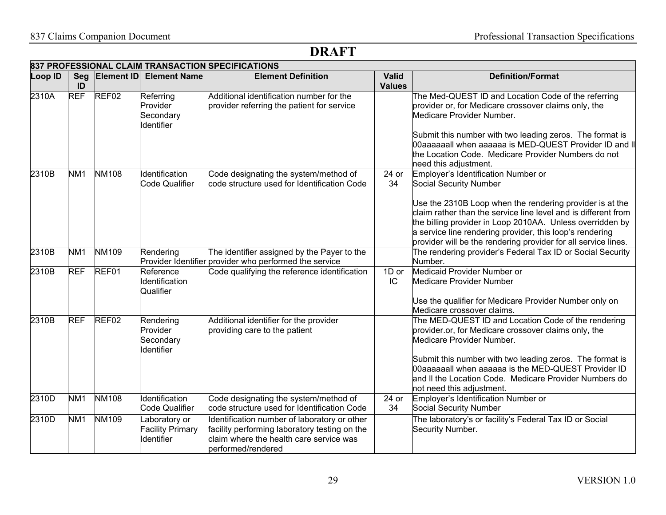|         | 837 PROFESSIONAL CLAIM TRANSACTION SPECIFICATIONS |                   |                                                         |                                                                                                                                                                |                               |                                                                                                                                                                                                                                                                                                                                                                                        |  |  |
|---------|---------------------------------------------------|-------------------|---------------------------------------------------------|----------------------------------------------------------------------------------------------------------------------------------------------------------------|-------------------------------|----------------------------------------------------------------------------------------------------------------------------------------------------------------------------------------------------------------------------------------------------------------------------------------------------------------------------------------------------------------------------------------|--|--|
| Loop ID | Seg<br>ID                                         |                   | <b>Element ID Element Name</b>                          | <b>Element Definition</b>                                                                                                                                      | <b>Valid</b><br><b>Values</b> | <b>Definition/Format</b>                                                                                                                                                                                                                                                                                                                                                               |  |  |
| 2310A   | <b>REF</b>                                        | REF <sub>02</sub> | Referring<br>Provider<br>Secondary<br><b>Identifier</b> | Additional identification number for the<br>provider referring the patient for service                                                                         |                               | The Med-QUEST ID and Location Code of the referring<br>provider or, for Medicare crossover claims only, the<br>Medicare Provider Number.<br>Submit this number with two leading zeros. The format is<br>00aaaaaall when aaaaaa is MED-QUEST Provider ID and II<br>the Location Code. Medicare Provider Numbers do not<br>need this adjustment.                                         |  |  |
| 2310B   | NM <sub>1</sub>                                   | <b>NM108</b>      | Identification<br><b>Code Qualifier</b>                 | Code designating the system/method of<br>code structure used for Identification Code                                                                           | 24 or<br>34                   | Employer's Identification Number or<br>Social Security Number<br>Use the 2310B Loop when the rendering provider is at the<br>claim rather than the service line level and is different from<br>the billing provider in Loop 2010AA. Unless overridden by<br>a service line rendering provider, this loop's rendering<br>provider will be the rendering provider for all service lines. |  |  |
| 2310B   | NM <sub>1</sub>                                   | <b>NM109</b>      | Rendering                                               | The identifier assigned by the Payer to the<br>Provider Identifier provider who performed the service                                                          |                               | The rendering provider's Federal Tax ID or Social Security<br>Number.                                                                                                                                                                                                                                                                                                                  |  |  |
| 2310B   | <b>REF</b>                                        | REF01             | Reference<br>Identification<br>Qualifier                | Code qualifying the reference identification                                                                                                                   | 1D or<br>IC                   | Medicaid Provider Number or<br><b>Medicare Provider Number</b><br>Use the qualifier for Medicare Provider Number only on<br>Medicare crossover claims.                                                                                                                                                                                                                                 |  |  |
| 2310B   | <b>REF</b>                                        | REF02             | Rendering<br>Provider<br>Secondary<br>Identifier        | Additional identifier for the provider<br>providing care to the patient                                                                                        |                               | The MED-QUEST ID and Location Code of the rendering<br>provider.or, for Medicare crossover claims only, the<br>Medicare Provider Number.<br>Submit this number with two leading zeros. The format is<br>00aaaaaall when aaaaaa is the MED-QUEST Provider ID<br>and II the Location Code. Medicare Provider Numbers do<br>not need this adjustment.                                     |  |  |
| 2310D   | NM <sub>1</sub>                                   | <b>NM108</b>      | Identification<br><b>Code Qualifier</b>                 | Code designating the system/method of<br>code structure used for Identification Code                                                                           | 24 or<br>34                   | Employer's Identification Number or<br>Social Security Number                                                                                                                                                                                                                                                                                                                          |  |  |
| 2310D   | NM <sub>1</sub>                                   | <b>NM109</b>      | aboratory or<br><b>Facility Primary</b><br>Identifier   | Identification number of laboratory or other<br>facility performing laboratory testing on the<br>claim where the health care service was<br>performed/rendered |                               | The laboratory's or facility's Federal Tax ID or Social<br>Security Number.                                                                                                                                                                                                                                                                                                            |  |  |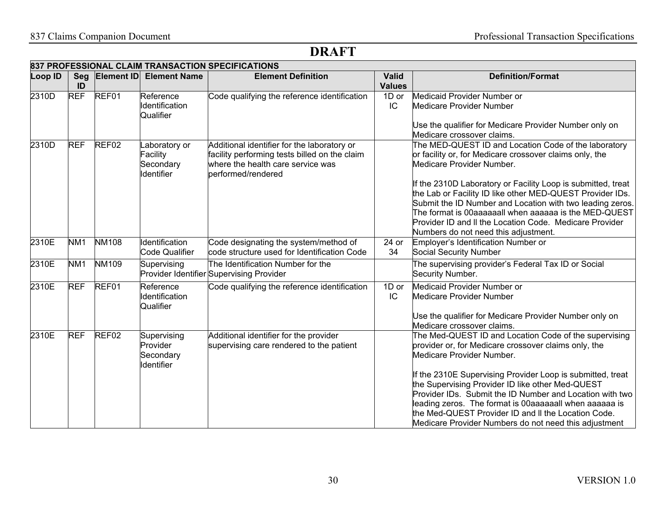|         | 837 PROFESSIONAL CLAIM TRANSACTION SPECIFICATIONS |                   |                                                     |                                                                                                                                                         |                               |                                                                                                                                                                                                                                                                                                                                                                                                                                                                                                    |  |  |
|---------|---------------------------------------------------|-------------------|-----------------------------------------------------|---------------------------------------------------------------------------------------------------------------------------------------------------------|-------------------------------|----------------------------------------------------------------------------------------------------------------------------------------------------------------------------------------------------------------------------------------------------------------------------------------------------------------------------------------------------------------------------------------------------------------------------------------------------------------------------------------------------|--|--|
| Loop ID | Seg<br>ID                                         | <b>Element ID</b> | <b>Element Name</b>                                 | <b>Element Definition</b>                                                                                                                               | <b>Valid</b><br><b>Values</b> | <b>Definition/Format</b>                                                                                                                                                                                                                                                                                                                                                                                                                                                                           |  |  |
| 2310D   | <b>REF</b>                                        | REF01             | Reference<br>Identification<br>Qualifier            | Code qualifying the reference identification                                                                                                            | 1D or<br>IC                   | Medicaid Provider Number or<br>Medicare Provider Number<br>Use the qualifier for Medicare Provider Number only on<br>Medicare crossover claims.                                                                                                                                                                                                                                                                                                                                                    |  |  |
| 2310D   | <b>REF</b>                                        | REF02             | aboratory or<br>Facility<br>Secondary<br>Identifier | Additional identifier for the laboratory or<br>facility performing tests billed on the claim<br>where the health care service was<br>performed/rendered |                               | The MED-QUEST ID and Location Code of the laboratory<br>or facility or, for Medicare crossover claims only, the<br>Medicare Provider Number.<br>If the 2310D Laboratory or Facility Loop is submitted, treat<br>the Lab or Facility ID like other MED-QUEST Provider IDs.<br>Submit the ID Number and Location with two leading zeros.<br>The format is 00aaaaaall when aaaaaa is the MED-QUEST<br>Provider ID and II the Location Code. Medicare Provider                                         |  |  |
| 2310E   | NM <sub>1</sub>                                   | <b>NM108</b>      | Identification<br><b>Code Qualifier</b>             | Code designating the system/method of<br>code structure used for Identification Code                                                                    | 24 or<br>34                   | Numbers do not need this adjustment.<br>Employer's Identification Number or<br>Social Security Number                                                                                                                                                                                                                                                                                                                                                                                              |  |  |
| 2310E   | NM <sub>1</sub>                                   | NM109             | Supervising                                         | The Identification Number for the<br>Provider Identifier Supervising Provider                                                                           |                               | The supervising provider's Federal Tax ID or Social<br>Security Number.                                                                                                                                                                                                                                                                                                                                                                                                                            |  |  |
| 2310E   | <b>REF</b>                                        | REF01             | Reference<br>Identification<br>Qualifier            | Code qualifying the reference identification                                                                                                            | 1D or<br>IC                   | Medicaid Provider Number or<br>Medicare Provider Number<br>Use the qualifier for Medicare Provider Number only on<br>Medicare crossover claims.                                                                                                                                                                                                                                                                                                                                                    |  |  |
| 2310E   | <b>REF</b>                                        | REF <sub>02</sub> | Supervising<br>Provider<br>Secondary<br>Identifier  | Additional identifier for the provider<br>supervising care rendered to the patient                                                                      |                               | The Med-QUEST ID and Location Code of the supervising<br>provider or, for Medicare crossover claims only, the<br>Medicare Provider Number.<br>If the 2310E Supervising Provider Loop is submitted, treat<br>the Supervising Provider ID like other Med-QUEST<br>Provider IDs. Submit the ID Number and Location with two<br>leading zeros. The format is 00aaaaaall when aaaaaa is<br>the Med-QUEST Provider ID and II the Location Code.<br>Medicare Provider Numbers do not need this adjustment |  |  |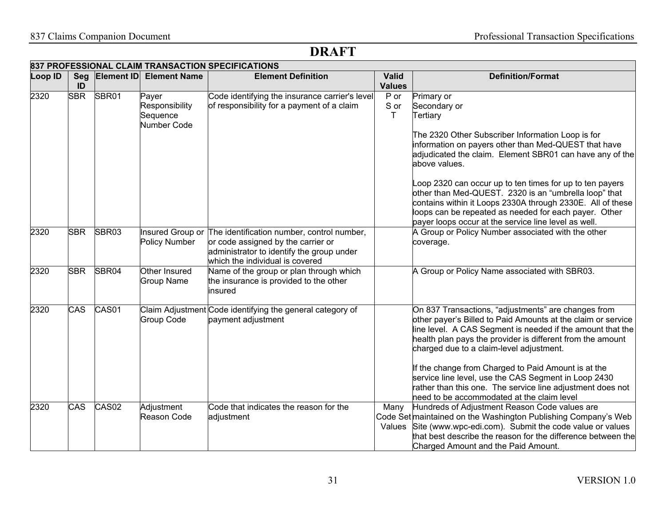| 837 PROFESSIONAL CLAIM TRANSACTION SPECIFICATIONS |            |                   |                                    |                                                                                   |               |                                                                |  |
|---------------------------------------------------|------------|-------------------|------------------------------------|-----------------------------------------------------------------------------------|---------------|----------------------------------------------------------------|--|
| Loop ID                                           | Seg        | Element ID        | <b>Element Name</b>                | <b>Element Definition</b>                                                         | Valid         | <b>Definition/Format</b>                                       |  |
|                                                   | ID         |                   |                                    |                                                                                   | <b>Values</b> |                                                                |  |
| 2320                                              | <b>SBR</b> | SBR01             | Payer                              | Code identifying the insurance carrier's level                                    | $P$ or        | Primary or                                                     |  |
|                                                   |            |                   | Responsibility                     | of responsibility for a payment of a claim                                        | S or          | Secondary or                                                   |  |
|                                                   |            |                   | Sequence                           |                                                                                   | T.            | Tertiary                                                       |  |
|                                                   |            |                   | Number Code                        |                                                                                   |               |                                                                |  |
|                                                   |            |                   |                                    |                                                                                   |               | The 2320 Other Subscriber Information Loop is for              |  |
|                                                   |            |                   |                                    |                                                                                   |               | information on payers other than Med-QUEST that have           |  |
|                                                   |            |                   |                                    |                                                                                   |               | adjudicated the claim. Element SBR01 can have any of the       |  |
|                                                   |            |                   |                                    |                                                                                   |               | above values.                                                  |  |
|                                                   |            |                   |                                    |                                                                                   |               | oop 2320 can occur up to ten times for up to ten payers        |  |
|                                                   |            |                   |                                    |                                                                                   |               | other than Med-QUEST. 2320 is an "umbrella loop" that          |  |
|                                                   |            |                   |                                    |                                                                                   |               | contains within it Loops 2330A through 2330E. All of these     |  |
|                                                   |            |                   |                                    |                                                                                   |               | loops can be repeated as needed for each payer. Other          |  |
|                                                   |            |                   |                                    |                                                                                   |               | payer loops occur at the service line level as well.           |  |
| 2320                                              | <b>SBR</b> | SBR03             |                                    | Insured Group or The identification number, control number,                       |               | A Group or Policy Number associated with the other             |  |
|                                                   |            |                   | Policy Number                      | or code assigned by the carrier or                                                |               | coverage.                                                      |  |
|                                                   |            |                   |                                    | administrator to identify the group under                                         |               |                                                                |  |
|                                                   |            |                   |                                    | which the individual is covered                                                   |               |                                                                |  |
| 2320                                              | <b>SBR</b> | SBR04             | Other Insured<br><b>Group Name</b> | Name of the group or plan through which<br>the insurance is provided to the other |               | A Group or Policy Name associated with SBR03.                  |  |
|                                                   |            |                   |                                    | insured                                                                           |               |                                                                |  |
|                                                   |            |                   |                                    |                                                                                   |               |                                                                |  |
| 2320                                              | CAS        | CAS01             |                                    | Claim Adjustment Code identifying the general category of                         |               | On 837 Transactions, "adjustments" are changes from            |  |
|                                                   |            |                   | <b>Group Code</b>                  | payment adjustment                                                                |               | other payer's Billed to Paid Amounts at the claim or service   |  |
|                                                   |            |                   |                                    |                                                                                   |               | line level. A CAS Segment is needed if the amount that the     |  |
|                                                   |            |                   |                                    |                                                                                   |               | health plan pays the provider is different from the amount     |  |
|                                                   |            |                   |                                    |                                                                                   |               | charged due to a claim-level adjustment.                       |  |
|                                                   |            |                   |                                    |                                                                                   |               | If the change from Charged to Paid Amount is at the            |  |
|                                                   |            |                   |                                    |                                                                                   |               | service line level, use the CAS Segment in Loop 2430           |  |
|                                                   |            |                   |                                    |                                                                                   |               | rather than this one. The service line adjustment does not     |  |
|                                                   |            |                   |                                    |                                                                                   |               | need to be accommodated at the claim level                     |  |
| 2320                                              | <b>CAS</b> | CAS <sub>02</sub> | Adjustment                         | Code that indicates the reason for the                                            | Many          | Hundreds of Adjustment Reason Code values are                  |  |
|                                                   |            |                   | Reason Code                        | adjustment                                                                        |               | Code Set maintained on the Washington Publishing Company's Web |  |
|                                                   |            |                   |                                    |                                                                                   | Values        | Site (www.wpc-edi.com). Submit the code value or values        |  |
|                                                   |            |                   |                                    |                                                                                   |               | that best describe the reason for the difference between the   |  |
|                                                   |            |                   |                                    |                                                                                   |               | Charged Amount and the Paid Amount.                            |  |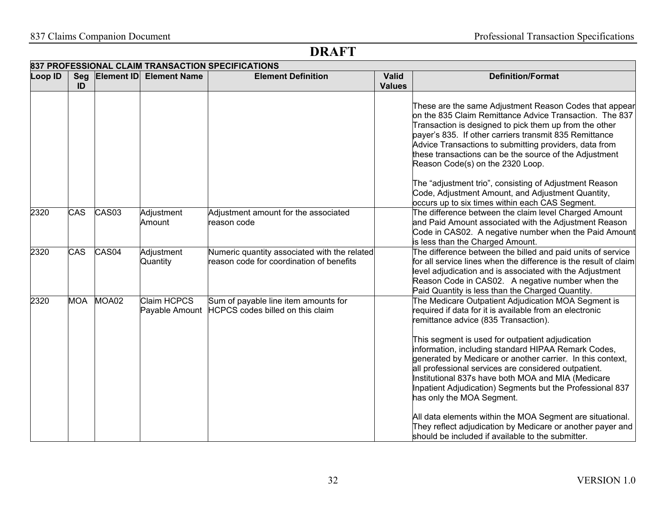# 837 Claims Companion Document Professional Transaction Specifications

|         |            |                   |                               | 837 PROFESSIONAL CLAIM TRANSACTION SPECIFICATIONS                                        |               |                                                                                                                                                                                                                                                                                                                                                                                                                                               |
|---------|------------|-------------------|-------------------------------|------------------------------------------------------------------------------------------|---------------|-----------------------------------------------------------------------------------------------------------------------------------------------------------------------------------------------------------------------------------------------------------------------------------------------------------------------------------------------------------------------------------------------------------------------------------------------|
| Loop ID |            |                   | Seg Element ID Element Name   | <b>Element Definition</b>                                                                | <b>Valid</b>  | <b>Definition/Format</b>                                                                                                                                                                                                                                                                                                                                                                                                                      |
|         | ID         |                   |                               |                                                                                          | <b>Values</b> |                                                                                                                                                                                                                                                                                                                                                                                                                                               |
|         |            |                   |                               |                                                                                          |               | These are the same Adjustment Reason Codes that appear<br>on the 835 Claim Remittance Advice Transaction. The 837<br>Transaction is designed to pick them up from the other<br>payer's 835. If other carriers transmit 835 Remittance<br>Advice Transactions to submitting providers, data from<br>these transactions can be the source of the Adjustment<br>Reason Code(s) on the 2320 Loop.                                                 |
|         |            |                   |                               |                                                                                          |               | The "adjustment trio", consisting of Adjustment Reason<br>Code, Adjustment Amount, and Adjustment Quantity,<br>occurs up to six times within each CAS Segment.                                                                                                                                                                                                                                                                                |
| 2320    | <b>CAS</b> | CAS <sub>03</sub> | Adjustment<br>Amount          | Adjustment amount for the associated<br>reason code                                      |               | The difference between the claim level Charged Amount<br>and Paid Amount associated with the Adjustment Reason<br>Code in CAS02. A negative number when the Paid Amount<br>is less than the Charged Amount.                                                                                                                                                                                                                                   |
| 2320    | <b>CAS</b> | CAS <sub>04</sub> | Adjustment<br>Quantity        | Numeric quantity associated with the related<br>reason code for coordination of benefits |               | The difference between the billed and paid units of service<br>for all service lines when the difference is the result of claim<br>level adjudication and is associated with the Adjustment<br>Reason Code in CAS02. A negative number when the<br>Paid Quantity is less than the Charged Quantity.                                                                                                                                           |
| 2320    | <b>MOA</b> | MOA02             | Claim HCPCS<br>Payable Amount | Sum of payable line item amounts for<br>HCPCS codes billed on this claim                 |               | The Medicare Outpatient Adjudication MOA Segment is<br>required if data for it is available from an electronic<br>remittance advice (835 Transaction).<br>This segment is used for outpatient adjudication<br>information, including standard HIPAA Remark Codes,<br>generated by Medicare or another carrier. In this context,<br>all professional services are considered outpatient.<br>Institutional 837s have both MOA and MIA (Medicare |
|         |            |                   |                               |                                                                                          |               | Inpatient Adjudication) Segments but the Professional 837<br>has only the MOA Segment.<br>All data elements within the MOA Segment are situational.<br>They reflect adjudication by Medicare or another payer and<br>should be included if available to the submitter.                                                                                                                                                                        |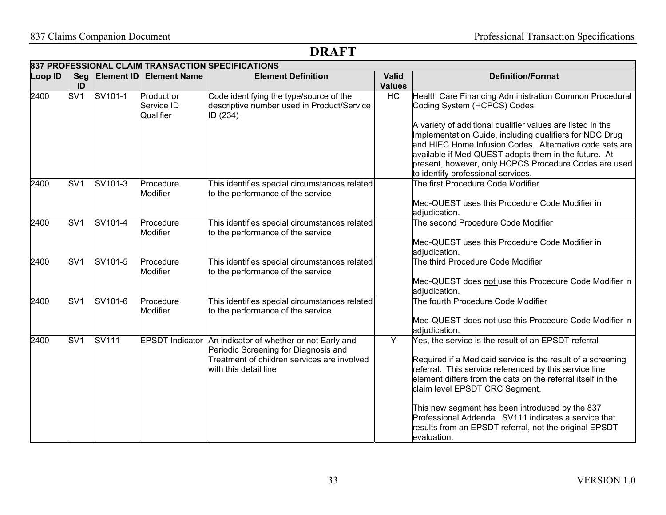|         | 837 PROFESSIONAL CLAIM TRANSACTION SPECIFICATIONS |                              |                                       |                                                                                                                                                                          |                               |                                                                                                                                                                                                                                                                                                                                                                                                                                                                    |  |  |
|---------|---------------------------------------------------|------------------------------|---------------------------------------|--------------------------------------------------------------------------------------------------------------------------------------------------------------------------|-------------------------------|--------------------------------------------------------------------------------------------------------------------------------------------------------------------------------------------------------------------------------------------------------------------------------------------------------------------------------------------------------------------------------------------------------------------------------------------------------------------|--|--|
| Loop ID | ID                                                | Seg Element ID               | <b>Element Name</b>                   | <b>Element Definition</b>                                                                                                                                                | <b>Valid</b><br><b>Values</b> | <b>Definition/Format</b>                                                                                                                                                                                                                                                                                                                                                                                                                                           |  |  |
| 2400    | SV <sub>1</sub>                                   | SV101-1                      | Product or<br>Service ID<br>Qualifier | Code identifying the type/source of the<br>descriptive number used in Product/Service<br>ID (234)                                                                        | HC                            | Health Care Financing Administration Common Procedural<br>Coding System (HCPCS) Codes<br>A variety of additional qualifier values are listed in the<br>Implementation Guide, including qualifiers for NDC Drug<br>and HIEC Home Infusion Codes. Alternative code sets are<br>available if Med-QUEST adopts them in the future. At<br>present, however, only HCPCS Procedure Codes are used<br>to identify professional services.                                   |  |  |
| 2400    | SV <sub>1</sub>                                   | SV101-3                      | Procedure<br>Modifier                 | This identifies special circumstances related<br>to the performance of the service                                                                                       |                               | The first Procedure Code Modifier<br>Med-QUEST uses this Procedure Code Modifier in<br>adjudication.                                                                                                                                                                                                                                                                                                                                                               |  |  |
| 2400    | SV <sub>1</sub>                                   | SV101-4                      | Procedure<br>Modifier                 | This identifies special circumstances related<br>to the performance of the service                                                                                       |                               | The second Procedure Code Modifier<br>Med-QUEST uses this Procedure Code Modifier in<br>adjudication.                                                                                                                                                                                                                                                                                                                                                              |  |  |
| 2400    | SV <sub>1</sub>                                   | $\overline{\text{SV}}$ 101-5 | Procedure<br><b>Modifier</b>          | This identifies special circumstances related<br>to the performance of the service                                                                                       |                               | The third Procedure Code Modifier<br>Med-QUEST does not use this Procedure Code Modifier in<br>adjudication.                                                                                                                                                                                                                                                                                                                                                       |  |  |
| 2400    | SV <sub>1</sub>                                   | SV101-6                      | Procedure<br>Modifier                 | This identifies special circumstances related<br>to the performance of the service                                                                                       |                               | The fourth Procedure Code Modifier<br>Med-QUEST does not use this Procedure Code Modifier in<br>adjudication.                                                                                                                                                                                                                                                                                                                                                      |  |  |
| 2400    | SV <sub>1</sub>                                   | <b>SV111</b>                 |                                       | EPSDT Indicator An indicator of whether or not Early and<br>Periodic Screening for Diagnosis and<br>Treatment of children services are involved<br>with this detail line | Y                             | Yes, the service is the result of an EPSDT referral<br>Required if a Medicaid service is the result of a screening<br>referral. This service referenced by this service line<br>element differs from the data on the referral itself in the<br>claim level EPSDT CRC Segment.<br>This new segment has been introduced by the 837<br>Professional Addenda. SV111 indicates a service that<br>results from an EPSDT referral, not the original EPSDT<br>levaluation. |  |  |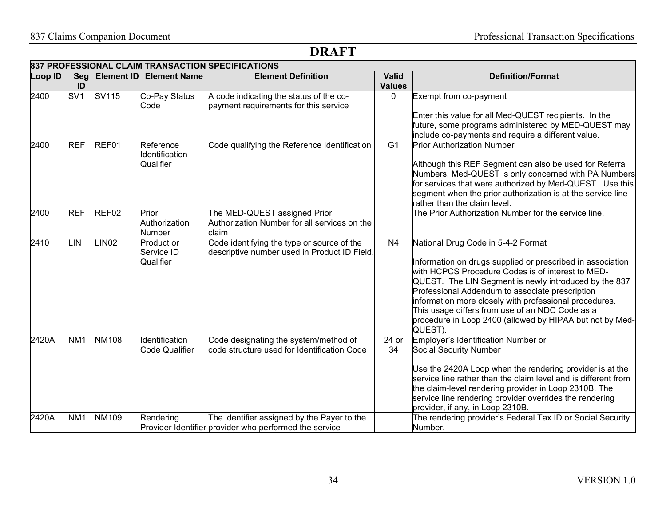|         | 837 PROFESSIONAL CLAIM TRANSACTION SPECIFICATIONS |                   |                                          |                                                                                                       |                               |                                                                                                                                                                                                                                                                                                                                                                                                                                                       |  |  |  |
|---------|---------------------------------------------------|-------------------|------------------------------------------|-------------------------------------------------------------------------------------------------------|-------------------------------|-------------------------------------------------------------------------------------------------------------------------------------------------------------------------------------------------------------------------------------------------------------------------------------------------------------------------------------------------------------------------------------------------------------------------------------------------------|--|--|--|
| Loop ID | Seg<br>ID                                         |                   | <b>Element ID Element Name</b>           | <b>Element Definition</b>                                                                             | <b>Valid</b><br><b>Values</b> | <b>Definition/Format</b>                                                                                                                                                                                                                                                                                                                                                                                                                              |  |  |  |
| 2400    | SV <sub>1</sub>                                   | SV115             | Co-Pay Status<br>Code                    | A code indicating the status of the co-<br>payment requirements for this service                      | $\Omega$                      | Exempt from co-payment<br>Enter this value for all Med-QUEST recipients. In the<br>future, some programs administered by MED-QUEST may<br>include co-payments and require a different value.                                                                                                                                                                                                                                                          |  |  |  |
| 2400    | <b>REF</b>                                        | REF01             | Reference<br>Identification<br>Qualifier | Code qualifying the Reference Identification                                                          | $\overline{G1}$               | <b>Prior Authorization Number</b><br>Although this REF Segment can also be used for Referral<br>Numbers, Med-QUEST is only concerned with PA Numbers<br>for services that were authorized by Med-QUEST. Use this<br>segment when the prior authorization is at the service line<br>rather than the claim level.                                                                                                                                       |  |  |  |
| 2400    | <b>REF</b>                                        | REF <sub>02</sub> | Prior<br>Authorization<br>Number         | The MED-QUEST assigned Prior<br>Authorization Number for all services on the<br>claim                 |                               | The Prior Authorization Number for the service line.                                                                                                                                                                                                                                                                                                                                                                                                  |  |  |  |
| 2410    | .IN                                               | INO2              | Product or<br>Service ID<br>Qualifier    | Code identifying the type or source of the<br>descriptive number used in Product ID Field.            | N <sub>4</sub>                | National Drug Code in 5-4-2 Format<br>Information on drugs supplied or prescribed in association<br>with HCPCS Procedure Codes is of interest to MED-<br>QUEST. The LIN Segment is newly introduced by the 837<br>Professional Addendum to associate prescription<br>information more closely with professional procedures.<br>This usage differs from use of an NDC Code as a<br>procedure in Loop 2400 (allowed by HIPAA but not by Med-<br>QUEST). |  |  |  |
| 2420A   | NM <sub>1</sub>                                   | <b>NM108</b>      | Identification<br><b>Code Qualifier</b>  | Code designating the system/method of<br>code structure used for Identification Code                  | 24 or<br>34                   | Employer's Identification Number or<br>Social Security Number<br>Use the 2420A Loop when the rendering provider is at the<br>service line rather than the claim level and is different from<br>the claim-level rendering provider in Loop 2310B. The<br>service line rendering provider overrides the rendering<br>provider, if any, in Loop 2310B.                                                                                                   |  |  |  |
| 2420A   | NM <sub>1</sub>                                   | <b>NM109</b>      | Rendering                                | The identifier assigned by the Payer to the<br>Provider Identifier provider who performed the service |                               | The rendering provider's Federal Tax ID or Social Security<br>Number.                                                                                                                                                                                                                                                                                                                                                                                 |  |  |  |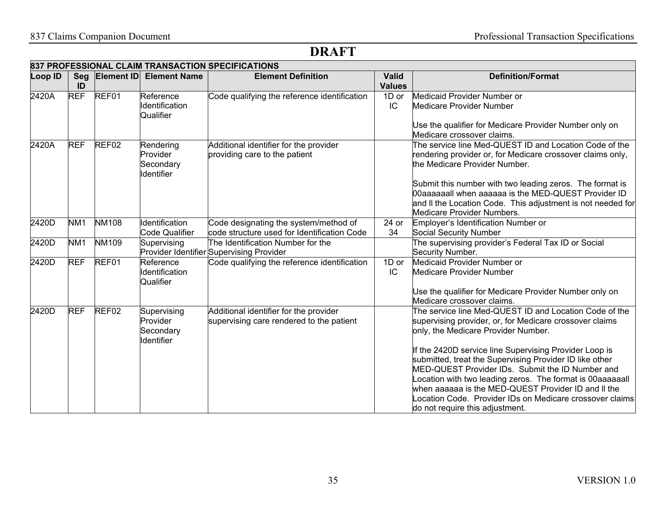### 837 Claims Companion Document Professional Transaction Specifications

|         | 837 PROFESSIONAL CLAIM TRANSACTION SPECIFICATIONS |                   |                                                            |                                                                                      |                               |                                                                                                                                                                                                                                                                                                                                                                                                                                                                                                                                                    |  |  |  |
|---------|---------------------------------------------------|-------------------|------------------------------------------------------------|--------------------------------------------------------------------------------------|-------------------------------|----------------------------------------------------------------------------------------------------------------------------------------------------------------------------------------------------------------------------------------------------------------------------------------------------------------------------------------------------------------------------------------------------------------------------------------------------------------------------------------------------------------------------------------------------|--|--|--|
| Loop ID | Seg<br>ID                                         | Element ID        | <b>Element Name</b>                                        | <b>Element Definition</b>                                                            | <b>Valid</b><br><b>Values</b> | <b>Definition/Format</b>                                                                                                                                                                                                                                                                                                                                                                                                                                                                                                                           |  |  |  |
| 2420A   | <b>REF</b>                                        | REF01             | Reference<br><b>Identification</b><br>Qualifier            | Code qualifying the reference identification                                         | 1D or<br>IC                   | Medicaid Provider Number or<br><b>Medicare Provider Number</b><br>Use the qualifier for Medicare Provider Number only on<br>Medicare crossover claims.                                                                                                                                                                                                                                                                                                                                                                                             |  |  |  |
| 2420A   | <b>REF</b>                                        | REF <sub>02</sub> | Rendering<br>Provider<br>Secondary<br>Identifier           | Additional identifier for the provider<br>providing care to the patient              |                               | The service line Med-QUEST ID and Location Code of the<br>rendering provider or, for Medicare crossover claims only,<br>the Medicare Provider Number.<br>Submit this number with two leading zeros. The format is<br>00aaaaaall when aaaaaa is the MED-QUEST Provider ID<br>and II the Location Code. This adjustment is not needed for<br>Medicare Provider Numbers.                                                                                                                                                                              |  |  |  |
| 2420D   | NM <sub>1</sub>                                   | <b>NM108</b>      | Identification<br>Code Qualifier                           | Code designating the system/method of<br>code structure used for Identification Code | 24 or<br>34                   | Employer's Identification Number or<br>Social Security Number                                                                                                                                                                                                                                                                                                                                                                                                                                                                                      |  |  |  |
| 2420D   | NM <sub>1</sub>                                   | <b>NM109</b>      | Supervising                                                | The Identification Number for the<br>Provider Identifier Supervising Provider        |                               | The supervising provider's Federal Tax ID or Social<br>Security Number.                                                                                                                                                                                                                                                                                                                                                                                                                                                                            |  |  |  |
| 2420D   | <b>REF</b>                                        | REF01             | Reference<br>Identification<br>Qualifier                   | Code qualifying the reference identification                                         | 1D or<br>IC                   | Medicaid Provider Number or<br><b>Medicare Provider Number</b><br>Use the qualifier for Medicare Provider Number only on<br>Medicare crossover claims.                                                                                                                                                                                                                                                                                                                                                                                             |  |  |  |
| 2420D   | <b>REF</b>                                        | REF <sub>02</sub> | Supervising<br>Provider<br>Secondary<br><b>I</b> dentifier | Additional identifier for the provider<br>supervising care rendered to the patient   |                               | The service line Med-QUEST ID and Location Code of the<br>supervising provider, or, for Medicare crossover claims<br>only, the Medicare Provider Number.<br>If the 2420D service line Supervising Provider Loop is<br>submitted, treat the Supervising Provider ID like other<br>MED-QUEST Provider IDs. Submit the ID Number and<br>ocation with two leading zeros. The format is 00aaaaaall<br>when aaaaaa is the MED-QUEST Provider ID and II the<br>ocation Code. Provider IDs on Medicare crossover claims<br>do not require this adjustment. |  |  |  |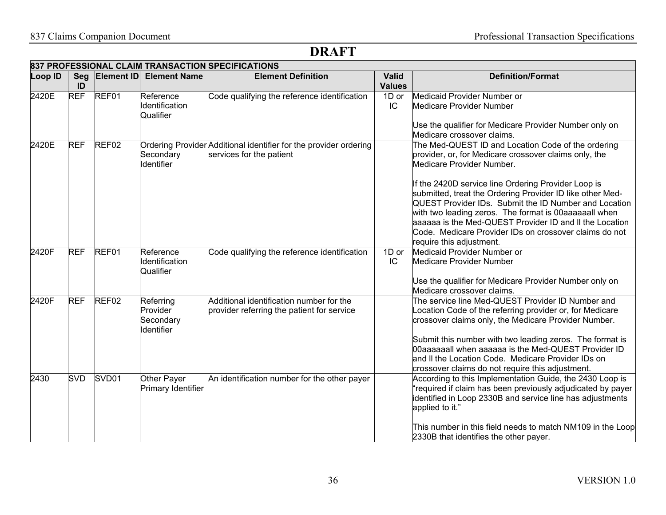### 837 Claims Companion Document Professional Transaction Specifications

| 837 PROFESSIONAL CLAIM TRANSACTION SPECIFICATIONS |            |                   |                                                  |                                                                                               |                               |                                                                                                                                                                                                                                                                                                                                                                                                                                                                                                                                 |  |
|---------------------------------------------------|------------|-------------------|--------------------------------------------------|-----------------------------------------------------------------------------------------------|-------------------------------|---------------------------------------------------------------------------------------------------------------------------------------------------------------------------------------------------------------------------------------------------------------------------------------------------------------------------------------------------------------------------------------------------------------------------------------------------------------------------------------------------------------------------------|--|
| Loop ID                                           | Seg<br>ID  | Element ID        | <b>Element Name</b>                              | <b>Element Definition</b>                                                                     | <b>Valid</b><br><b>Values</b> | <b>Definition/Format</b>                                                                                                                                                                                                                                                                                                                                                                                                                                                                                                        |  |
| 2420E                                             | <b>REF</b> | REF01             | Reference<br>Identification<br>Qualifier         | Code qualifying the reference identification                                                  | 1D or<br>IC                   | Medicaid Provider Number or<br>Medicare Provider Number<br>Use the qualifier for Medicare Provider Number only on<br>Medicare crossover claims.                                                                                                                                                                                                                                                                                                                                                                                 |  |
| 2420E                                             | <b>REF</b> | REF <sub>02</sub> | Secondary<br><b>Identifier</b>                   | Ordering Provider Additional identifier for the provider ordering<br>services for the patient |                               | The Med-QUEST ID and Location Code of the ordering<br>provider, or, for Medicare crossover claims only, the<br>Medicare Provider Number.<br>If the 2420D service line Ordering Provider Loop is<br>submitted, treat the Ordering Provider ID like other Med-<br>QUEST Provider IDs. Submit the ID Number and Location<br>with two leading zeros. The format is 00aaaaaall when<br>aaaaaa is the Med-QUEST Provider ID and II the Location<br>Code. Medicare Provider IDs on crossover claims do not<br>require this adjustment. |  |
| 2420F                                             | <b>REF</b> | REF01             | Reference<br>Identification<br>Qualifier         | Code qualifying the reference identification                                                  | 1D or<br>IC                   | Medicaid Provider Number or<br><b>Medicare Provider Number</b><br>Use the qualifier for Medicare Provider Number only on<br>Medicare crossover claims.                                                                                                                                                                                                                                                                                                                                                                          |  |
| 2420F                                             | <b>REF</b> | REF <sub>02</sub> | Referring<br>Provider<br>Secondary<br>Identifier | Additional identification number for the<br>provider referring the patient for service        |                               | The service line Med-QUEST Provider ID Number and<br>Location Code of the referring provider or, for Medicare<br>crossover claims only, the Medicare Provider Number.<br>Submit this number with two leading zeros. The format is<br>00aaaaaall when aaaaaa is the Med-QUEST Provider ID<br>and II the Location Code. Medicare Provider IDs on<br>crossover claims do not require this adjustment.                                                                                                                              |  |
| $\sqrt{2430}$                                     | <b>SVD</b> | SVD <sub>01</sub> | Other Payer<br>Primary Identifier                | An identification number for the other payer                                                  |                               | According to this Implementation Guide, the 2430 Loop is<br>'required if claim has been previously adjudicated by payer<br>identified in Loop 2330B and service line has adjustments<br>applied to it."<br>This number in this field needs to match NM109 in the Loop<br>2330B that identifies the other payer.                                                                                                                                                                                                                 |  |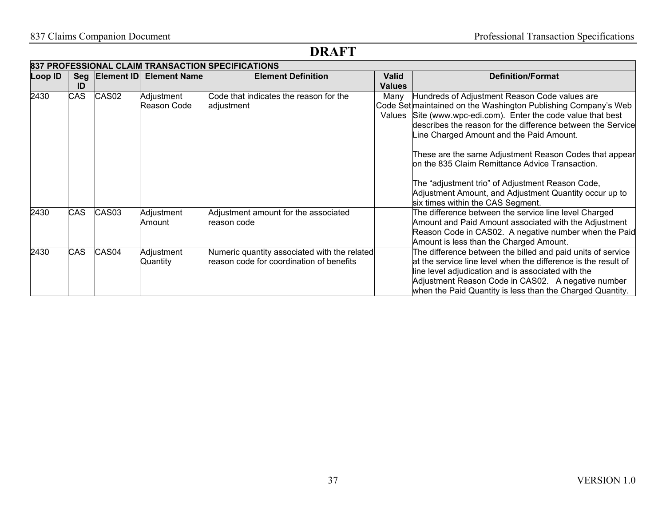|         | <b>837 PROFESSIONAL CLAIM TRANSACTION SPECIFICATIONS</b> |                   |                           |                                                                                          |                        |                                                                                                                                                                                                                                                                                                                                                                                                          |  |  |  |  |
|---------|----------------------------------------------------------|-------------------|---------------------------|------------------------------------------------------------------------------------------|------------------------|----------------------------------------------------------------------------------------------------------------------------------------------------------------------------------------------------------------------------------------------------------------------------------------------------------------------------------------------------------------------------------------------------------|--|--|--|--|
| Loop ID | ID                                                       | Seg Element ID    | <b>Element Name</b>       | <b>Element Definition</b>                                                                | <b>Valid</b><br>Values | <b>Definition/Format</b>                                                                                                                                                                                                                                                                                                                                                                                 |  |  |  |  |
| 2430    | <b>CAS</b>                                               | CAS <sub>02</sub> | Adjustment<br>Reason Code | Code that indicates the reason for the<br>adjustment                                     | Manv                   | Hundreds of Adjustment Reason Code values are<br>Code Set maintained on the Washington Publishing Company's Web<br>Values Site (www.wpc-edi.com). Enter the code value that best<br>describes the reason for the difference between the Service<br>Line Charged Amount and the Paid Amount.<br>These are the same Adjustment Reason Codes that appear<br>on the 835 Claim Remittance Advice Transaction. |  |  |  |  |
|         |                                                          |                   |                           |                                                                                          |                        | The "adjustment trio" of Adjustment Reason Code,<br>Adjustment Amount, and Adjustment Quantity occur up to<br>six times within the CAS Segment.                                                                                                                                                                                                                                                          |  |  |  |  |
| 2430    | <b>CAS</b>                                               | CAS <sub>03</sub> | Adjustment<br>Amount      | Adjustment amount for the associated<br>reason code                                      |                        | The difference between the service line level Charged<br>Amount and Paid Amount associated with the Adjustment<br>Reason Code in CAS02. A negative number when the Paid<br>Amount is less than the Charged Amount.                                                                                                                                                                                       |  |  |  |  |
| 2430    | <b>CAS</b>                                               | CAS <sub>04</sub> | Adjustment<br>Quantity    | Numeric quantity associated with the related<br>reason code for coordination of benefits |                        | The difference between the billed and paid units of service<br>at the service line level when the difference is the result of<br>line level adjudication and is associated with the<br>Adjustment Reason Code in CAS02. A negative number<br>when the Paid Quantity is less than the Charged Quantity.                                                                                                   |  |  |  |  |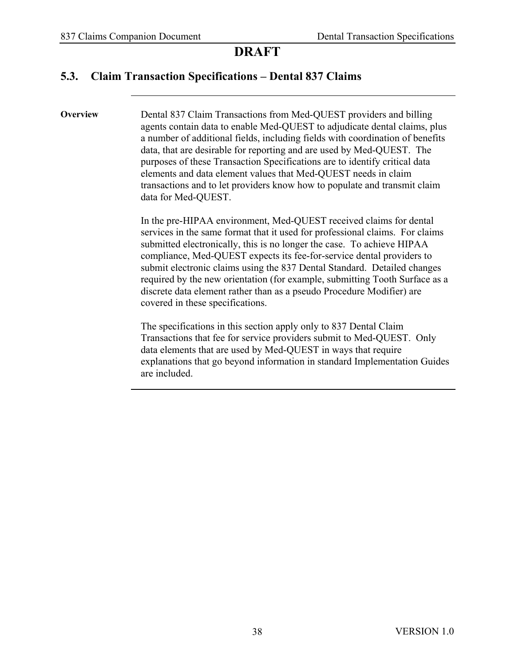#### **5.3. Claim Transaction Specifications – Dental 837 Claims**

**Overview Dental 837 Claim Transactions from Med-QUEST providers and billing** agents contain data to enable Med-QUEST to adjudicate dental claims, plus a number of additional fields, including fields with coordination of benefits data, that are desirable for reporting and are used by Med-QUEST. The purposes of these Transaction Specifications are to identify critical data elements and data element values that Med-QUEST needs in claim transactions and to let providers know how to populate and transmit claim data for Med-QUEST.

> In the pre-HIPAA environment, Med-QUEST received claims for dental services in the same format that it used for professional claims. For claims submitted electronically, this is no longer the case. To achieve HIPAA compliance, Med-QUEST expects its fee-for-service dental providers to submit electronic claims using the 837 Dental Standard. Detailed changes required by the new orientation (for example, submitting Tooth Surface as a discrete data element rather than as a pseudo Procedure Modifier) are covered in these specifications.

> The specifications in this section apply only to 837 Dental Claim Transactions that fee for service providers submit to Med-QUEST. Only data elements that are used by Med-QUEST in ways that require explanations that go beyond information in standard Implementation Guides are included.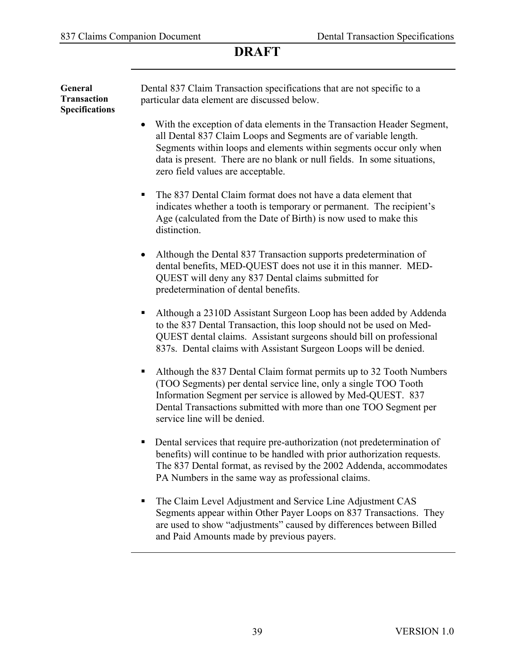| General<br><b>Transaction</b><br><b>Specifications</b> | Dental 837 Claim Transaction specifications that are not specific to a<br>particular data element are discussed below.                                                                                                                                                                                                                       |
|--------------------------------------------------------|----------------------------------------------------------------------------------------------------------------------------------------------------------------------------------------------------------------------------------------------------------------------------------------------------------------------------------------------|
|                                                        | With the exception of data elements in the Transaction Header Segment,<br>$\bullet$<br>all Dental 837 Claim Loops and Segments are of variable length.<br>Segments within loops and elements within segments occur only when<br>data is present. There are no blank or null fields. In some situations,<br>zero field values are acceptable. |
|                                                        | The 837 Dental Claim format does not have a data element that<br>ш<br>indicates whether a tooth is temporary or permanent. The recipient's<br>Age (calculated from the Date of Birth) is now used to make this<br>distinction.                                                                                                               |
|                                                        | Although the Dental 837 Transaction supports predetermination of<br>$\bullet$<br>dental benefits, MED-QUEST does not use it in this manner. MED-<br>QUEST will deny any 837 Dental claims submitted for<br>predetermination of dental benefits.                                                                                              |
|                                                        | Although a 2310D Assistant Surgeon Loop has been added by Addenda<br>п<br>to the 837 Dental Transaction, this loop should not be used on Med-<br>QUEST dental claims. Assistant surgeons should bill on professional<br>837s. Dental claims with Assistant Surgeon Loops will be denied.                                                     |
|                                                        | Although the 837 Dental Claim format permits up to 32 Tooth Numbers<br>п<br>(TOO Segments) per dental service line, only a single TOO Tooth<br>Information Segment per service is allowed by Med-QUEST. 837<br>Dental Transactions submitted with more than one TOO Segment per<br>service line will be denied.                              |
|                                                        | Dental services that require pre-authorization (not predetermination of<br>п<br>benefits) will continue to be handled with prior authorization requests.<br>The 837 Dental format, as revised by the 2002 Addenda, accommodates<br>PA Numbers in the same way as professional claims.                                                        |
|                                                        | The Claim Level Adjustment and Service Line Adjustment CAS<br>Segments appear within Other Payer Loops on 837 Transactions. They<br>are used to show "adjustments" caused by differences between Billed<br>and Paid Amounts made by previous payers.                                                                                         |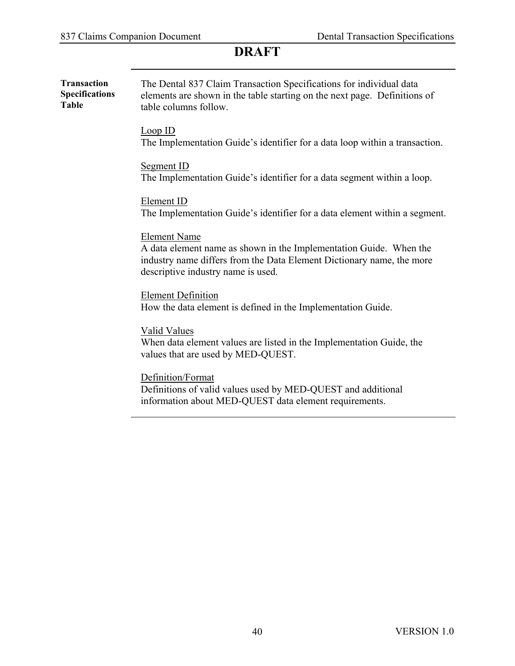| <b>Transaction</b><br><b>Specifications</b><br><b>Table</b> | The Dental 837 Claim Transaction Specifications for individual data<br>elements are shown in the table starting on the next page. Definitions of<br>table columns follow.                                |  |  |  |  |  |  |
|-------------------------------------------------------------|----------------------------------------------------------------------------------------------------------------------------------------------------------------------------------------------------------|--|--|--|--|--|--|
|                                                             | Loop ID<br>The Implementation Guide's identifier for a data loop within a transaction.                                                                                                                   |  |  |  |  |  |  |
|                                                             | <b>Segment ID</b><br>The Implementation Guide's identifier for a data segment within a loop.                                                                                                             |  |  |  |  |  |  |
|                                                             | Element ID<br>The Implementation Guide's identifier for a data element within a segment.                                                                                                                 |  |  |  |  |  |  |
|                                                             | <b>Element Name</b><br>A data element name as shown in the Implementation Guide. When the<br>industry name differs from the Data Element Dictionary name, the more<br>descriptive industry name is used. |  |  |  |  |  |  |
|                                                             | <b>Element Definition</b><br>How the data element is defined in the Implementation Guide.                                                                                                                |  |  |  |  |  |  |
|                                                             | <b>Valid Values</b><br>When data element values are listed in the Implementation Guide, the<br>values that are used by MED-QUEST.                                                                        |  |  |  |  |  |  |
|                                                             | Definition/Format<br>Definitions of valid values used by MED-QUEST and additional<br>information about MED-QUEST data element requirements.                                                              |  |  |  |  |  |  |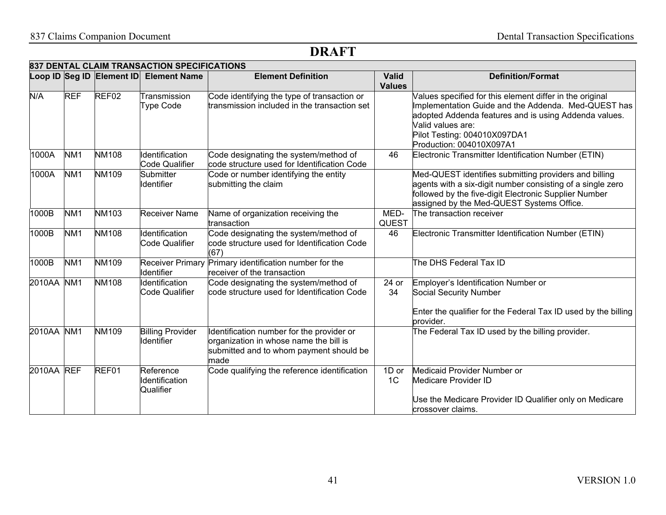|                    |                 |                           | 837 DENTAL CLAIM TRANSACTION SPECIFICATIONS  |                                                                                                                                        |                               |                                                                                                                                                                                                                                                           |
|--------------------|-----------------|---------------------------|----------------------------------------------|----------------------------------------------------------------------------------------------------------------------------------------|-------------------------------|-----------------------------------------------------------------------------------------------------------------------------------------------------------------------------------------------------------------------------------------------------------|
|                    |                 | Loop ID Seg ID Element ID | <b>Element Name</b>                          | <b>Element Definition</b>                                                                                                              | <b>Valid</b><br><b>Values</b> | <b>Definition/Format</b>                                                                                                                                                                                                                                  |
| N/A                | <b>REF</b>      | REF02                     | Transmission<br><b>Type Code</b>             | Code identifying the type of transaction or<br>transmission included in the transaction set                                            |                               | Values specified for this element differ in the original<br>Implementation Guide and the Addenda. Med-QUEST has<br>adopted Addenda features and is using Addenda values.<br>Valid values are:<br>Pilot Testing: 004010X097DA1<br>Production: 004010X097A1 |
| 1000A              | NM <sub>1</sub> | <b>NM108</b>              | Identification<br>Code Qualifier             | Code designating the system/method of<br>code structure used for Identification Code                                                   | 46                            | Electronic Transmitter Identification Number (ETIN)                                                                                                                                                                                                       |
| 1000A              | NM <sub>1</sub> | NM109                     | Submitter<br><b>Identifier</b>               | Code or number identifying the entity<br>submitting the claim                                                                          |                               | Med-QUEST identifies submitting providers and billing<br>agents with a six-digit number consisting of a single zero<br>followed by the five-digit Electronic Supplier Number<br>assigned by the Med-QUEST Systems Office.                                 |
| 1000B              | NM <sub>1</sub> | NM103                     | <b>Receiver Name</b>                         | Name of organization receiving the<br>transaction                                                                                      | MED-<br><b>QUEST</b>          | The transaction receiver                                                                                                                                                                                                                                  |
| 1000B              | NM <sub>1</sub> | <b>NM108</b>              | Identification<br>Code Qualifier             | Code designating the system/method of<br>code structure used for Identification Code<br>(67)                                           | 46                            | Electronic Transmitter Identification Number (ETIN)                                                                                                                                                                                                       |
| $1000\overline{B}$ | NM <sub>1</sub> | <b>NM109</b>              | <b>Receiver Primary</b><br><b>Identifier</b> | Primary identification number for the<br>receiver of the transaction                                                                   |                               | The DHS Federal Tax ID                                                                                                                                                                                                                                    |
| 2010AA             | NM <sub>1</sub> | <b>NM108</b>              | Identification<br><b>Code Qualifier</b>      | Code designating the system/method of<br>code structure used for Identification Code                                                   | 24 or<br>34                   | Employer's Identification Number or<br>Social Security Number                                                                                                                                                                                             |
|                    |                 |                           |                                              |                                                                                                                                        |                               | Enter the qualifier for the Federal Tax ID used by the billing<br>provider.                                                                                                                                                                               |
| 2010AA             | NM <sub>1</sub> | NM109                     | <b>Billing Provider</b><br><b>Identifier</b> | Identification number for the provider or<br>organization in whose name the bill is<br>submitted and to whom payment should be<br>made |                               | The Federal Tax ID used by the billing provider.                                                                                                                                                                                                          |
| 2010AA REF         |                 | REF01                     | Reference<br>Identification<br>Qualifier     | Code qualifying the reference identification                                                                                           | 1D or<br>1C                   | Medicaid Provider Number or<br>Medicare Provider ID<br>Use the Medicare Provider ID Qualifier only on Medicare<br>crossover claims.                                                                                                                       |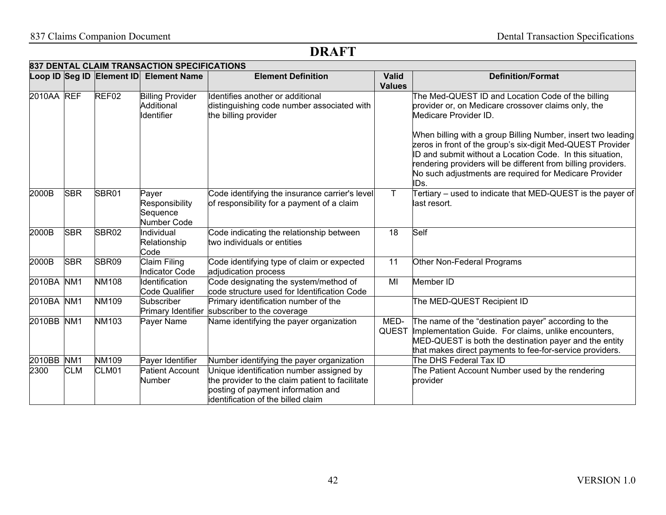|            |                 |                           | 837 DENTAL CLAIM TRANSACTION SPECIFICATIONS         |                                                                                                                                                                         |                               |                                                                                                                                                                                                                                                                                                                            |
|------------|-----------------|---------------------------|-----------------------------------------------------|-------------------------------------------------------------------------------------------------------------------------------------------------------------------------|-------------------------------|----------------------------------------------------------------------------------------------------------------------------------------------------------------------------------------------------------------------------------------------------------------------------------------------------------------------------|
|            |                 | Loop ID Seg ID Element ID | <b>Element Name</b>                                 | <b>Element Definition</b>                                                                                                                                               | <b>Valid</b><br><b>Values</b> | <b>Definition/Format</b>                                                                                                                                                                                                                                                                                                   |
| 2010AA REF |                 | REF <sub>02</sub>         | <b>Billing Provider</b><br>Additional<br>Identifier | Identifies another or additional<br>distinguishing code number associated with<br>the billing provider                                                                  |                               | The Med-QUEST ID and Location Code of the billing<br>provider or, on Medicare crossover claims only, the<br>Medicare Provider ID.                                                                                                                                                                                          |
|            |                 |                           |                                                     |                                                                                                                                                                         |                               | When billing with a group Billing Number, insert two leading<br>zeros in front of the group's six-digit Med-QUEST Provider<br>ID and submit without a Location Code. In this situation,<br>rendering providers will be different from billing providers.<br>No such adjustments are required for Medicare Provider<br>IDs. |
| 2000B      | <b>SBR</b>      | SBR01                     | Payer<br>Responsibility<br>Sequence<br>Number Code  | Code identifying the insurance carrier's level<br>of responsibility for a payment of a claim                                                                            | T.                            | Tertiary – used to indicate that MED-QUEST is the payer of<br>last resort.                                                                                                                                                                                                                                                 |
| 2000B      | <b>SBR</b>      | SBR02                     | Individual<br>Relationship<br>Code                  | Code indicating the relationship between<br>two individuals or entities                                                                                                 | 18                            | Self                                                                                                                                                                                                                                                                                                                       |
| 2000B      | <b>SBR</b>      | SBR09                     | <b>Claim Filing</b><br><b>Indicator Code</b>        | Code identifying type of claim or expected<br>adjudication process                                                                                                      | 11                            | Other Non-Federal Programs                                                                                                                                                                                                                                                                                                 |
| 2010BA     | NM <sub>1</sub> | <b>NM108</b>              | Identification<br>Code Qualifier                    | Code designating the system/method of<br>code structure used for Identification Code                                                                                    | MI                            | Member ID                                                                                                                                                                                                                                                                                                                  |
| 2010BA     | NM <sub>1</sub> | NM109                     | Subscriber                                          | Primary identification number of the<br>Primary Identifier subscriber to the coverage                                                                                   |                               | The MED-QUEST Recipient ID                                                                                                                                                                                                                                                                                                 |
| 2010BB NM1 |                 | <b>NM103</b>              | Payer Name                                          | Name identifying the payer organization                                                                                                                                 | MED-                          | The name of the "destination payer" according to the<br>QUEST Implementation Guide. For claims, unlike encounters,<br>MED-QUEST is both the destination payer and the entity<br>that makes direct payments to fee-for-service providers.                                                                                   |
| 2010BB NM1 |                 | <b>NM109</b>              | Payer Identifier                                    | Number identifying the payer organization                                                                                                                               |                               | The DHS Federal Tax ID                                                                                                                                                                                                                                                                                                     |
| 2300       | <b>CLM</b>      | CLM01                     | <b>Patient Account</b><br>Number                    | Unique identification number assigned by<br>the provider to the claim patient to facilitate<br>posting of payment information and<br>identification of the billed claim |                               | The Patient Account Number used by the rendering<br>provider                                                                                                                                                                                                                                                               |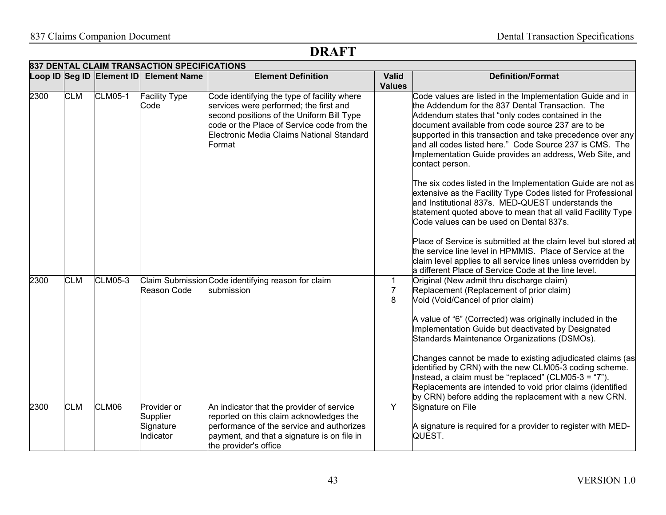|      |            |                | 837 DENTAL CLAIM TRANSACTION SPECIFICATIONS<br>Loop ID Seg ID Element ID Element Name | <b>Element Definition</b>                                                                                                                                                                                                               | <b>Valid</b>             | <b>Definition/Format</b>                                                                                                                                                                                                                                                                                                                                                                                                                                                                                                                                                                                                                                                                                                                                                                                                                                                                                                     |
|------|------------|----------------|---------------------------------------------------------------------------------------|-----------------------------------------------------------------------------------------------------------------------------------------------------------------------------------------------------------------------------------------|--------------------------|------------------------------------------------------------------------------------------------------------------------------------------------------------------------------------------------------------------------------------------------------------------------------------------------------------------------------------------------------------------------------------------------------------------------------------------------------------------------------------------------------------------------------------------------------------------------------------------------------------------------------------------------------------------------------------------------------------------------------------------------------------------------------------------------------------------------------------------------------------------------------------------------------------------------------|
|      |            |                |                                                                                       |                                                                                                                                                                                                                                         | <b>Values</b>            |                                                                                                                                                                                                                                                                                                                                                                                                                                                                                                                                                                                                                                                                                                                                                                                                                                                                                                                              |
| 2300 | <b>CLM</b> | <b>CLM05-1</b> | <b>Facility Type</b><br>Code                                                          | Code identifying the type of facility where<br>services were performed; the first and<br>second positions of the Uniform Bill Type<br>code or the Place of Service code from the<br>Electronic Media Claims National Standard<br>Format |                          | Code values are listed in the Implementation Guide and in<br>the Addendum for the 837 Dental Transaction. The<br>Addendum states that "only codes contained in the<br>document available from code source 237 are to be<br>supported in this transaction and take precedence over any<br>and all codes listed here." Code Source 237 is CMS. The<br>Implementation Guide provides an address, Web Site, and<br>contact person.<br>The six codes listed in the Implementation Guide are not as<br>extensive as the Facility Type Codes listed for Professional<br>and Institutional 837s. MED-QUEST understands the<br>statement quoted above to mean that all valid Facility Type<br>Code values can be used on Dental 837s.<br>Place of Service is submitted at the claim level but stored at<br>the service line level in HPMMIS. Place of Service at the<br>claim level applies to all service lines unless overridden by |
| 2300 | <b>CLM</b> | <b>CLM05-3</b> | Reason Code                                                                           | Claim Submission Code identifying reason for claim<br>submission                                                                                                                                                                        | 1<br>$\overline{7}$<br>8 | a different Place of Service Code at the line level.<br>Original (New admit thru discharge claim)<br>Replacement (Replacement of prior claim)<br>Void (Void/Cancel of prior claim)<br>A value of "6" (Corrected) was originally included in the<br>Implementation Guide but deactivated by Designated<br>Standards Maintenance Organizations (DSMOs).<br>Changes cannot be made to existing adjudicated claims (as<br>identified by CRN) with the new CLM05-3 coding scheme.<br>Instead, a claim must be "replaced" (CLM05-3 = "7").<br>Replacements are intended to void prior claims (identified<br>by CRN) before adding the replacement with a new CRN.                                                                                                                                                                                                                                                                  |
| 2300 | <b>CLM</b> | CLM06          | Provider or<br>Supplier<br>Signature<br>Indicator                                     | An indicator that the provider of service<br>reported on this claim acknowledges the<br>performance of the service and authorizes<br>payment, and that a signature is on file in<br>the provider's office                               | Y                        | Signature on File<br>A signature is required for a provider to register with MED-<br>QUEST.                                                                                                                                                                                                                                                                                                                                                                                                                                                                                                                                                                                                                                                                                                                                                                                                                                  |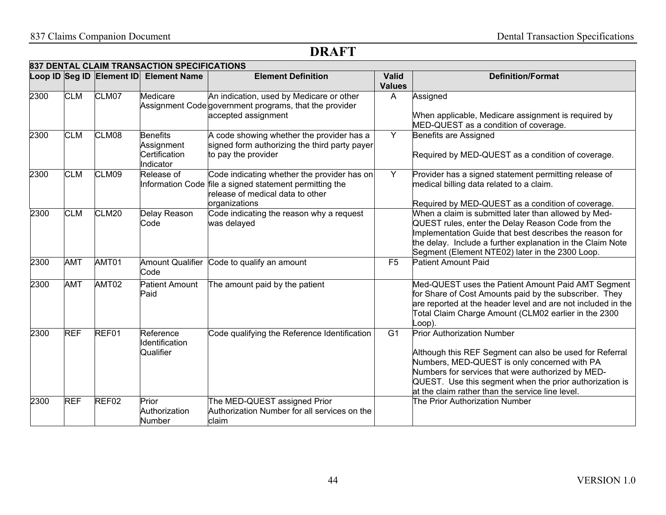|      | 837 DENTAL CLAIM TRANSACTION SPECIFICATIONS |                           |                                                             |                                                                                                                                            |                               |                                                                                                                                                                                                                                                                                                                  |  |  |  |
|------|---------------------------------------------|---------------------------|-------------------------------------------------------------|--------------------------------------------------------------------------------------------------------------------------------------------|-------------------------------|------------------------------------------------------------------------------------------------------------------------------------------------------------------------------------------------------------------------------------------------------------------------------------------------------------------|--|--|--|
|      |                                             | Loop ID Seg ID Element ID | <b>Element Name</b>                                         | <b>Element Definition</b>                                                                                                                  | <b>Valid</b><br><b>Values</b> | <b>Definition/Format</b>                                                                                                                                                                                                                                                                                         |  |  |  |
| 2300 | <b>CLM</b>                                  | CLM07                     | Medicare                                                    | An indication, used by Medicare or other<br>Assignment Code government programs, that the provider<br>accepted assignment                  | A                             | Assigned<br>When applicable, Medicare assignment is required by<br>MED-QUEST as a condition of coverage.                                                                                                                                                                                                         |  |  |  |
| 2300 | <b>CLM</b>                                  | CLM08                     | <b>Benefits</b><br>Assignment<br>Certification<br>Indicator | A code showing whether the provider has a<br>signed form authorizing the third party payer<br>to pay the provider                          | Y                             | Benefits are Assigned<br>Required by MED-QUEST as a condition of coverage.                                                                                                                                                                                                                                       |  |  |  |
| 2300 | <b>CLM</b>                                  | CLM09                     | Release of<br><b>Information Code</b>                       | Code indicating whether the provider has on<br>file a signed statement permitting the<br>release of medical data to other<br>organizations | Y                             | Provider has a signed statement permitting release of<br>medical billing data related to a claim.<br>Required by MED-QUEST as a condition of coverage.                                                                                                                                                           |  |  |  |
| 2300 | <b>CLM</b>                                  | CLM20                     | Delay Reason<br>Code                                        | Code indicating the reason why a request<br>was delayed                                                                                    |                               | When a claim is submitted later than allowed by Med-<br>QUEST rules, enter the Delay Reason Code from the<br>Implementation Guide that best describes the reason for<br>the delay. Include a further explanation in the Claim Note<br>Segment (Element NTE02) later in the 2300 Loop.                            |  |  |  |
| 2300 | <b>AMT</b>                                  | AMT01                     | <b>Amount Qualifier</b><br>Code                             | Code to qualify an amount                                                                                                                  | F <sub>5</sub>                | <b>Patient Amount Paid</b>                                                                                                                                                                                                                                                                                       |  |  |  |
| 2300 | <b>AMT</b>                                  | AMT02                     | Patient Amount<br>Paid                                      | The amount paid by the patient                                                                                                             |                               | Med-QUEST uses the Patient Amount Paid AMT Segment<br>for Share of Cost Amounts paid by the subscriber. They<br>are reported at the header level and are not included in the<br>Total Claim Charge Amount (CLM02 earlier in the 2300<br>_oop).                                                                   |  |  |  |
| 2300 | <b>REF</b>                                  | REF01                     | Reference<br><b>Identification</b><br>Qualifier             | Code qualifying the Reference Identification                                                                                               | $\overline{G1}$               | <b>Prior Authorization Number</b><br>Although this REF Segment can also be used for Referral<br>Numbers, MED-QUEST is only concerned with PA<br>Numbers for services that were authorized by MED-<br>QUEST. Use this segment when the prior authorization is<br>at the claim rather than the service line level. |  |  |  |
| 2300 | <b>REF</b>                                  | REF02                     | Prior<br>Authorization<br><b>Number</b>                     | The MED-QUEST assigned Prior<br>Authorization Number for all services on the<br>claim                                                      |                               | The Prior Authorization Number                                                                                                                                                                                                                                                                                   |  |  |  |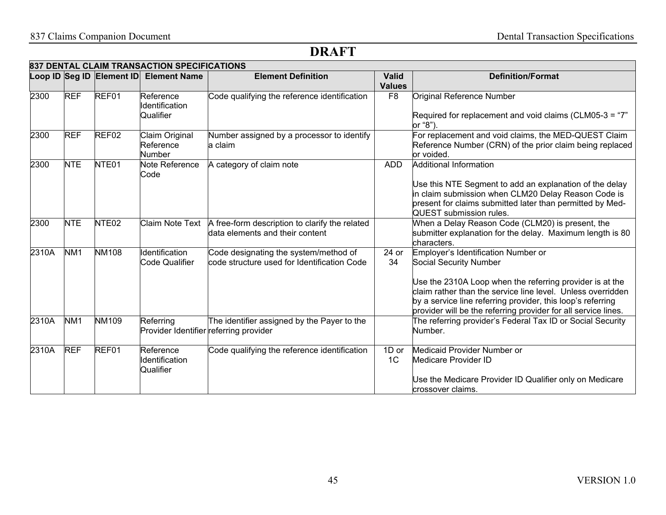|       |                 |                           | 837 DENTAL CLAIM TRANSACTION SPECIFICATIONS         |                                                                                      |                               |                                                                                                                                                                                                                                                                                                                           |
|-------|-----------------|---------------------------|-----------------------------------------------------|--------------------------------------------------------------------------------------|-------------------------------|---------------------------------------------------------------------------------------------------------------------------------------------------------------------------------------------------------------------------------------------------------------------------------------------------------------------------|
|       |                 | Loop ID Seg ID Element ID | <b>Element Name</b>                                 | <b>Element Definition</b>                                                            | <b>Valid</b><br><b>Values</b> | <b>Definition/Format</b>                                                                                                                                                                                                                                                                                                  |
| 2300  | <b>REF</b>      | REF01                     | Reference<br>Identification<br>Qualifier            | Code qualifying the reference identification                                         | F <sub>8</sub>                | Original Reference Number<br>Required for replacement and void claims (CLM05-3 = "7"<br>or "8").                                                                                                                                                                                                                          |
| 2300  | <b>REF</b>      | REF02                     | Claim Original<br>Reference<br>Number               | Number assigned by a processor to identify<br>a claim                                |                               | For replacement and void claims, the MED-QUEST Claim<br>Reference Number (CRN) of the prior claim being replaced<br>or voided.                                                                                                                                                                                            |
| 2300  | <b>NTE</b>      | NTE01                     | Note Reference<br>Code                              | A category of claim note                                                             | <b>ADD</b>                    | <b>Additional Information</b><br>Use this NTE Segment to add an explanation of the delay<br>in claim submission when CLM20 Delay Reason Code is<br>present for claims submitted later than permitted by Med-<br>QUEST submission rules.                                                                                   |
| 2300  | <b>NTE</b>      | NTE <sub>02</sub>         | Claim Note Text                                     | A free-form description to clarify the related<br>data elements and their content    |                               | When a Delay Reason Code (CLM20) is present, the<br>submitter explanation for the delay. Maximum length is 80<br>characters.                                                                                                                                                                                              |
| 2310A | NM <sub>1</sub> | <b>NM108</b>              | <b>Identification</b><br><b>Code Qualifier</b>      | Code designating the system/method of<br>code structure used for Identification Code | 24 or<br>34                   | Employer's Identification Number or<br>Social Security Number<br>Use the 2310A Loop when the referring provider is at the<br>claim rather than the service line level. Unless overridden<br>by a service line referring provider, this loop's referring<br>provider will be the referring provider for all service lines. |
| 2310A | NM <sub>1</sub> | <b>NM109</b>              | Referring<br>Provider Identifier referring provider | The identifier assigned by the Payer to the                                          |                               | The referring provider's Federal Tax ID or Social Security<br>Number.                                                                                                                                                                                                                                                     |
| 2310A | <b>REF</b>      | REF01                     | Reference<br>Identification<br>Qualifier            | Code qualifying the reference identification                                         | 1D or<br>1C                   | Medicaid Provider Number or<br>Medicare Provider ID<br>Use the Medicare Provider ID Qualifier only on Medicare<br>crossover claims.                                                                                                                                                                                       |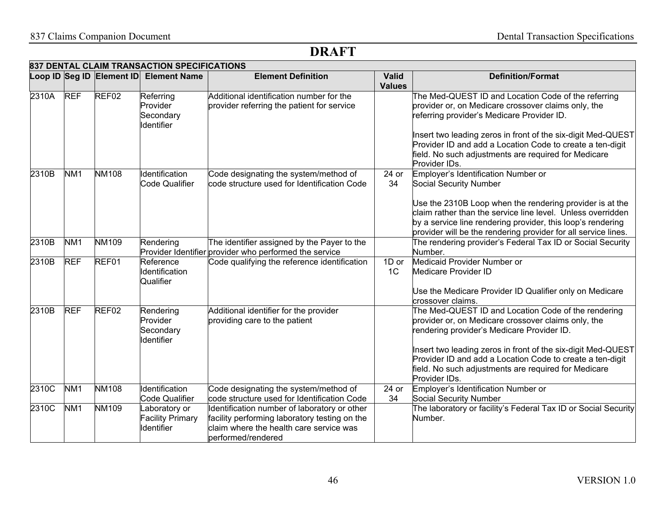|       | 837 DENTAL CLAIM TRANSACTION SPECIFICATIONS |                   |                                                          |                                                                                                                                                                |                               |                                                                                                                                                                                                                                                          |  |  |  |
|-------|---------------------------------------------|-------------------|----------------------------------------------------------|----------------------------------------------------------------------------------------------------------------------------------------------------------------|-------------------------------|----------------------------------------------------------------------------------------------------------------------------------------------------------------------------------------------------------------------------------------------------------|--|--|--|
|       |                                             |                   | Loop ID Seg ID Element ID Element Name                   | <b>Element Definition</b>                                                                                                                                      | <b>Valid</b><br><b>Values</b> | <b>Definition/Format</b>                                                                                                                                                                                                                                 |  |  |  |
| 2310A | <b>REF</b>                                  | REF <sub>02</sub> | Referring<br>Provider<br>Secondary<br><b>I</b> dentifier | Additional identification number for the<br>provider referring the patient for service                                                                         |                               | The Med-QUEST ID and Location Code of the referring<br>provider or, on Medicare crossover claims only, the<br>referring provider's Medicare Provider ID.<br>Insert two leading zeros in front of the six-digit Med-QUEST                                 |  |  |  |
|       |                                             |                   |                                                          |                                                                                                                                                                |                               | Provider ID and add a Location Code to create a ten-digit<br>field. No such adjustments are required for Medicare<br>Provider IDs.                                                                                                                       |  |  |  |
| 2310B | NM <sub>1</sub>                             | <b>NM108</b>      | Identification<br><b>Code Qualifier</b>                  | Code designating the system/method of<br>code structure used for Identification Code                                                                           | 24 or<br>34                   | Employer's Identification Number or<br>Social Security Number                                                                                                                                                                                            |  |  |  |
|       |                                             |                   |                                                          |                                                                                                                                                                |                               | Use the 2310B Loop when the rendering provider is at the<br>claim rather than the service line level. Unless overridden<br>by a service line rendering provider, this loop's rendering<br>provider will be the rendering provider for all service lines. |  |  |  |
| 2310B | NM <sub>1</sub>                             | <b>NM109</b>      | Rendering                                                | The identifier assigned by the Payer to the<br>Provider Identifier provider who performed the service                                                          |                               | The rendering provider's Federal Tax ID or Social Security<br>Number.                                                                                                                                                                                    |  |  |  |
| 2310B | <b>REF</b>                                  | REF01             | Reference<br>Identification<br>Qualifier                 | Code qualifying the reference identification                                                                                                                   | 1D or<br>1C                   | Medicaid Provider Number or<br><b>Medicare Provider ID</b>                                                                                                                                                                                               |  |  |  |
|       |                                             |                   |                                                          |                                                                                                                                                                |                               | Use the Medicare Provider ID Qualifier only on Medicare<br>crossover claims.                                                                                                                                                                             |  |  |  |
| 2310B | <b>REF</b>                                  | REF <sub>02</sub> | Rendering<br>Provider<br>Secondary<br>Identifier         | Additional identifier for the provider<br>providing care to the patient                                                                                        |                               | The Med-QUEST ID and Location Code of the rendering<br>provider or, on Medicare crossover claims only, the<br>rendering provider's Medicare Provider ID.                                                                                                 |  |  |  |
|       |                                             |                   |                                                          |                                                                                                                                                                |                               | Insert two leading zeros in front of the six-digit Med-QUEST<br>Provider ID and add a Location Code to create a ten-digit<br>field. No such adjustments are required for Medicare<br>Provider IDs.                                                       |  |  |  |
| 2310C | N <sub>M1</sub>                             | <b>NM108</b>      | Identification<br><b>Code Qualifier</b>                  | Code designating the system/method of<br>code structure used for Identification Code                                                                           | 24 or<br>34                   | Employer's Identification Number or<br><b>Social Security Number</b>                                                                                                                                                                                     |  |  |  |
| 2310C | NM <sub>1</sub>                             | <b>NM109</b>      | aboratory or<br><b>Facility Primary</b><br>Identifier    | Identification number of laboratory or other<br>facility performing laboratory testing on the<br>claim where the health care service was<br>performed/rendered |                               | The laboratory or facility's Federal Tax ID or Social Security<br>Number.                                                                                                                                                                                |  |  |  |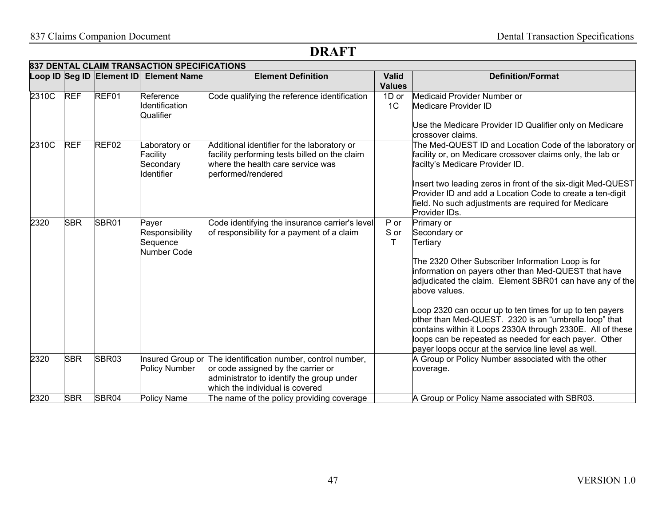|       |            | Loop ID Seg ID Element ID | <b>Element Name</b>                                         | <b>Element Definition</b>                                                                                                                                        | <b>Valid</b><br><b>Values</b> | <b>Definition/Format</b>                                                                                                                                                                                                                                                                                                                                                                                                                                                                                                             |
|-------|------------|---------------------------|-------------------------------------------------------------|------------------------------------------------------------------------------------------------------------------------------------------------------------------|-------------------------------|--------------------------------------------------------------------------------------------------------------------------------------------------------------------------------------------------------------------------------------------------------------------------------------------------------------------------------------------------------------------------------------------------------------------------------------------------------------------------------------------------------------------------------------|
| 2310C | <b>REF</b> | REF01                     | Reference<br>Identification<br>Qualifier                    | Code qualifying the reference identification                                                                                                                     | 1D or<br>1 <sup>C</sup>       | Medicaid Provider Number or<br>Medicare Provider ID<br>Use the Medicare Provider ID Qualifier only on Medicare<br>crossover claims.                                                                                                                                                                                                                                                                                                                                                                                                  |
| 2310C | <b>REF</b> | REF <sub>02</sub>         | aboratory or<br>Facility<br>Secondary<br><b>I</b> dentifier | Additional identifier for the laboratory or<br>facility performing tests billed on the claim<br>where the health care service was<br>berformed/rendered          |                               | The Med-QUEST ID and Location Code of the laboratory or<br>facility or, on Medicare crossover claims only, the lab or<br>facilty's Medicare Provider ID.<br>Insert two leading zeros in front of the six-digit Med-QUEST<br>Provider ID and add a Location Code to create a ten-digit<br>field. No such adjustments are required for Medicare                                                                                                                                                                                        |
|       |            |                           |                                                             |                                                                                                                                                                  |                               | Provider IDs.                                                                                                                                                                                                                                                                                                                                                                                                                                                                                                                        |
| 2320  | <b>SBR</b> | SBR01                     | Payer<br>Responsibility<br>Sequence<br>Number Code          | Code identifying the insurance carrier's level<br>of responsibility for a payment of a claim                                                                     | P or<br>S or<br>т             | Primary or<br>Secondary or<br>Tertiary<br>The 2320 Other Subscriber Information Loop is for<br>information on payers other than Med-QUEST that have<br>adjudicated the claim. Element SBR01 can have any of the<br>above values.<br>Loop 2320 can occur up to ten times for up to ten payers<br>other than Med-QUEST. 2320 is an "umbrella loop" that<br>contains within it Loops 2330A through 2330E. All of these<br>loops can be repeated as needed for each payer. Other<br>payer loops occur at the service line level as well. |
| 2320  | <b>SBR</b> | SBR03                     | Insured Group or<br>Policy Number                           | The identification number, control number,<br>or code assigned by the carrier or<br>administrator to identify the group under<br>which the individual is covered |                               | A Group or Policy Number associated with the other<br>coverage.                                                                                                                                                                                                                                                                                                                                                                                                                                                                      |
| 2320  | <b>SBR</b> | SBR04                     | Policy Name                                                 | The name of the policy providing coverage                                                                                                                        |                               | A Group or Policy Name associated with SBR03.                                                                                                                                                                                                                                                                                                                                                                                                                                                                                        |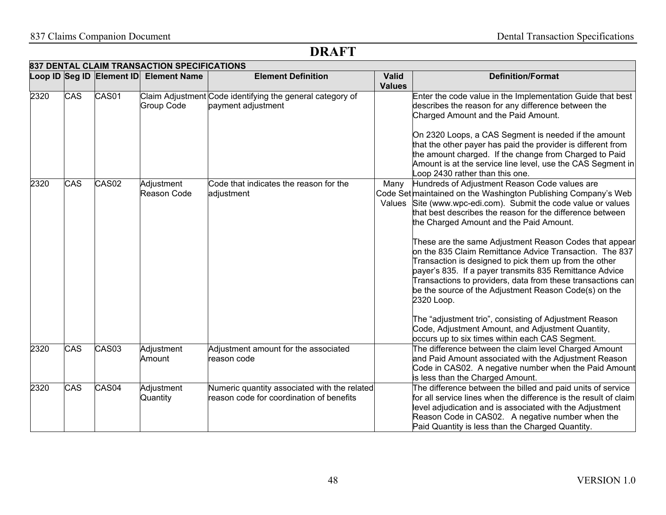|      | 837 DENTAL CLAIM TRANSACTION SPECIFICATIONS |                   |                                        |                                                                                          |                               |                                                                                                                                                                                                                                                                                                                                                                                                                                                                                                                                                                                                                                                                           |  |  |  |  |
|------|---------------------------------------------|-------------------|----------------------------------------|------------------------------------------------------------------------------------------|-------------------------------|---------------------------------------------------------------------------------------------------------------------------------------------------------------------------------------------------------------------------------------------------------------------------------------------------------------------------------------------------------------------------------------------------------------------------------------------------------------------------------------------------------------------------------------------------------------------------------------------------------------------------------------------------------------------------|--|--|--|--|
|      |                                             |                   | Loop ID Seg ID Element ID Element Name | <b>Element Definition</b>                                                                | <b>Valid</b><br><b>Values</b> | <b>Definition/Format</b>                                                                                                                                                                                                                                                                                                                                                                                                                                                                                                                                                                                                                                                  |  |  |  |  |
| 2320 | CAS                                         | CAS <sub>01</sub> | <b>Group Code</b>                      | Claim Adjustment Code identifying the general category of<br>payment adjustment          |                               | Enter the code value in the Implementation Guide that best<br>describes the reason for any difference between the<br>Charged Amount and the Paid Amount.<br>On 2320 Loops, a CAS Segment is needed if the amount<br>that the other payer has paid the provider is different from                                                                                                                                                                                                                                                                                                                                                                                          |  |  |  |  |
|      |                                             |                   |                                        |                                                                                          |                               | the amount charged. If the change from Charged to Paid<br>Amount is at the service line level, use the CAS Segment in<br>oop 2430 rather than this one.                                                                                                                                                                                                                                                                                                                                                                                                                                                                                                                   |  |  |  |  |
| 2320 | CAS                                         | CAS02             | Adjustment<br>Reason Code              | Code that indicates the reason for the<br>adjustment                                     | Many                          | Hundreds of Adjustment Reason Code values are<br>Code Set maintained on the Washington Publishing Company's Web<br>Values Site (www.wpc-edi.com). Submit the code value or values<br>that best describes the reason for the difference between<br>the Charged Amount and the Paid Amount.<br>These are the same Adjustment Reason Codes that appear<br>on the 835 Claim Remittance Advice Transaction. The 837<br>Transaction is designed to pick them up from the other<br>payer's 835. If a payer transmits 835 Remittance Advice<br>Transactions to providers, data from these transactions can<br>be the source of the Adjustment Reason Code(s) on the<br>2320 Loop. |  |  |  |  |
|      |                                             |                   |                                        |                                                                                          |                               | The "adjustment trio", consisting of Adjustment Reason<br>Code, Adjustment Amount, and Adjustment Quantity,<br>occurs up to six times within each CAS Segment.                                                                                                                                                                                                                                                                                                                                                                                                                                                                                                            |  |  |  |  |
| 2320 | CAS                                         | CAS03             | Adjustment<br>Amount                   | Adjustment amount for the associated<br>reason code                                      |                               | The difference between the claim level Charged Amount<br>and Paid Amount associated with the Adjustment Reason<br>Code in CAS02. A negative number when the Paid Amount<br>is less than the Charged Amount.                                                                                                                                                                                                                                                                                                                                                                                                                                                               |  |  |  |  |
| 2320 | <b>CAS</b>                                  | CAS04             | Adjustment<br>Quantity                 | Numeric quantity associated with the related<br>reason code for coordination of benefits |                               | The difference between the billed and paid units of service<br>for all service lines when the difference is the result of claim<br>level adjudication and is associated with the Adjustment<br>Reason Code in CAS02. A negative number when the<br>Paid Quantity is less than the Charged Quantity.                                                                                                                                                                                                                                                                                                                                                                       |  |  |  |  |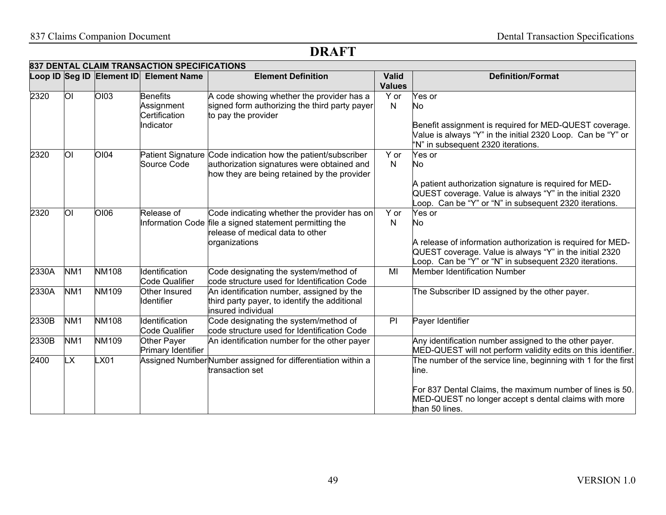|       |                 | 837 DENTAL CLAIM TRANSACTION SPECIFICATIONS<br>Loop ID Seg ID Element ID | <b>Element Name</b>   | <b>Element Definition</b>                                    | <b>Valid</b>  | <b>Definition/Format</b>                                       |
|-------|-----------------|--------------------------------------------------------------------------|-----------------------|--------------------------------------------------------------|---------------|----------------------------------------------------------------|
|       |                 |                                                                          |                       |                                                              | <b>Values</b> |                                                                |
| 2320  | ΟI              | <b>OI03</b>                                                              | <b>Benefits</b>       | A code showing whether the provider has a                    | Y or          | Yes or                                                         |
|       |                 |                                                                          | Assignment            | signed form authorizing the third party payer                | N             | No                                                             |
|       |                 |                                                                          | Certification         | to pay the provider                                          |               |                                                                |
|       |                 |                                                                          | Indicator             |                                                              |               |                                                                |
|       |                 |                                                                          |                       |                                                              |               | Benefit assignment is required for MED-QUEST coverage.         |
|       |                 |                                                                          |                       |                                                              |               | Value is always "Y" in the initial 2320 Loop. Can be "Y" or    |
|       |                 |                                                                          |                       |                                                              |               | "N" in subsequent 2320 iterations.                             |
| 2320  | Οl              | OI04                                                                     |                       | Patient Signature Code indication how the patient/subscriber | Y or          | Yes or                                                         |
|       |                 |                                                                          | Source Code           | authorization signatures were obtained and                   | N             | No                                                             |
|       |                 |                                                                          |                       | how they are being retained by the provider                  |               |                                                                |
|       |                 |                                                                          |                       |                                                              |               | A patient authorization signature is required for MED-         |
|       |                 |                                                                          |                       |                                                              |               | QUEST coverage. Value is always "Y" in the initial 2320        |
|       |                 |                                                                          |                       |                                                              |               | Loop. Can be "Y" or "N" in subsequent 2320 iterations.         |
| 2320  | Οl              | OI06                                                                     | Release of            | Code indicating whether the provider has on                  | Y or          | Yes or                                                         |
|       |                 |                                                                          |                       | Information Code file a signed statement permitting the      | N             | No                                                             |
|       |                 |                                                                          |                       | release of medical data to other                             |               |                                                                |
|       |                 |                                                                          |                       | organizations                                                |               | A release of information authorization is required for MED-    |
|       |                 |                                                                          |                       |                                                              |               | QUEST coverage. Value is always "Y" in the initial 2320        |
|       |                 |                                                                          |                       |                                                              |               | Loop. Can be "Y" or "N" in subsequent 2320 iterations.         |
| 2330A | NM <sub>1</sub> | <b>NM108</b>                                                             | Identification        | Code designating the system/method of                        | MI            | Member Identification Number                                   |
|       |                 |                                                                          | <b>Code Qualifier</b> | code structure used for Identification Code                  |               |                                                                |
| 2330A | NM <sub>1</sub> | NM109                                                                    | Other Insured         | An identification number, assigned by the                    |               | The Subscriber ID assigned by the other payer.                 |
|       |                 |                                                                          | Identifier            | third party payer, to identify the additional                |               |                                                                |
|       |                 |                                                                          |                       | insured individual                                           |               |                                                                |
| 2330B | NM <sub>1</sub> | <b>NM108</b>                                                             | Identification        | Code designating the system/method of                        | PI            | Payer Identifier                                               |
|       |                 |                                                                          | <b>Code Qualifier</b> | code structure used for Identification Code                  |               |                                                                |
| 2330B | NM <sub>1</sub> | NM109                                                                    | Other Payer           | An identification number for the other payer                 |               | Any identification number assigned to the other payer.         |
|       |                 |                                                                          | Primary Identifier    |                                                              |               | MED-QUEST will not perform validity edits on this identifier.  |
| 2400  | LX.             | LX01                                                                     |                       | Assigned NumberNumber assigned for differentiation within a  |               | The number of the service line, beginning with 1 for the first |
|       |                 |                                                                          |                       | transaction set                                              |               | line.                                                          |
|       |                 |                                                                          |                       |                                                              |               |                                                                |
|       |                 |                                                                          |                       |                                                              |               | For 837 Dental Claims, the maximum number of lines is 50.      |
|       |                 |                                                                          |                       |                                                              |               | MED-QUEST no longer accept s dental claims with more           |
|       |                 |                                                                          |                       |                                                              |               | than 50 lines.                                                 |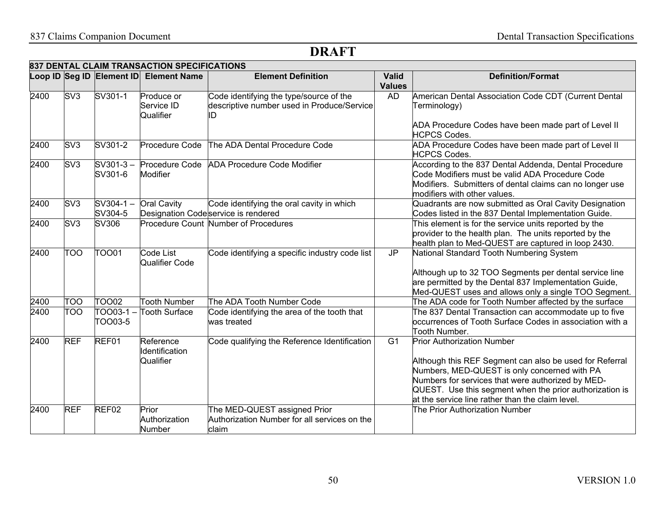|      | 837 DENTAL CLAIM TRANSACTION SPECIFICATIONS |                           |                                          |                                                                                       |                               |                                                                                                                                                                                                                                                                                                                  |  |  |  |
|------|---------------------------------------------|---------------------------|------------------------------------------|---------------------------------------------------------------------------------------|-------------------------------|------------------------------------------------------------------------------------------------------------------------------------------------------------------------------------------------------------------------------------------------------------------------------------------------------------------|--|--|--|
|      |                                             | Loop ID Seg ID Element ID | <b>Element Name</b>                      | <b>Element Definition</b>                                                             | <b>Valid</b><br><b>Values</b> | <b>Definition/Format</b>                                                                                                                                                                                                                                                                                         |  |  |  |
| 2400 | S <sub>V</sub> 3                            | SV301-1                   | Produce or<br>Service ID<br>Qualifier    | Code identifying the type/source of the<br>descriptive number used in Produce/Service | AD                            | American Dental Association Code CDT (Current Dental<br>Terminology)<br>ADA Procedure Codes have been made part of Level II<br><b>HCPCS Codes.</b>                                                                                                                                                               |  |  |  |
| 2400 | SV3                                         | SV301-2                   | Procedure Code                           | The ADA Dental Procedure Code                                                         |                               | ADA Procedure Codes have been made part of Level II<br><b>HCPCS Codes.</b>                                                                                                                                                                                                                                       |  |  |  |
| 2400 | SV <sub>3</sub>                             | $SV301-3-$<br>SV301-6     | Procedure Code<br>Modifier               | <b>ADA Procedure Code Modifier</b>                                                    |                               | According to the 837 Dental Addenda, Dental Procedure<br>Code Modifiers must be valid ADA Procedure Code<br>Modifiers. Submitters of dental claims can no longer use<br>modifiers with other values.                                                                                                             |  |  |  |
| 2400 | SV <sub>3</sub>                             | $SV304-1 -$<br>SV304-5    | <b>Oral Cavity</b>                       | Code identifying the oral cavity in which<br>Designation Codeservice is rendered      |                               | Quadrants are now submitted as Oral Cavity Designation<br>Codes listed in the 837 Dental Implementation Guide.                                                                                                                                                                                                   |  |  |  |
| 2400 | SV <sub>3</sub>                             | SV306                     |                                          | Procedure Count Number of Procedures                                                  |                               | This element is for the service units reported by the<br>provider to the health plan. The units reported by the<br>health plan to Med-QUEST are captured in loop 2430.                                                                                                                                           |  |  |  |
| 2400 | OOT                                         | <b>TOO01</b>              | Code List<br>Qualifier Code              | Code identifying a specific industry code list                                        | $\overline{\mathsf{JP}}$      | National Standard Tooth Numbering System<br>Although up to 32 TOO Segments per dental service line<br>are permitted by the Dental 837 Implementation Guide,<br>Med-QUEST uses and allows only a single TOO Segment.                                                                                              |  |  |  |
| 2400 | TOO                                         | <b>TOO02</b>              | <b>Tooth Number</b>                      | The ADA Tooth Number Code                                                             |                               | The ADA code for Tooth Number affected by the surface                                                                                                                                                                                                                                                            |  |  |  |
| 2400 | TOO                                         | TOO03-1<br>TOO03-5        | Tooth Surface                            | Code identifying the area of the tooth that<br>was treated                            |                               | The 837 Dental Transaction can accommodate up to five<br>occurrences of Tooth Surface Codes in association with a<br>Tooth Number.                                                                                                                                                                               |  |  |  |
| 2400 | <b>REF</b>                                  | REF01                     | Reference<br>Identification<br>Qualifier | Code qualifying the Reference Identification                                          | $\overline{G1}$               | <b>Prior Authorization Number</b><br>Although this REF Segment can also be used for Referral<br>Numbers, MED-QUEST is only concerned with PA<br>Numbers for services that were authorized by MED-<br>QUEST. Use this segment when the prior authorization is<br>at the service line rather than the claim level. |  |  |  |
| 2400 | <b>REF</b>                                  | REF02                     | Prior<br>Authorization<br>Number         | The MED-QUEST assigned Prior<br>Authorization Number for all services on the<br>claim |                               | The Prior Authorization Number                                                                                                                                                                                                                                                                                   |  |  |  |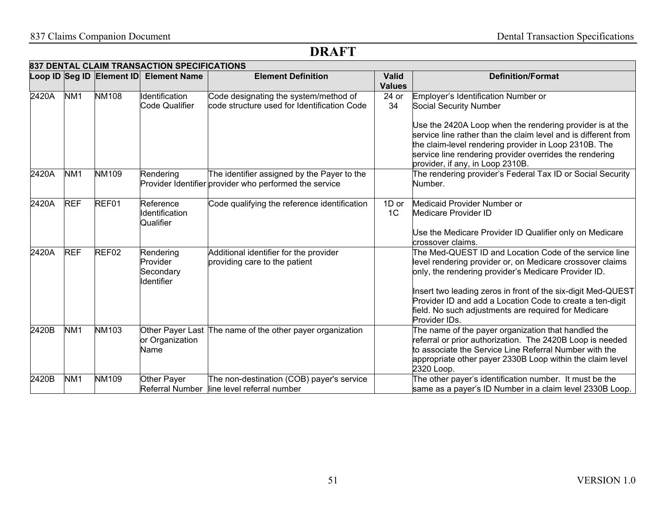|       | 837 DENTAL CLAIM TRANSACTION SPECIFICATIONS |              |                                                  |                                                                                                       |                               |                                                                                                                                                                                                                                                                                                                                                                                   |  |  |  |  |
|-------|---------------------------------------------|--------------|--------------------------------------------------|-------------------------------------------------------------------------------------------------------|-------------------------------|-----------------------------------------------------------------------------------------------------------------------------------------------------------------------------------------------------------------------------------------------------------------------------------------------------------------------------------------------------------------------------------|--|--|--|--|
|       |                                             |              | Loop ID Seg ID Element ID Element Name           | <b>Element Definition</b>                                                                             | <b>Valid</b><br><b>Values</b> | <b>Definition/Format</b>                                                                                                                                                                                                                                                                                                                                                          |  |  |  |  |
| 2420A | NM <sub>1</sub>                             | <b>NM108</b> | Identification<br><b>Code Qualifier</b>          | Code designating the system/method of<br>code structure used for Identification Code                  | 24 or<br>34                   | Employer's Identification Number or<br>Social Security Number                                                                                                                                                                                                                                                                                                                     |  |  |  |  |
|       |                                             |              |                                                  |                                                                                                       |                               | Use the 2420A Loop when the rendering provider is at the<br>service line rather than the claim level and is different from<br>the claim-level rendering provider in Loop 2310B. The<br>service line rendering provider overrides the rendering<br>provider, if any, in Loop 2310B.                                                                                                |  |  |  |  |
| 2420A | NM <sub>1</sub>                             | <b>NM109</b> | Rendering                                        | The identifier assigned by the Payer to the<br>Provider Identifier provider who performed the service |                               | The rendering provider's Federal Tax ID or Social Security<br>Number.                                                                                                                                                                                                                                                                                                             |  |  |  |  |
| 2420A | <b>REF</b>                                  | REF01        | Reference<br><b>Identification</b><br>Qualifier  | Code qualifying the reference identification                                                          | 1D or<br>1 <sup>C</sup>       | Medicaid Provider Number or<br>Medicare Provider ID<br>Use the Medicare Provider ID Qualifier only on Medicare<br>crossover claims.                                                                                                                                                                                                                                               |  |  |  |  |
| 2420A | <b>REF</b>                                  | REF02        | Rendering<br>Provider<br>Secondary<br>Identifier | Additional identifier for the provider<br>providing care to the patient                               |                               | The Med-QUEST ID and Location Code of the service line<br>level rendering provider or, on Medicare crossover claims<br>only, the rendering provider's Medicare Provider ID.<br>Insert two leading zeros in front of the six-digit Med-QUEST<br>Provider ID and add a Location Code to create a ten-digit<br>field. No such adjustments are required for Medicare<br>Provider IDs. |  |  |  |  |
| 2420B | NM <sub>1</sub>                             | <b>NM103</b> | or Organization<br>Name                          | Other Payer Last The name of the other payer organization                                             |                               | The name of the payer organization that handled the<br>referral or prior authorization. The 2420B Loop is needed<br>to associate the Service Line Referral Number with the<br>appropriate other payer 2330B Loop within the claim level<br>2320 Loop.                                                                                                                             |  |  |  |  |
| 2420B | NM <sub>1</sub>                             | <b>NM109</b> | Other Payer                                      | The non-destination (COB) payer's service<br>Referral Number line level referral number               |                               | The other payer's identification number. It must be the<br>same as a payer's ID Number in a claim level 2330B Loop.                                                                                                                                                                                                                                                               |  |  |  |  |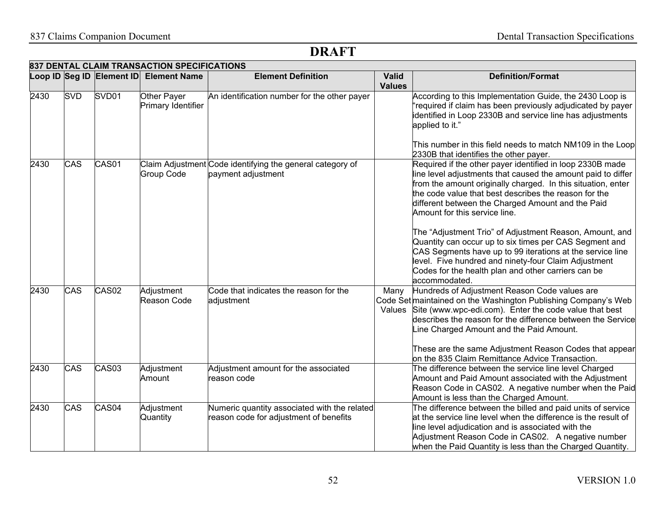|      | 837 DENTAL CLAIM TRANSACTION SPECIFICATIONS |                   |                                        |                                                                                        |                               |                                                                                                                                                                                                                                                                                                                                                                                                          |  |  |  |  |
|------|---------------------------------------------|-------------------|----------------------------------------|----------------------------------------------------------------------------------------|-------------------------------|----------------------------------------------------------------------------------------------------------------------------------------------------------------------------------------------------------------------------------------------------------------------------------------------------------------------------------------------------------------------------------------------------------|--|--|--|--|
|      |                                             |                   | Loop ID Seg ID Element ID Element Name | <b>Element Definition</b>                                                              | <b>Valid</b><br><b>Values</b> | <b>Definition/Format</b>                                                                                                                                                                                                                                                                                                                                                                                 |  |  |  |  |
| 2430 | <b>SVD</b>                                  | SVD <sub>01</sub> | Other Payer<br>Primary Identifier      | An identification number for the other payer                                           |                               | According to this Implementation Guide, the 2430 Loop is<br>required if claim has been previously adjudicated by payer<br>identified in Loop 2330B and service line has adjustments<br>applied to it."                                                                                                                                                                                                   |  |  |  |  |
|      |                                             |                   |                                        |                                                                                        |                               | This number in this field needs to match NM109 in the Loop<br>2330B that identifies the other payer.                                                                                                                                                                                                                                                                                                     |  |  |  |  |
| 2430 | CAS                                         | CAS01             | <b>Group Code</b>                      | Claim Adjustment Code identifying the general category of<br>payment adjustment        |                               | Required if the other payer identified in loop 2330B made<br>line level adjustments that caused the amount paid to differ<br>from the amount originally charged. In this situation, enter<br>the code value that best describes the reason for the<br>different between the Charged Amount and the Paid<br>Amount for this service line.<br>The "Adjustment Trio" of Adjustment Reason, Amount, and      |  |  |  |  |
|      |                                             |                   |                                        |                                                                                        |                               | Quantity can occur up to six times per CAS Segment and<br>CAS Segments have up to 99 iterations at the service line<br>level. Five hundred and ninety-four Claim Adjustment<br>Codes for the health plan and other carriers can be<br>accommodated.                                                                                                                                                      |  |  |  |  |
| 2430 | CAS                                         | CAS <sub>02</sub> | Adjustment<br>Reason Code              | Code that indicates the reason for the<br>adjustment                                   | Many                          | Hundreds of Adjustment Reason Code values are<br>Code Set maintained on the Washington Publishing Company's Web<br>Values Site (www.wpc-edi.com). Enter the code value that best<br>describes the reason for the difference between the Service<br>Line Charged Amount and the Paid Amount.<br>These are the same Adjustment Reason Codes that appear<br>on the 835 Claim Remittance Advice Transaction. |  |  |  |  |
| 2430 | CAS                                         | CAS <sub>03</sub> | Adjustment<br>Amount                   | Adjustment amount for the associated<br>reason code                                    |                               | The difference between the service line level Charged<br>Amount and Paid Amount associated with the Adjustment<br>Reason Code in CAS02. A negative number when the Paid<br>Amount is less than the Charged Amount.                                                                                                                                                                                       |  |  |  |  |
| 2430 | CAS                                         | CAS04             | Adjustment<br>Quantity                 | Numeric quantity associated with the related<br>reason code for adjustment of benefits |                               | The difference between the billed and paid units of service<br>at the service line level when the difference is the result of<br>line level adjudication and is associated with the<br>Adjustment Reason Code in CAS02. A negative number<br>when the Paid Quantity is less than the Charged Quantity.                                                                                                   |  |  |  |  |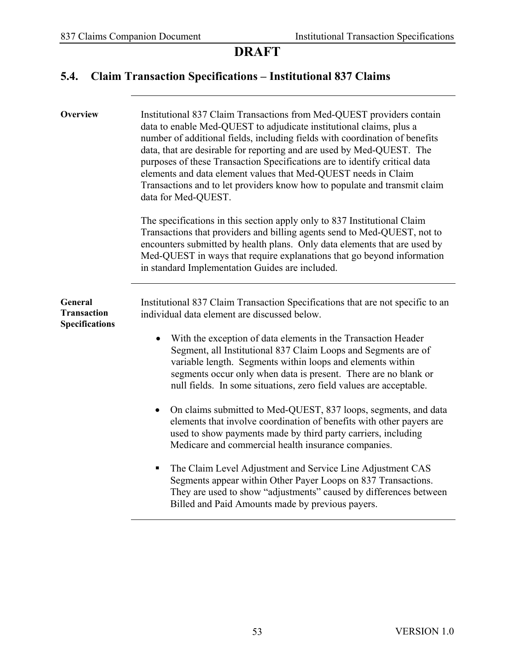#### **5.4. Claim Transaction Specifications – Institutional 837 Claims**

| <b>Overview</b>                                        | Institutional 837 Claim Transactions from Med-QUEST providers contain<br>data to enable Med-QUEST to adjudicate institutional claims, plus a<br>number of additional fields, including fields with coordination of benefits<br>data, that are desirable for reporting and are used by Med-QUEST. The<br>purposes of these Transaction Specifications are to identify critical data<br>elements and data element values that Med-QUEST needs in Claim<br>Transactions and to let providers know how to populate and transmit claim<br>data for Med-QUEST.<br>The specifications in this section apply only to 837 Institutional Claim<br>Transactions that providers and billing agents send to Med-QUEST, not to<br>encounters submitted by health plans. Only data elements that are used by<br>Med-QUEST in ways that require explanations that go beyond information<br>in standard Implementation Guides are included.                                                                                                         |
|--------------------------------------------------------|------------------------------------------------------------------------------------------------------------------------------------------------------------------------------------------------------------------------------------------------------------------------------------------------------------------------------------------------------------------------------------------------------------------------------------------------------------------------------------------------------------------------------------------------------------------------------------------------------------------------------------------------------------------------------------------------------------------------------------------------------------------------------------------------------------------------------------------------------------------------------------------------------------------------------------------------------------------------------------------------------------------------------------|
| <b>General</b><br>Transaction<br><b>Specifications</b> | Institutional 837 Claim Transaction Specifications that are not specific to an<br>individual data element are discussed below.<br>With the exception of data elements in the Transaction Header<br>$\bullet$<br>Segment, all Institutional 837 Claim Loops and Segments are of<br>variable length. Segments within loops and elements within<br>segments occur only when data is present. There are no blank or<br>null fields. In some situations, zero field values are acceptable.<br>On claims submitted to Med-QUEST, 837 loops, segments, and data<br>$\bullet$<br>elements that involve coordination of benefits with other payers are<br>used to show payments made by third party carriers, including<br>Medicare and commercial health insurance companies.<br>The Claim Level Adjustment and Service Line Adjustment CAS<br>п<br>Segments appear within Other Payer Loops on 837 Transactions.<br>They are used to show "adjustments" caused by differences between<br>Billed and Paid Amounts made by previous payers. |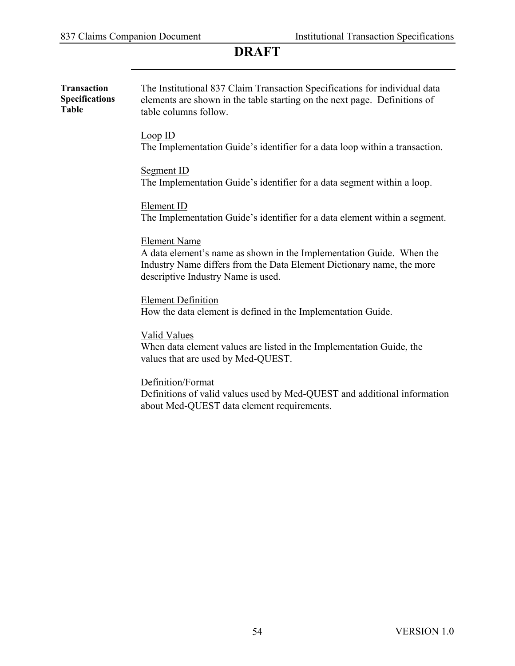| <b>Transaction</b><br><b>Specifications</b><br><b>Table</b> | The Institutional 837 Claim Transaction Specifications for individual data<br>elements are shown in the table starting on the next page. Definitions of<br>table columns follow.                           |
|-------------------------------------------------------------|------------------------------------------------------------------------------------------------------------------------------------------------------------------------------------------------------------|
|                                                             | Loop ID<br>The Implementation Guide's identifier for a data loop within a transaction.                                                                                                                     |
|                                                             | Segment ID<br>The Implementation Guide's identifier for a data segment within a loop.                                                                                                                      |
|                                                             | Element ID<br>The Implementation Guide's identifier for a data element within a segment.                                                                                                                   |
|                                                             | <b>Element Name</b><br>A data element's name as shown in the Implementation Guide. When the<br>Industry Name differs from the Data Element Dictionary name, the more<br>descriptive Industry Name is used. |
|                                                             | <b>Element Definition</b><br>How the data element is defined in the Implementation Guide.                                                                                                                  |
|                                                             | <b>Valid Values</b><br>When data element values are listed in the Implementation Guide, the<br>values that are used by Med-QUEST.                                                                          |
|                                                             | Definition/Format<br>Definitions of valid values used by Med-QUEST and additional information<br>about Med-QUEST data element requirements.                                                                |
|                                                             |                                                                                                                                                                                                            |
|                                                             |                                                                                                                                                                                                            |
|                                                             |                                                                                                                                                                                                            |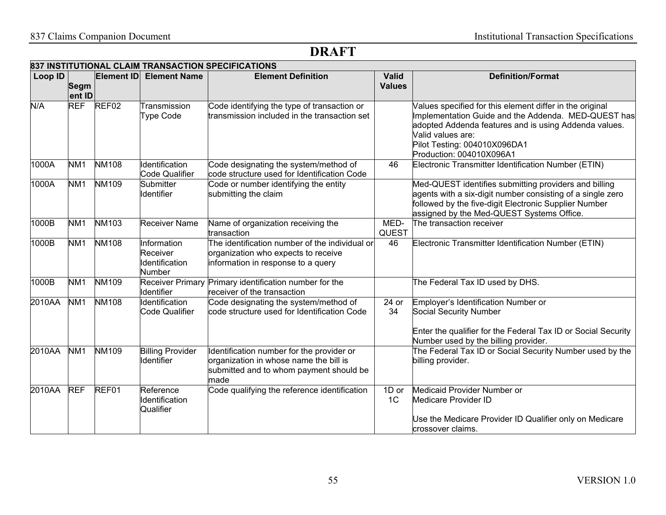| Loop ID |                 |                   | Element ID Element Name                             | <b>Element Definition</b>                                                                                                              | <b>Valid</b>            | <b>Definition/Format</b>                                                                                                                                                                                                                                  |
|---------|-----------------|-------------------|-----------------------------------------------------|----------------------------------------------------------------------------------------------------------------------------------------|-------------------------|-----------------------------------------------------------------------------------------------------------------------------------------------------------------------------------------------------------------------------------------------------------|
|         | Segm<br>ent ID  |                   |                                                     |                                                                                                                                        | <b>Values</b>           |                                                                                                                                                                                                                                                           |
| N/A     | <b>REF</b>      | REF <sub>02</sub> | Transmission<br><b>Type Code</b>                    | Code identifying the type of transaction or<br>transmission included in the transaction set                                            |                         | Values specified for this element differ in the original<br>Implementation Guide and the Addenda. MED-QUEST has<br>adopted Addenda features and is using Addenda values.<br>Valid values are:<br>Pilot Testing: 004010X096DA1<br>Production: 004010X096A1 |
| 1000A   | NM <sub>1</sub> | <b>NM108</b>      | Identification<br><b>Code Qualifier</b>             | Code designating the system/method of<br>code structure used for Identification Code                                                   | 46                      | Electronic Transmitter Identification Number (ETIN)                                                                                                                                                                                                       |
| 1000A   | NM <sub>1</sub> | <b>NM109</b>      | <b>Submitter</b><br><b>Identifier</b>               | Code or number identifying the entity<br>submitting the claim                                                                          |                         | Med-QUEST identifies submitting providers and billing<br>agents with a six-digit number consisting of a single zero<br>followed by the five-digit Electronic Supplier Number<br>assigned by the Med-QUEST Systems Office.                                 |
| 1000B   | NM <sub>1</sub> | <b>NM103</b>      | <b>Receiver Name</b>                                | Name of organization receiving the<br>transaction                                                                                      | MED-<br><b>QUEST</b>    | The transaction receiver                                                                                                                                                                                                                                  |
| 1000B   | NM <sub>1</sub> | <b>NM108</b>      | Information<br>Receiver<br>Identification<br>Number | The identification number of the individual or<br>organization who expects to receive<br>information in response to a query            | 46                      | Electronic Transmitter Identification Number (ETIN)                                                                                                                                                                                                       |
| 1000B   | NM <sub>1</sub> | NM109             | Identifier                                          | Receiver Primary Primary identification number for the<br>receiver of the transaction                                                  |                         | The Federal Tax ID used by DHS.                                                                                                                                                                                                                           |
| 2010AA  | NM <sub>1</sub> | <b>NM108</b>      | Identification<br><b>Code Qualifier</b>             | Code designating the system/method of<br>code structure used for Identification Code                                                   | 24 or<br>34             | Employer's Identification Number or<br>Social Security Number<br>Enter the qualifier for the Federal Tax ID or Social Security<br>Number used by the billing provider.                                                                                    |
| 2010AA  | NM <sub>1</sub> | <b>NM109</b>      | <b>Billing Provider</b><br>Identifier               | Identification number for the provider or<br>organization in whose name the bill is<br>submitted and to whom payment should be<br>made |                         | The Federal Tax ID or Social Security Number used by the<br>billing provider.                                                                                                                                                                             |
| 2010AA  | <b>REF</b>      | REF01             | Reference<br>Identification<br>Qualifier            | Code qualifying the reference identification                                                                                           | 1D or<br>1 <sup>C</sup> | Medicaid Provider Number or<br>Medicare Provider ID<br>Use the Medicare Provider ID Qualifier only on Medicare<br>crossover claims.                                                                                                                       |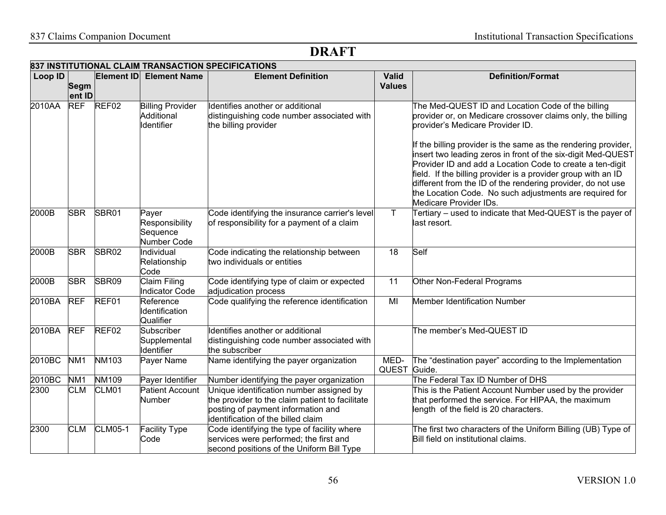|         | 837 INSTITUTIONAL CLAIM TRANSACTION SPECIFICATIONS |                   |                                                     |                                                                                                                                                                         |                               |                                                                                                                                                                                                                                                                                                                                                                                                                                                                                                                                                                          |  |  |  |  |
|---------|----------------------------------------------------|-------------------|-----------------------------------------------------|-------------------------------------------------------------------------------------------------------------------------------------------------------------------------|-------------------------------|--------------------------------------------------------------------------------------------------------------------------------------------------------------------------------------------------------------------------------------------------------------------------------------------------------------------------------------------------------------------------------------------------------------------------------------------------------------------------------------------------------------------------------------------------------------------------|--|--|--|--|
| Loop ID | <b>Segm</b><br>ent ID                              | Element ID        | <b>Element Name</b>                                 | <b>Element Definition</b>                                                                                                                                               | <b>Valid</b><br><b>Values</b> | <b>Definition/Format</b>                                                                                                                                                                                                                                                                                                                                                                                                                                                                                                                                                 |  |  |  |  |
| 2010AA  | <b>REF</b>                                         | REF <sub>02</sub> | <b>Billing Provider</b><br>Additional<br>Identifier | Identifies another or additional<br>distinguishing code number associated with<br>the billing provider                                                                  |                               | The Med-QUEST ID and Location Code of the billing<br>provider or, on Medicare crossover claims only, the billing<br>provider's Medicare Provider ID.<br>If the billing provider is the same as the rendering provider,<br>insert two leading zeros in front of the six-digit Med-QUEST<br>Provider ID and add a Location Code to create a ten-digit<br>field. If the billing provider is a provider group with an ID<br>different from the ID of the rendering provider, do not use<br>the Location Code. No such adjustments are required for<br>Medicare Provider IDs. |  |  |  |  |
| 2000B   | <b>SBR</b>                                         | SBR01             | Payer<br>Responsibility<br>Sequence<br>Number Code  | Code identifying the insurance carrier's level<br>of responsibility for a payment of a claim                                                                            | T.                            | Tertiary – used to indicate that Med-QUEST is the payer of<br>last resort.                                                                                                                                                                                                                                                                                                                                                                                                                                                                                               |  |  |  |  |
| 2000B   | <b>SBR</b>                                         | SBR02             | Individual<br>Relationship<br>Code                  | Code indicating the relationship between<br>two individuals or entities                                                                                                 | 18                            | Self                                                                                                                                                                                                                                                                                                                                                                                                                                                                                                                                                                     |  |  |  |  |
| 2000B   | <b>SBR</b>                                         | SBR09             | <b>Claim Filing</b><br><b>Indicator Code</b>        | Code identifying type of claim or expected<br>adjudication process                                                                                                      | 11                            | Other Non-Federal Programs                                                                                                                                                                                                                                                                                                                                                                                                                                                                                                                                               |  |  |  |  |
| 2010BA  | <b>REF</b>                                         | REF01             | Reference<br>Identification<br>Qualifier            | Code qualifying the reference identification                                                                                                                            | MI                            | Member Identification Number                                                                                                                                                                                                                                                                                                                                                                                                                                                                                                                                             |  |  |  |  |
| 2010BA  | <b>REF</b>                                         | REF <sub>02</sub> | Subscriber<br>Supplemental<br>Identifier            | Identifies another or additional<br>distinguishing code number associated with<br>the subscriber                                                                        |                               | The member's Med-QUEST ID                                                                                                                                                                                                                                                                                                                                                                                                                                                                                                                                                |  |  |  |  |
| 2010BC  | NM <sub>1</sub>                                    | <b>NM103</b>      | Payer Name                                          | Name identifying the payer organization                                                                                                                                 | MED-<br>QUEST Guide.          | The "destination payer" according to the Implementation                                                                                                                                                                                                                                                                                                                                                                                                                                                                                                                  |  |  |  |  |
| 2010BC  | NM <sub>1</sub>                                    | <b>NM109</b>      | Payer Identifier                                    | Number identifying the payer organization                                                                                                                               |                               | The Federal Tax ID Number of DHS                                                                                                                                                                                                                                                                                                                                                                                                                                                                                                                                         |  |  |  |  |
| 2300    | <b>CLM</b>                                         | CLM01             | <b>Patient Account</b><br>Number                    | Unique identification number assigned by<br>the provider to the claim patient to facilitate<br>posting of payment information and<br>identification of the billed claim |                               | This is the Patient Account Number used by the provider<br>that performed the service. For HIPAA, the maximum<br>length of the field is 20 characters.                                                                                                                                                                                                                                                                                                                                                                                                                   |  |  |  |  |
| 2300    | <b>CLM</b>                                         | <b>CLM05-1</b>    | <b>Facility Type</b><br>Code                        | Code identifying the type of facility where<br>services were performed; the first and<br>second positions of the Uniform Bill Type                                      |                               | The first two characters of the Uniform Billing (UB) Type of<br>Bill field on institutional claims.                                                                                                                                                                                                                                                                                                                                                                                                                                                                      |  |  |  |  |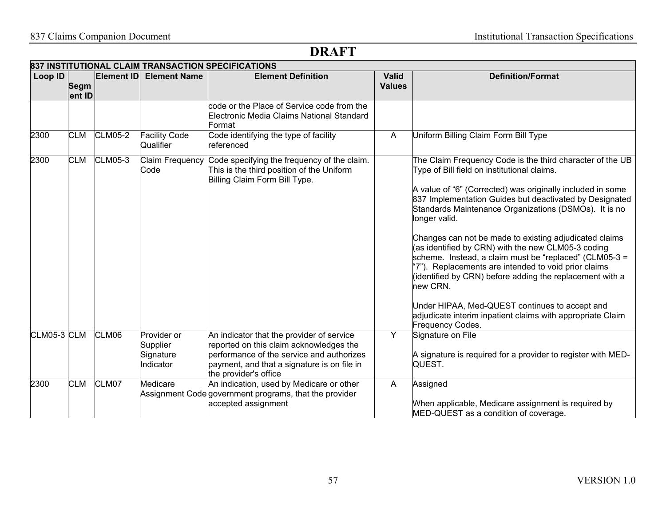|             |                       |                   |                                                   | 837 INSTITUTIONAL CLAIM TRANSACTION SPECIFICATIONS                                                                                                                                                        |                               |                                                                                                                                                                                                                                                                                                                                                                                                                                                                                                                                                                                                                                                                                                                                                                  |
|-------------|-----------------------|-------------------|---------------------------------------------------|-----------------------------------------------------------------------------------------------------------------------------------------------------------------------------------------------------------|-------------------------------|------------------------------------------------------------------------------------------------------------------------------------------------------------------------------------------------------------------------------------------------------------------------------------------------------------------------------------------------------------------------------------------------------------------------------------------------------------------------------------------------------------------------------------------------------------------------------------------------------------------------------------------------------------------------------------------------------------------------------------------------------------------|
| Loop ID     | <b>Segm</b><br>ent ID | <b>Element ID</b> | <b>Element Name</b>                               | <b>Element Definition</b>                                                                                                                                                                                 | <b>Valid</b><br><b>Values</b> | <b>Definition/Format</b>                                                                                                                                                                                                                                                                                                                                                                                                                                                                                                                                                                                                                                                                                                                                         |
|             |                       |                   |                                                   | code or the Place of Service code from the<br>Electronic Media Claims National Standard<br>Format:                                                                                                        |                               |                                                                                                                                                                                                                                                                                                                                                                                                                                                                                                                                                                                                                                                                                                                                                                  |
| 2300        | <b>CLM</b>            | <b>CLM05-2</b>    | <b>Facility Code</b><br>Qualifier                 | Code identifying the type of facility<br>referenced                                                                                                                                                       | A                             | Uniform Billing Claim Form Bill Type                                                                                                                                                                                                                                                                                                                                                                                                                                                                                                                                                                                                                                                                                                                             |
| 2300        | <b>CLM</b>            | <b>CLM05-3</b>    | Claim Frequency<br>Code                           | Code specifying the frequency of the claim.<br>This is the third position of the Uniform<br>Billing Claim Form Bill Type.                                                                                 |                               | The Claim Frequency Code is the third character of the UB<br>Type of Bill field on institutional claims.<br>A value of "6" (Corrected) was originally included in some<br>837 Implementation Guides but deactivated by Designated<br>Standards Maintenance Organizations (DSMOs). It is no<br>longer valid.<br>Changes can not be made to existing adjudicated claims<br>(as identified by CRN) with the new CLM05-3 coding<br>scheme. Instead, a claim must be "replaced" (CLM05-3 =<br>"7"). Replacements are intended to void prior claims<br>(identified by CRN) before adding the replacement with a<br>new CRN.<br>Under HIPAA, Med-QUEST continues to accept and<br>adjudicate interim inpatient claims with appropriate Claim<br><b>Frequency Codes.</b> |
| CLM05-3 CLM |                       | CLM06             | Provider or<br>Supplier<br>Signature<br>Indicator | An indicator that the provider of service<br>reported on this claim acknowledges the<br>performance of the service and authorizes<br>payment, and that a signature is on file in<br>the provider's office | Y                             | Signature on File<br>A signature is required for a provider to register with MED-<br>QUEST.                                                                                                                                                                                                                                                                                                                                                                                                                                                                                                                                                                                                                                                                      |
| 2300        | <b>CLM</b>            | CLM07             | Medicare                                          | An indication, used by Medicare or other<br>Assignment Code government programs, that the provider<br>accepted assignment                                                                                 | A                             | Assigned<br>When applicable, Medicare assignment is required by<br>MED-QUEST as a condition of coverage.                                                                                                                                                                                                                                                                                                                                                                                                                                                                                                                                                                                                                                                         |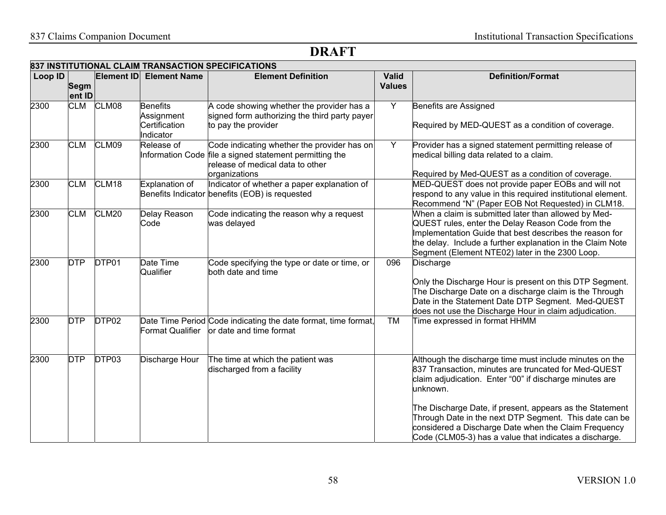|         | 837 INSTITUTIONAL CLAIM TRANSACTION SPECIFICATIONS |                   |                                                             |                                                                                                                                                             |                               |                                                                                                                                                                                                                                                                                                                                                                                                                                |  |  |  |
|---------|----------------------------------------------------|-------------------|-------------------------------------------------------------|-------------------------------------------------------------------------------------------------------------------------------------------------------------|-------------------------------|--------------------------------------------------------------------------------------------------------------------------------------------------------------------------------------------------------------------------------------------------------------------------------------------------------------------------------------------------------------------------------------------------------------------------------|--|--|--|
| Loop ID | <b>Segm</b><br>ent ID                              | <b>Element ID</b> | <b>Element Name</b>                                         | <b>Element Definition</b>                                                                                                                                   | <b>Valid</b><br><b>Values</b> | <b>Definition/Format</b>                                                                                                                                                                                                                                                                                                                                                                                                       |  |  |  |
| 2300    | <b>CLM</b>                                         | CLM08             | <b>Benefits</b><br>Assignment<br>Certification<br>Indicator | A code showing whether the provider has a<br>signed form authorizing the third party payer<br>to pay the provider                                           | Y                             | Benefits are Assigned<br>Required by MED-QUEST as a condition of coverage.                                                                                                                                                                                                                                                                                                                                                     |  |  |  |
| 2300    | <b>CLM</b>                                         | CLM09             | Release of                                                  | Code indicating whether the provider has on<br>Information Code file a signed statement permitting the<br>release of medical data to other<br>organizations | Y                             | Provider has a signed statement permitting release of<br>medical billing data related to a claim.<br>Required by Med-QUEST as a condition of coverage.                                                                                                                                                                                                                                                                         |  |  |  |
| 2300    | <b>CLM</b>                                         | CLM18             | Explanation of                                              | Indicator of whether a paper explanation of<br>Benefits Indicator benefits (EOB) is requested                                                               |                               | MED-QUEST does not provide paper EOBs and will not<br>respond to any value in this required institutional element.<br>Recommend "N" (Paper EOB Not Requested) in CLM18.                                                                                                                                                                                                                                                        |  |  |  |
| 2300    | <b>CLM</b>                                         | CLM <sub>20</sub> | Delay Reason<br>Code                                        | Code indicating the reason why a request<br>was delayed                                                                                                     |                               | When a claim is submitted later than allowed by Med-<br>QUEST rules, enter the Delay Reason Code from the<br>Implementation Guide that best describes the reason for<br>the delay. Include a further explanation in the Claim Note<br>Segment (Element NTE02) later in the 2300 Loop.                                                                                                                                          |  |  |  |
| 2300    | <b>DTP</b>                                         | DTP01             | Date Time<br>Qualifier                                      | Code specifying the type or date or time, or<br>both date and time                                                                                          | 096                           | <b>Discharge</b><br>Only the Discharge Hour is present on this DTP Segment.<br>The Discharge Date on a discharge claim is the Through<br>Date in the Statement Date DTP Segment. Med-QUEST<br>does not use the Discharge Hour in claim adjudication.                                                                                                                                                                           |  |  |  |
| 2300    | <b>DTP</b>                                         | DTP02             | <b>Format Qualifier</b>                                     | Date Time Period Code indicating the date format, time format,<br>or date and time format                                                                   | <b>TM</b>                     | Time expressed in format HHMM                                                                                                                                                                                                                                                                                                                                                                                                  |  |  |  |
| 2300    | <b>DTP</b>                                         | DTP03             | Discharge Hour                                              | The time at which the patient was<br>discharged from a facility                                                                                             |                               | Although the discharge time must include minutes on the<br>837 Transaction, minutes are truncated for Med-QUEST<br>claim adjudication. Enter "00" if discharge minutes are<br>unknown.<br>The Discharge Date, if present, appears as the Statement<br>Through Date in the next DTP Segment. This date can be<br>considered a Discharge Date when the Claim Frequency<br>Code (CLM05-3) has a value that indicates a discharge. |  |  |  |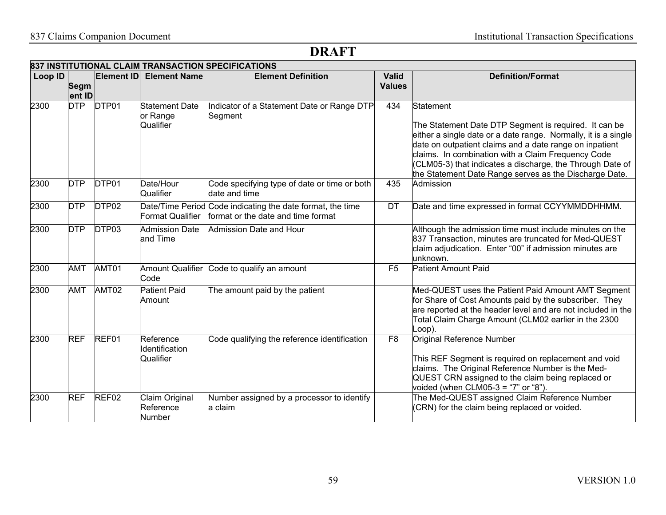| Loop ID |             | <b>Element ID</b> | <b>Element Name</b>                            | <b>Element Definition</b>                                                                        | <b>Valid</b>   | <b>Definition/Format</b>                                                                                                                                                                                                                       |
|---------|-------------|-------------------|------------------------------------------------|--------------------------------------------------------------------------------------------------|----------------|------------------------------------------------------------------------------------------------------------------------------------------------------------------------------------------------------------------------------------------------|
|         | <b>Segm</b> |                   |                                                |                                                                                                  | <b>Values</b>  |                                                                                                                                                                                                                                                |
|         | ent ID      |                   |                                                |                                                                                                  |                |                                                                                                                                                                                                                                                |
| 2300    | <b>DTP</b>  | DTP01             | <b>Statement Date</b><br>or Range<br>Qualifier | Indicator of a Statement Date or Range DTP<br>Segment                                            | 434            | Statement<br>The Statement Date DTP Segment is required. It can be<br>either a single date or a date range. Normally, it is a single<br>date on outpatient claims and a date range on inpatient                                                |
|         |             |                   |                                                |                                                                                                  |                | claims. In combination with a Claim Frequency Code<br>(CLM05-3) that indicates a discharge, the Through Date of<br>the Statement Date Range serves as the Discharge Date.                                                                      |
| 2300    | <b>DTP</b>  | DTP01             | Date/Hour<br>Qualifier                         | Code specifying type of date or time or both<br>date and time                                    | 435            | Admission                                                                                                                                                                                                                                      |
| 2300    | <b>DTP</b>  | DTP <sub>02</sub> | <b>Format Qualifier</b>                        | Date/Time Period Code indicating the date format, the time<br>format or the date and time format | DT             | Date and time expressed in format CCYYMMDDHHMM.                                                                                                                                                                                                |
| 2300    | <b>DTP</b>  | DTP03             | <b>Admission Date</b><br>and Time              | Admission Date and Hour                                                                          |                | Although the admission time must include minutes on the<br>837 Transaction, minutes are truncated for Med-QUEST<br>claim adjudication. Enter "00" if admission minutes are<br>unknown.                                                         |
| 2300    | <b>AMT</b>  | AMT01             | Code                                           | Amount Qualifier Code to qualify an amount                                                       | F <sub>5</sub> | Patient Amount Paid                                                                                                                                                                                                                            |
| 2300    | AMT         | AMT02             | <b>Patient Paid</b><br>Amount                  | The amount paid by the patient                                                                   |                | Med-QUEST uses the Patient Paid Amount AMT Segment<br>for Share of Cost Amounts paid by the subscriber. They<br>are reported at the header level and are not included in the<br>Total Claim Charge Amount (CLM02 earlier in the 2300<br>.oop). |
| 2300    | <b>REF</b>  | REF01             | Reference<br>Identification<br>Qualifier       | Code qualifying the reference identification                                                     | F8             | Original Reference Number<br>This REF Segment is required on replacement and void<br>claims. The Original Reference Number is the Med-<br>QUEST CRN assigned to the claim being replaced or<br>voided (when CLM05-3 = "7" or "8")              |
| 2300    | <b>REF</b>  | REF02             | Claim Original<br>Reference<br>Number          | Number assigned by a processor to identify<br>a claim                                            |                | The Med-QUEST assigned Claim Reference Number<br>(CRN) for the claim being replaced or voided.                                                                                                                                                 |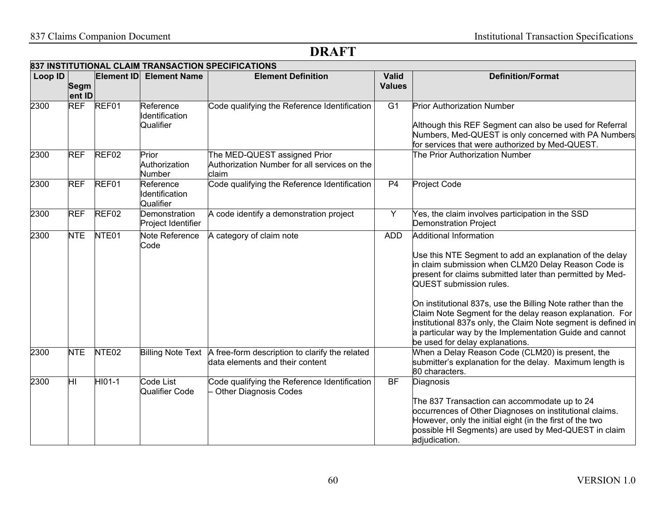|         | 837 INSTITUTIONAL CLAIM TRANSACTION SPECIFICATIONS |                   |                                          |                                                                                                     |                               |                                                                                                                                                                                                                                                                                                                                                                                                                                                                                                                                   |  |  |  |
|---------|----------------------------------------------------|-------------------|------------------------------------------|-----------------------------------------------------------------------------------------------------|-------------------------------|-----------------------------------------------------------------------------------------------------------------------------------------------------------------------------------------------------------------------------------------------------------------------------------------------------------------------------------------------------------------------------------------------------------------------------------------------------------------------------------------------------------------------------------|--|--|--|
| Loop ID | <b>Segm</b><br>ent ID                              | <b>Element ID</b> | <b>Element Name</b>                      | <b>Element Definition</b>                                                                           | <b>Valid</b><br><b>Values</b> | <b>Definition/Format</b>                                                                                                                                                                                                                                                                                                                                                                                                                                                                                                          |  |  |  |
| 2300    | <b>REF</b>                                         | REF01             | Reference<br>Identification<br>Qualifier | Code qualifying the Reference Identification                                                        | $\overline{G1}$               | <b>Prior Authorization Number</b><br>Although this REF Segment can also be used for Referral<br>Numbers, Med-QUEST is only concerned with PA Numbers<br>for services that were authorized by Med-QUEST.                                                                                                                                                                                                                                                                                                                           |  |  |  |
| 2300    | <b>REF</b>                                         | REF02             | Prior<br>Authorization<br>Number         | The MED-QUEST assigned Prior<br>Authorization Number for all services on the<br>claim               |                               | The Prior Authorization Number                                                                                                                                                                                                                                                                                                                                                                                                                                                                                                    |  |  |  |
| 2300    | <b>REF</b>                                         | REF01             | Reference<br>Identification<br>Qualifier | Code qualifying the Reference Identification                                                        | P <sub>4</sub>                | Project Code                                                                                                                                                                                                                                                                                                                                                                                                                                                                                                                      |  |  |  |
| 2300    | <b>REF</b>                                         | REF <sub>02</sub> | Demonstration<br>Project Identifier      | A code identify a demonstration project                                                             | Y                             | Yes, the claim involves participation in the SSD<br><b>Demonstration Project</b>                                                                                                                                                                                                                                                                                                                                                                                                                                                  |  |  |  |
| 2300    | <b>NTE</b>                                         | NTE01             | Note Reference<br>Code                   | A category of claim note                                                                            | <b>ADD</b>                    | Additional Information<br>Use this NTE Segment to add an explanation of the delay<br>in claim submission when CLM20 Delay Reason Code is<br>present for claims submitted later than permitted by Med-<br><b>QUEST</b> submission rules.<br>On institutional 837s, use the Billing Note rather than the<br>Claim Note Segment for the delay reason explanation. For<br>institutional 837s only, the Claim Note segment is defined in<br>a particular way by the Implementation Guide and cannot<br>be used for delay explanations. |  |  |  |
| 2300    | <b>NTE</b>                                         | NTE <sub>02</sub> |                                          | Billing Note Text A free-form description to clarify the related<br>data elements and their content |                               | When a Delay Reason Code (CLM20) is present, the<br>submitter's explanation for the delay. Maximum length is<br>80 characters.                                                                                                                                                                                                                                                                                                                                                                                                    |  |  |  |
| 2300    | $\overline{\mathsf{H}}$                            | $HI01-1$          | Code List<br>Qualifier Code              | Code qualifying the Reference Identification<br><b>Other Diagnosis Codes</b>                        | BF                            | Diagnosis<br>The 837 Transaction can accommodate up to 24<br>occurrences of Other Diagnoses on institutional claims.<br>However, only the initial eight (in the first of the two<br>possible HI Segments) are used by Med-QUEST in claim<br>adjudication.                                                                                                                                                                                                                                                                         |  |  |  |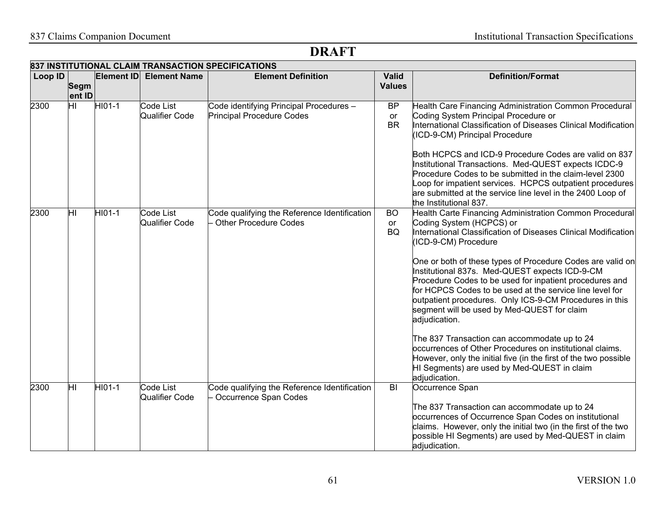|         |                         |        |                                           | 837 INSTITUTIONAL CLAIM TRANSACTION SPECIFICATIONS                          |                               |                                                                                                                                                                                                                                                                                                                                                                                                                                                                                                                                                                                                                                                                                                                                                                                                 |
|---------|-------------------------|--------|-------------------------------------------|-----------------------------------------------------------------------------|-------------------------------|-------------------------------------------------------------------------------------------------------------------------------------------------------------------------------------------------------------------------------------------------------------------------------------------------------------------------------------------------------------------------------------------------------------------------------------------------------------------------------------------------------------------------------------------------------------------------------------------------------------------------------------------------------------------------------------------------------------------------------------------------------------------------------------------------|
| Loop ID | <b>Segm</b><br>ent ID   |        | Element ID Element Name                   | <b>Element Definition</b>                                                   | <b>Valid</b><br><b>Values</b> | <b>Definition/Format</b>                                                                                                                                                                                                                                                                                                                                                                                                                                                                                                                                                                                                                                                                                                                                                                        |
| 2300    | $\overline{\mathsf{H}}$ | HI01-1 | <b>Code List</b><br>Qualifier Code        | Code identifying Principal Procedures -<br><b>Principal Procedure Codes</b> | BP<br>or<br><b>BR</b>         | Health Care Financing Administration Common Procedural<br>Coding System Principal Procedure or<br>International Classification of Diseases Clinical Modification<br>(ICD-9-CM) Principal Procedure<br>Both HCPCS and ICD-9 Procedure Codes are valid on 837<br>Institutional Transactions. Med-QUEST expects ICDC-9<br>Procedure Codes to be submitted in the claim-level 2300<br>Loop for impatient services. HCPCS outpatient procedures<br>are submitted at the service line level in the 2400 Loop of<br>the Institutional 837.                                                                                                                                                                                                                                                             |
| 2300    | HГ                      | HI01-1 | <b>Code List</b><br><b>Qualifier Code</b> | Code qualifying the Reference Identification<br>- Other Procedure Codes     | <b>BO</b><br>or<br><b>BQ</b>  | Health Carte Financing Administration Common Procedural<br>Coding System (HCPCS) or<br>International Classification of Diseases Clinical Modification<br>(ICD-9-CM) Procedure<br>One or both of these types of Procedure Codes are valid on<br>Institutional 837s. Med-QUEST expects ICD-9-CM<br>Procedure Codes to be used for inpatient procedures and<br>for HCPCS Codes to be used at the service line level for<br>outpatient procedures. Only ICS-9-CM Procedures in this<br>segment will be used by Med-QUEST for claim<br>adjudication.<br>The 837 Transaction can accommodate up to 24<br>occurrences of Other Procedures on institutional claims.<br>However, only the initial five (in the first of the two possible<br>HI Segments) are used by Med-QUEST in claim<br>adjudication. |
| 2300    | hг                      | HI01-1 | Code List<br>Qualifier Code               | Code qualifying the Reference Identification<br>Occurrence Span Codes       | BI                            | Occurrence Span<br>The 837 Transaction can accommodate up to 24<br>occurrences of Occurrence Span Codes on institutional<br>claims. However, only the initial two (in the first of the two<br>possible HI Segments) are used by Med-QUEST in claim<br>adjudication.                                                                                                                                                                                                                                                                                                                                                                                                                                                                                                                             |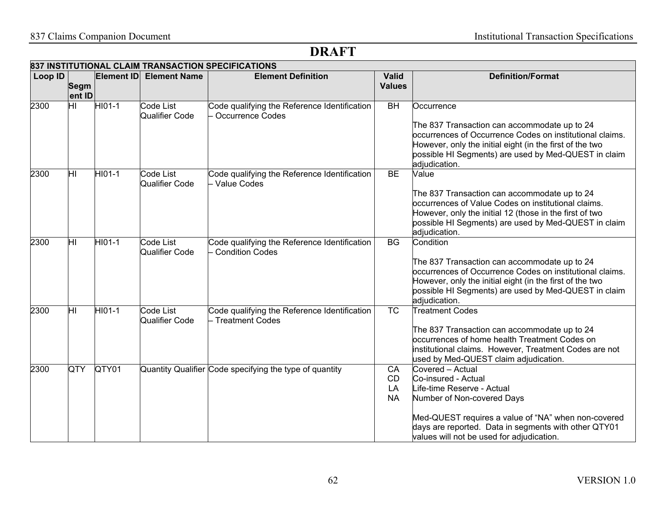|         |                                   |                     |                                    | 837 INSTITUTIONAL CLAIM TRANSACTION SPECIFICATIONS          |                               |                                                                                                                  |
|---------|-----------------------------------|---------------------|------------------------------------|-------------------------------------------------------------|-------------------------------|------------------------------------------------------------------------------------------------------------------|
| Loop ID | <b>Segm</b>                       | <b>Element ID</b>   | <b>Element Name</b>                | <b>Element Definition</b>                                   | <b>Valid</b><br><b>Values</b> | <b>Definition/Format</b>                                                                                         |
|         | ent ID                            |                     |                                    |                                                             |                               |                                                                                                                  |
| 2300    | $\overline{\mathsf{H}\mathsf{I}}$ | $HIO1-1$            | Code List                          | Code qualifying the Reference Identification                | $\overline{BH}$               | Occurrence                                                                                                       |
|         |                                   |                     | Qualifier Code                     | Occurrence Codes                                            |                               |                                                                                                                  |
|         |                                   |                     |                                    |                                                             |                               | The 837 Transaction can accommodate up to 24                                                                     |
|         |                                   |                     |                                    |                                                             |                               | occurrences of Occurrence Codes on institutional claims.                                                         |
|         |                                   |                     |                                    |                                                             |                               | However, only the initial eight (in the first of the two                                                         |
|         |                                   |                     |                                    |                                                             |                               | possible HI Segments) are used by Med-QUEST in claim                                                             |
|         |                                   |                     |                                    |                                                             |                               | adjudication.                                                                                                    |
| 2300    | HГ                                | HI01-1              | Code List<br><b>Qualifier Code</b> | Code qualifying the Reference Identification<br>Value Codes | <b>BE</b>                     | Value                                                                                                            |
|         |                                   |                     |                                    |                                                             |                               | The 837 Transaction can accommodate up to 24                                                                     |
|         |                                   |                     |                                    |                                                             |                               | occurrences of Value Codes on institutional claims.                                                              |
|         |                                   |                     |                                    |                                                             |                               | However, only the initial 12 (those in the first of two                                                          |
|         |                                   |                     |                                    |                                                             |                               | possible HI Segments) are used by Med-QUEST in claim                                                             |
|         |                                   |                     |                                    |                                                             |                               | adjudication.                                                                                                    |
| 2300    | Ξ                                 | $\overline{HIO}1-1$ | Code List                          | Code qualifying the Reference Identification                | <b>BG</b>                     | Condition                                                                                                        |
|         |                                   |                     | Qualifier Code                     | <b>Condition Codes</b>                                      |                               |                                                                                                                  |
|         |                                   |                     |                                    |                                                             |                               | The 837 Transaction can accommodate up to 24                                                                     |
|         |                                   |                     |                                    |                                                             |                               | occurrences of Occurrence Codes on institutional claims.                                                         |
|         |                                   |                     |                                    |                                                             |                               | However, only the initial eight (in the first of the two<br>possible HI Segments) are used by Med-QUEST in claim |
|         |                                   |                     |                                    |                                                             |                               | adjudication.                                                                                                    |
| 2300    | $\overline{\mathsf{H}}$           | HI01-1              | Code List                          | Code qualifying the Reference Identification                | $\overline{\text{TC}}$        | <b>Treatment Codes</b>                                                                                           |
|         |                                   |                     | <b>Qualifier Code</b>              | Treatment Codes                                             |                               |                                                                                                                  |
|         |                                   |                     |                                    |                                                             |                               | The 837 Transaction can accommodate up to 24                                                                     |
|         |                                   |                     |                                    |                                                             |                               | occurrences of home health Treatment Codes on                                                                    |
|         |                                   |                     |                                    |                                                             |                               | institutional claims. However, Treatment Codes are not                                                           |
|         |                                   |                     |                                    |                                                             |                               | used by Med-QUEST claim adjudication.                                                                            |
| 2300    | QTY                               | QTY01               |                                    | Quantity Qualifier Code specifying the type of quantity     | CA                            | Covered - Actual                                                                                                 |
|         |                                   |                     |                                    |                                                             | <b>CD</b><br>LA               | Co-insured - Actual<br>Life-time Reserve - Actual                                                                |
|         |                                   |                     |                                    |                                                             | <b>NA</b>                     | Number of Non-covered Days                                                                                       |
|         |                                   |                     |                                    |                                                             |                               |                                                                                                                  |
|         |                                   |                     |                                    |                                                             |                               | Med-QUEST requires a value of "NA" when non-covered                                                              |
|         |                                   |                     |                                    |                                                             |                               | days are reported. Data in segments with other QTY01                                                             |
|         |                                   |                     |                                    |                                                             |                               | values will not be used for adjudication.                                                                        |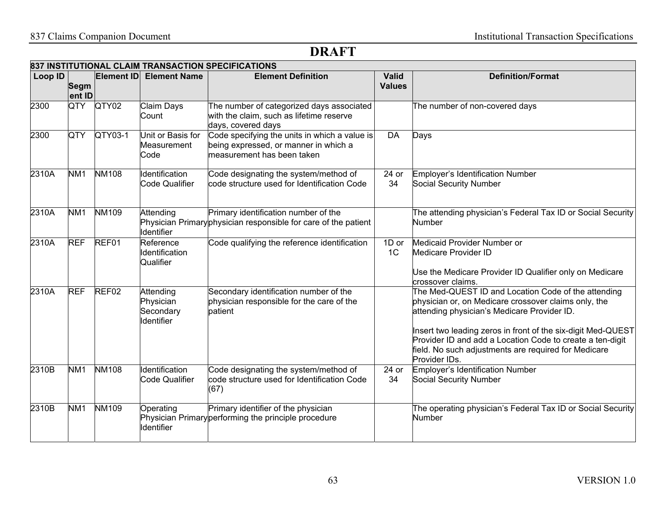|         | 837 INSTITUTIONAL CLAIM TRANSACTION SPECIFICATIONS |              |                                                   |                                                                                                                      |                               |                                                                                                                                                                                                                                                                                                                                                                  |  |  |  |  |
|---------|----------------------------------------------------|--------------|---------------------------------------------------|----------------------------------------------------------------------------------------------------------------------|-------------------------------|------------------------------------------------------------------------------------------------------------------------------------------------------------------------------------------------------------------------------------------------------------------------------------------------------------------------------------------------------------------|--|--|--|--|
| Loop ID | <b>Segm</b><br>ent ID                              | Element ID   | <b>Element Name</b>                               | <b>Element Definition</b>                                                                                            | <b>Valid</b><br><b>Values</b> | <b>Definition/Format</b>                                                                                                                                                                                                                                                                                                                                         |  |  |  |  |
| 2300    | QTY                                                | QTY02        | <b>Claim Days</b><br>Count                        | The number of categorized days associated<br>with the claim, such as lifetime reserve<br>days, covered days          |                               | The number of non-covered days                                                                                                                                                                                                                                                                                                                                   |  |  |  |  |
| 2300    | QTY                                                | QTY03-1      | Unit or Basis for<br>Measurement<br>Code          | Code specifying the units in which a value is<br>being expressed, or manner in which a<br>measurement has been taken | <b>DA</b>                     | Days                                                                                                                                                                                                                                                                                                                                                             |  |  |  |  |
| 2310A   | NM <sub>1</sub>                                    | <b>NM108</b> | Identification<br><b>Code Qualifier</b>           | Code designating the system/method of<br>code structure used for Identification Code                                 | 24 or<br>34                   | <b>Employer's Identification Number</b><br>Social Security Number                                                                                                                                                                                                                                                                                                |  |  |  |  |
| 2310A   | NM <sub>1</sub>                                    | <b>NM109</b> | Attending<br>Identifier                           | Primary identification number of the<br>Physician Primary physician responsible for care of the patient              |                               | The attending physician's Federal Tax ID or Social Security<br><b>Number</b>                                                                                                                                                                                                                                                                                     |  |  |  |  |
| 2310A   | <b>REF</b>                                         | REF01        | Reference<br>Identification<br>Qualifier          | Code qualifying the reference identification                                                                         | 1D or<br>1 <sup>C</sup>       | Medicaid Provider Number or<br>Medicare Provider ID<br>Use the Medicare Provider ID Qualifier only on Medicare<br>crossover claims.                                                                                                                                                                                                                              |  |  |  |  |
| 2310A   | <b>REF</b>                                         | REF02        | Attending<br>Physician<br>Secondary<br>Identifier | Secondary identification number of the<br>physician responsible for the care of the<br>patient                       |                               | The Med-QUEST ID and Location Code of the attending<br>physician or, on Medicare crossover claims only, the<br>attending physician's Medicare Provider ID.<br>Insert two leading zeros in front of the six-digit Med-QUEST<br>Provider ID and add a Location Code to create a ten-digit<br>field. No such adjustments are required for Medicare<br>Provider IDs. |  |  |  |  |
| 2310B   | NM <sub>1</sub>                                    | <b>NM108</b> | Identification<br><b>Code Qualifier</b>           | Code designating the system/method of<br>code structure used for Identification Code<br>(67)                         | 24 or<br>34                   | Employer's Identification Number<br>Social Security Number                                                                                                                                                                                                                                                                                                       |  |  |  |  |
| 2310B   | NM <sub>1</sub>                                    | <b>NM109</b> | Operating<br>Identifier                           | Primary identifier of the physician<br>Physician Primary performing the principle procedure                          |                               | The operating physician's Federal Tax ID or Social Security<br>Number                                                                                                                                                                                                                                                                                            |  |  |  |  |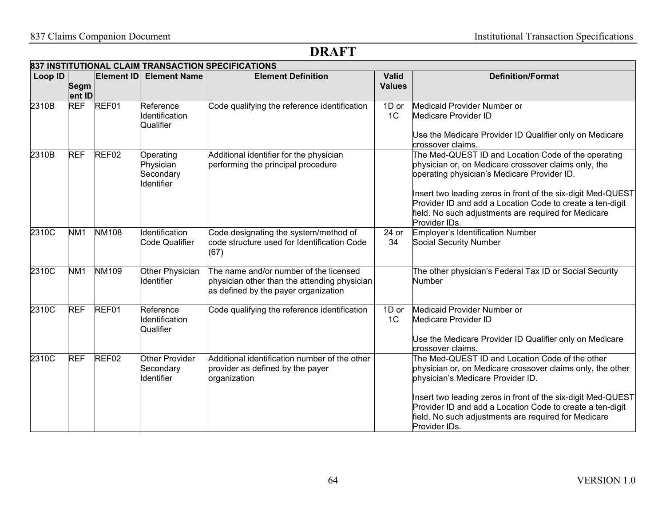| Loop ID |                      | <b>Element ID</b> | <b>Element Name</b>                                     | <b>Element Definition</b>                                                                                                      | <b>Valid</b>            | <b>Definition/Format</b>                                                                                                                                                                           |
|---------|----------------------|-------------------|---------------------------------------------------------|--------------------------------------------------------------------------------------------------------------------------------|-------------------------|----------------------------------------------------------------------------------------------------------------------------------------------------------------------------------------------------|
|         | Segm                 |                   |                                                         |                                                                                                                                | <b>Values</b>           |                                                                                                                                                                                                    |
|         | ent ID<br><b>REF</b> | REF01             | Reference                                               |                                                                                                                                |                         |                                                                                                                                                                                                    |
| 2310B   |                      |                   | Identification<br>Qualifier                             | Code qualifying the reference identification                                                                                   | 1D or<br>1 <sup>C</sup> | Medicaid Provider Number or<br>Medicare Provider ID                                                                                                                                                |
|         |                      |                   |                                                         |                                                                                                                                |                         | Use the Medicare Provider ID Qualifier only on Medicare<br>crossover claims.                                                                                                                       |
| 2310B   | <b>REF</b>           | REF <sub>02</sub> | Operating<br>Physician<br>Secondary<br>Identifier       | Additional identifier for the physician<br>performing the principal procedure                                                  |                         | The Med-QUEST ID and Location Code of the operating<br>physician or, on Medicare crossover claims only, the<br>operating physician's Medicare Provider ID.                                         |
|         |                      |                   |                                                         |                                                                                                                                |                         | Insert two leading zeros in front of the six-digit Med-QUEST<br>Provider ID and add a Location Code to create a ten-digit<br>field. No such adjustments are required for Medicare<br>Provider IDs. |
| 2310C   | NM <sub>1</sub>      | <b>NM108</b>      | Identification<br>Code Qualifier                        | Code designating the system/method of<br>code structure used for Identification Code<br>(67)                                   | 24 or<br>34             | Employer's Identification Number<br><b>Social Security Number</b>                                                                                                                                  |
| 2310C   | NM <sub>1</sub>      | <b>NM109</b>      | Other Physician<br><b>Identifier</b>                    | The name and/or number of the licensed<br>physician other than the attending physician<br>as defined by the payer organization |                         | The other physician's Federal Tax ID or Social Security<br>Number                                                                                                                                  |
| 2310C   | <b>REF</b>           | REF01             | Reference<br>Identification<br>Qualifier                | Code qualifying the reference identification                                                                                   | 1D or<br>1C             | Medicaid Provider Number or<br>Medicare Provider ID                                                                                                                                                |
|         |                      |                   |                                                         |                                                                                                                                |                         | Use the Medicare Provider ID Qualifier only on Medicare<br>crossover claims.                                                                                                                       |
| 2310C   | <b>REF</b>           | REF <sub>02</sub> | <b>Other Provider</b><br>Secondary<br><b>Identifier</b> | Additional identification number of the other<br>provider as defined by the payer<br>organization                              |                         | The Med-QUEST ID and Location Code of the other<br>physician or, on Medicare crossover claims only, the other<br>physician's Medicare Provider ID.                                                 |
|         |                      |                   |                                                         |                                                                                                                                |                         | Insert two leading zeros in front of the six-digit Med-QUEST<br>Provider ID and add a Location Code to create a ten-digit<br>field. No such adjustments are required for Medicare<br>Provider IDs. |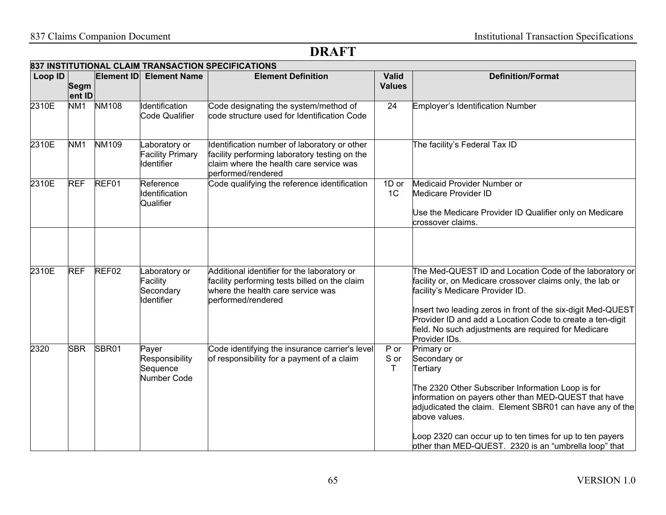|         |                       |                   |                                                             | 837 INSTITUTIONAL CLAIM TRANSACTION SPECIFICATIONS                                                                                                             |                               |                                                                                                                                                                                                                                                                                                                                                                 |
|---------|-----------------------|-------------------|-------------------------------------------------------------|----------------------------------------------------------------------------------------------------------------------------------------------------------------|-------------------------------|-----------------------------------------------------------------------------------------------------------------------------------------------------------------------------------------------------------------------------------------------------------------------------------------------------------------------------------------------------------------|
| Loop ID | <b>Segm</b><br>ent ID | <b>Element ID</b> | <b>Element Name</b>                                         | <b>Element Definition</b>                                                                                                                                      | <b>Valid</b><br><b>Values</b> | <b>Definition/Format</b>                                                                                                                                                                                                                                                                                                                                        |
| 2310E   | NM <sub>1</sub>       | <b>NM108</b>      | Identification<br>Code Qualifier                            | Code designating the system/method of<br>code structure used for Identification Code                                                                           | $\overline{24}$               | <b>Employer's Identification Number</b>                                                                                                                                                                                                                                                                                                                         |
| 2310E   | NM <sub>1</sub>       | NM109             | Laboratory or<br><b>Facility Primary</b><br>Identifier      | Identification number of laboratory or other<br>facility performing laboratory testing on the<br>claim where the health care service was<br>performed/rendered |                               | The facility's Federal Tax ID                                                                                                                                                                                                                                                                                                                                   |
| 2310E   | <b>REF</b>            | REF01             | Reference<br>Identification<br>Qualifier                    | Code qualifying the reference identification                                                                                                                   | 1D or<br>1 <sup>C</sup>       | Medicaid Provider Number or<br>Medicare Provider ID<br>Use the Medicare Provider ID Qualifier only on Medicare<br>crossover claims.                                                                                                                                                                                                                             |
| 2310E   | <b>REF</b>            | REF <sub>02</sub> | Laboratory or<br>Facility<br>Secondary<br><b>Identifier</b> | Additional identifier for the laboratory or<br>facility performing tests billed on the claim<br>where the health care service was<br>performed/rendered        |                               | The Med-QUEST ID and Location Code of the laboratory or<br>facility or, on Medicare crossover claims only, the lab or<br>facility's Medicare Provider ID.<br>Insert two leading zeros in front of the six-digit Med-QUEST<br>Provider ID and add a Location Code to create a ten-digit<br>field. No such adjustments are required for Medicare<br>Provider IDs. |
| 2320    | <b>SBR</b>            | SBR01             | Payer<br>Responsibility<br>Sequence<br>Number Code          | Code identifying the insurance carrier's level<br>of responsibility for a payment of a claim                                                                   | P or<br>S or<br>T             | Primary or<br>Secondary or<br>Tertiary<br>The 2320 Other Subscriber Information Loop is for<br>information on payers other than MED-QUEST that have<br>adjudicated the claim. Element SBR01 can have any of the<br>above values.<br>Loop 2320 can occur up to ten times for up to ten payers<br>other than MED-QUEST. 2320 is an "umbrella loop" that           |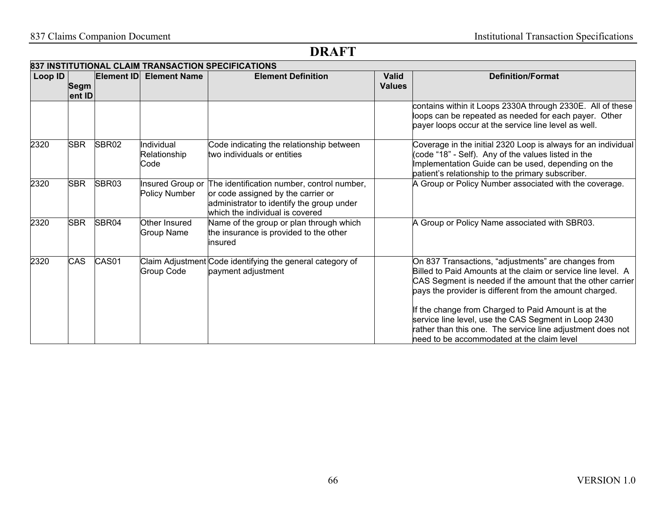|         |                       |            |                                    | 837 INSTITUTIONAL CLAIM TRANSACTION SPECIFICATIONS                                                                                                               |                               |                                                                                                                                                                                                                                              |
|---------|-----------------------|------------|------------------------------------|------------------------------------------------------------------------------------------------------------------------------------------------------------------|-------------------------------|----------------------------------------------------------------------------------------------------------------------------------------------------------------------------------------------------------------------------------------------|
| Loop ID | <b>Segm</b><br>ent ID | Element ID | <b>Element Name</b>                | <b>Element Definition</b>                                                                                                                                        | <b>Valid</b><br><b>Values</b> | <b>Definition/Format</b>                                                                                                                                                                                                                     |
|         |                       |            |                                    |                                                                                                                                                                  |                               | contains within it Loops 2330A through 2330E. All of these<br>loops can be repeated as needed for each payer. Other<br>payer loops occur at the service line level as well.                                                                  |
| 2320    | <b>SBR</b>            | SBR02      | Individual<br>Relationship<br>Code | Code indicating the relationship between<br>two individuals or entities                                                                                          |                               | Coverage in the initial 2320 Loop is always for an individual<br>(code "18" - Self). Any of the values listed in the<br>Implementation Guide can be used, depending on the<br>patient's relationship to the primary subscriber.              |
| 2320    | <b>SBR</b>            | SBR03      | Insured Group or<br>Policy Number  | The identification number, control number,<br>or code assigned by the carrier or<br>administrator to identify the group under<br>which the individual is covered |                               | A Group or Policy Number associated with the coverage.                                                                                                                                                                                       |
| 2320    | <b>SBR</b>            | SBR04      | Other Insured<br>Group Name        | Name of the group or plan through which<br>the insurance is provided to the other<br>insured                                                                     |                               | A Group or Policy Name associated with SBR03.                                                                                                                                                                                                |
| 2320    | <b>CAS</b>            | CAS01      | Group Code                         | Claim Adjustment Code identifying the general category of<br>payment adjustment                                                                                  |                               | On 837 Transactions, "adjustments" are changes from<br>Billed to Paid Amounts at the claim or service line level. A<br>CAS Segment is needed if the amount that the other carrier<br>pays the provider is different from the amount charged. |
|         |                       |            |                                    |                                                                                                                                                                  |                               | If the change from Charged to Paid Amount is at the<br>service line level, use the CAS Segment in Loop 2430<br>rather than this one. The service line adjustment does not<br>heed to be accommodated at the claim level                      |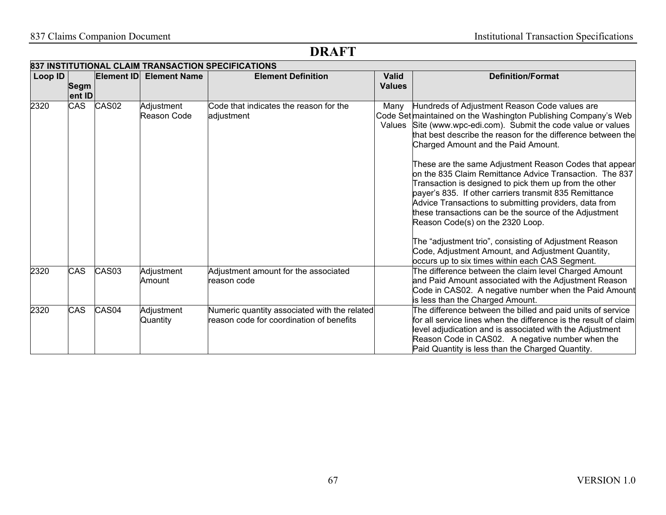|         | 837 INSTITUTIONAL CLAIM TRANSACTION SPECIFICATIONS |                   |                           |                                                                                          |                               |                                                                                                                                                                                                                                                                                                                                                                                                                                                                                                                                                                                                                                                                                                                                                                                                                                                             |  |  |  |  |
|---------|----------------------------------------------------|-------------------|---------------------------|------------------------------------------------------------------------------------------|-------------------------------|-------------------------------------------------------------------------------------------------------------------------------------------------------------------------------------------------------------------------------------------------------------------------------------------------------------------------------------------------------------------------------------------------------------------------------------------------------------------------------------------------------------------------------------------------------------------------------------------------------------------------------------------------------------------------------------------------------------------------------------------------------------------------------------------------------------------------------------------------------------|--|--|--|--|
| Loop ID | Segm<br>ent ID                                     | Element ID        | <b>Element Name</b>       | <b>Element Definition</b>                                                                | <b>Valid</b><br><b>Values</b> | <b>Definition/Format</b>                                                                                                                                                                                                                                                                                                                                                                                                                                                                                                                                                                                                                                                                                                                                                                                                                                    |  |  |  |  |
| 2320    | <b>CAS</b>                                         | CAS <sub>02</sub> | Adjustment<br>Reason Code | Code that indicates the reason for the<br>adjustment                                     | Many                          | Hundreds of Adjustment Reason Code values are<br>Code Set maintained on the Washington Publishing Company's Web<br>Values Site (www.wpc-edi.com). Submit the code value or values<br>that best describe the reason for the difference between the<br>Charged Amount and the Paid Amount.<br>These are the same Adjustment Reason Codes that appear<br>on the 835 Claim Remittance Advice Transaction. The 837<br>Transaction is designed to pick them up from the other<br>payer's 835. If other carriers transmit 835 Remittance<br>Advice Transactions to submitting providers, data from<br>these transactions can be the source of the Adjustment<br>Reason Code(s) on the 2320 Loop.<br>The "adjustment trio", consisting of Adjustment Reason<br>Code, Adjustment Amount, and Adjustment Quantity,<br>occurs up to six times within each CAS Segment. |  |  |  |  |
| 2320    | <b>CAS</b>                                         | CAS03             | Adjustment<br>Amount      | Adjustment amount for the associated<br>reason code                                      |                               | The difference between the claim level Charged Amount<br>and Paid Amount associated with the Adjustment Reason<br>Code in CAS02. A negative number when the Paid Amount<br>is less than the Charged Amount.                                                                                                                                                                                                                                                                                                                                                                                                                                                                                                                                                                                                                                                 |  |  |  |  |
| 2320    | <b>CAS</b>                                         | CAS04             | Adjustment<br>Quantity    | Numeric quantity associated with the related<br>reason code for coordination of benefits |                               | The difference between the billed and paid units of service<br>for all service lines when the difference is the result of claim<br>level adjudication and is associated with the Adjustment<br>Reason Code in CAS02. A negative number when the<br>Paid Quantity is less than the Charged Quantity.                                                                                                                                                                                                                                                                                                                                                                                                                                                                                                                                                         |  |  |  |  |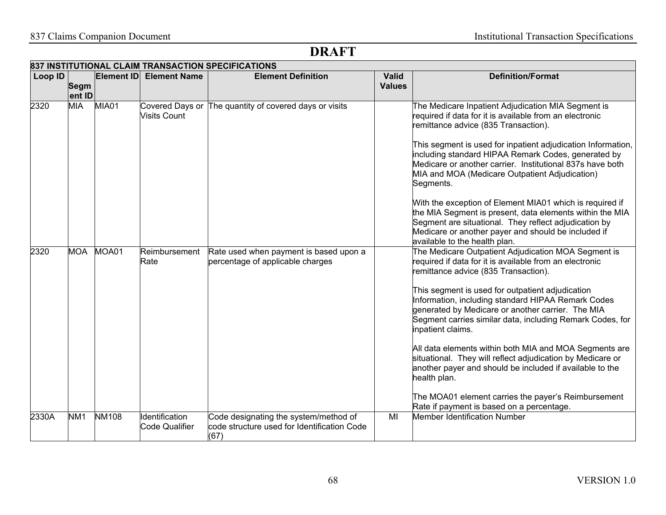|         | 837 INSTITUTIONAL CLAIM TRANSACTION SPECIFICATIONS |              |                                         |                                                                                              |                               |                                                                                                                                                                                                                                                                                                                                                                                                                                                                                                                                                                                                                                                                                                                 |  |  |  |  |
|---------|----------------------------------------------------|--------------|-----------------------------------------|----------------------------------------------------------------------------------------------|-------------------------------|-----------------------------------------------------------------------------------------------------------------------------------------------------------------------------------------------------------------------------------------------------------------------------------------------------------------------------------------------------------------------------------------------------------------------------------------------------------------------------------------------------------------------------------------------------------------------------------------------------------------------------------------------------------------------------------------------------------------|--|--|--|--|
| Loop ID | <b>Segm</b><br>ent ID                              | Element ID   | <b>Element Name</b>                     | <b>Element Definition</b>                                                                    | <b>Valid</b><br><b>Values</b> | <b>Definition/Format</b>                                                                                                                                                                                                                                                                                                                                                                                                                                                                                                                                                                                                                                                                                        |  |  |  |  |
| 2320    | <b>MIA</b>                                         | MIA01        | <b>Visits Count</b>                     | Covered Days or The quantity of covered days or visits                                       |                               | The Medicare Inpatient Adjudication MIA Segment is<br>required if data for it is available from an electronic<br>remittance advice (835 Transaction).<br>This segment is used for inpatient adjudication Information,<br>including standard HIPAA Remark Codes, generated by<br>Medicare or another carrier. Institutional 837s have both<br>MIA and MOA (Medicare Outpatient Adjudication)<br>Segments.<br>With the exception of Element MIA01 which is required if<br>the MIA Segment is present, data elements within the MIA<br>Segment are situational. They reflect adjudication by<br>Medicare or another payer and should be included if<br>available to the health plan.                               |  |  |  |  |
| 2320    | MOA                                                | MOA01        | Reimbursement<br>Rate                   | Rate used when payment is based upon a<br>percentage of applicable charges                   |                               | The Medicare Outpatient Adjudication MOA Segment is<br>required if data for it is available from an electronic<br>remittance advice (835 Transaction).<br>This segment is used for outpatient adjudication<br>Information, including standard HIPAA Remark Codes<br>generated by Medicare or another carrier. The MIA<br>Segment carries similar data, including Remark Codes, for<br>inpatient claims.<br>All data elements within both MIA and MOA Segments are<br>situational. They will reflect adjudication by Medicare or<br>another payer and should be included if available to the<br>health plan.<br>The MOA01 element carries the payer's Reimbursement<br>Rate if payment is based on a percentage. |  |  |  |  |
| 2330A   | NM <sub>1</sub>                                    | <b>NM108</b> | Identification<br><b>Code Qualifier</b> | Code designating the system/method of<br>code structure used for Identification Code<br>(67) | MI                            | <b>Member Identification Number</b>                                                                                                                                                                                                                                                                                                                                                                                                                                                                                                                                                                                                                                                                             |  |  |  |  |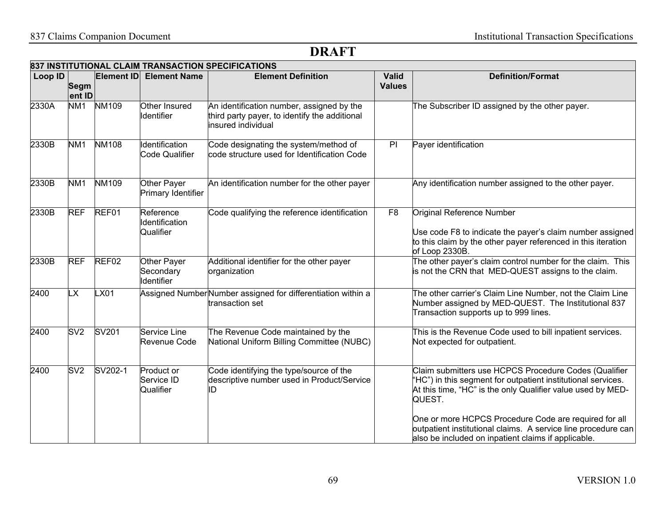|         |                       |              |                                          | 837 INSTITUTIONAL CLAIM TRANSACTION SPECIFICATIONS                                                               |                               |                                                                                                                                                                                                                                                                                                                          |
|---------|-----------------------|--------------|------------------------------------------|------------------------------------------------------------------------------------------------------------------|-------------------------------|--------------------------------------------------------------------------------------------------------------------------------------------------------------------------------------------------------------------------------------------------------------------------------------------------------------------------|
| Loop ID | <b>Segm</b><br>ent ID | Element ID   | <b>Element Name</b>                      | <b>Element Definition</b>                                                                                        | <b>Valid</b><br><b>Values</b> | <b>Definition/Format</b>                                                                                                                                                                                                                                                                                                 |
| 2330A   | NM <sub>1</sub>       | <b>NM109</b> | Other Insured<br>Identifier              | An identification number, assigned by the<br>third party payer, to identify the additional<br>insured individual |                               | The Subscriber ID assigned by the other payer.                                                                                                                                                                                                                                                                           |
| 2330B   | NM <sub>1</sub>       | <b>NM108</b> | Identification<br>Code Qualifier         | Code designating the system/method of<br>code structure used for Identification Code                             | PI                            | Payer identification                                                                                                                                                                                                                                                                                                     |
| 2330B   | NM <sub>1</sub>       | <b>NM109</b> | Other Payer<br>Primary Identifier        | An identification number for the other payer                                                                     |                               | Any identification number assigned to the other payer.                                                                                                                                                                                                                                                                   |
| 2330B   | <b>REF</b>            | REF01        | Reference<br>Identification<br>Qualifier | Code qualifying the reference identification                                                                     | F <sub>8</sub>                | Original Reference Number<br>Use code F8 to indicate the payer's claim number assigned<br>to this claim by the other payer referenced in this iteration<br>of Loop 2330B.                                                                                                                                                |
| 2330B   | <b>REF</b>            | REF02        | Other Payer<br>Secondary<br>Identifier   | Additional identifier for the other payer<br>organization                                                        |                               | The other payer's claim control number for the claim. This<br>is not the CRN that MED-QUEST assigns to the claim.                                                                                                                                                                                                        |
| 2400    | LX                    | LX01         |                                          | Assigned NumberNumber assigned for differentiation within a<br>transaction set                                   |                               | The other carrier's Claim Line Number, not the Claim Line<br>Number assigned by MED-QUEST. The Institutional 837<br>Transaction supports up to 999 lines.                                                                                                                                                                |
| 2400    | SV <sub>2</sub>       | SV201        | Service Line<br>Revenue Code             | The Revenue Code maintained by the<br><b>National Uniform Billing Committee (NUBC)</b>                           |                               | This is the Revenue Code used to bill inpatient services.<br>Not expected for outpatient.                                                                                                                                                                                                                                |
| 2400    | SV2                   | SV202-1      | Product or<br>Service ID<br>Qualifier    | Code identifying the type/source of the<br>descriptive number used in Product/Service<br>ID                      |                               | Claim submitters use HCPCS Procedure Codes (Qualifier<br>"HC") in this segment for outpatient institutional services.<br>At this time, "HC" is the only Qualifier value used by MED-<br>QUEST.<br>One or more HCPCS Procedure Code are required for all<br>outpatient institutional claims. A service line procedure can |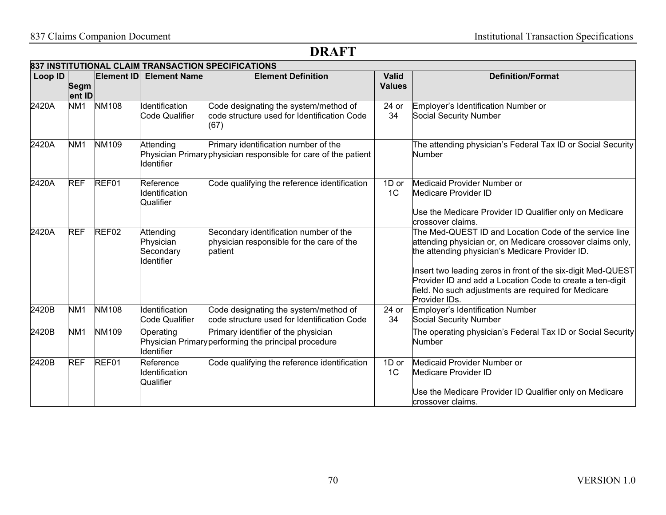|         |                 | Element ID        | <b>Element Name</b>                                      | 837 INSTITUTIONAL CLAIM TRANSACTION SPECIFICATIONS<br><b>Element Definition</b>                         | <b>Valid</b>            | <b>Definition/Format</b>                                                                                                                                                                                                                                                                                                                                                      |
|---------|-----------------|-------------------|----------------------------------------------------------|---------------------------------------------------------------------------------------------------------|-------------------------|-------------------------------------------------------------------------------------------------------------------------------------------------------------------------------------------------------------------------------------------------------------------------------------------------------------------------------------------------------------------------------|
| Loop ID | Segm<br>ent ID  |                   |                                                          |                                                                                                         | <b>Values</b>           |                                                                                                                                                                                                                                                                                                                                                                               |
| 2420A   | NM <sub>1</sub> | <b>NM108</b>      | Identification<br>Code Qualifier                         | Code designating the system/method of<br>code structure used for Identification Code<br>(67)            | $24$ or<br>34           | Employer's Identification Number or<br>Social Security Number                                                                                                                                                                                                                                                                                                                 |
| 2420A   | NM <sub>1</sub> | <b>NM109</b>      | Attending<br><b>Identifier</b>                           | Primary identification number of the<br>Physician Primary physician responsible for care of the patient |                         | The attending physician's Federal Tax ID or Social Security<br>Number                                                                                                                                                                                                                                                                                                         |
| 2420A   | <b>REF</b>      | REF01             | Reference<br>Identification<br>Qualifier                 | Code qualifying the reference identification                                                            | 1D or<br>1 <sup>C</sup> | Medicaid Provider Number or<br>Medicare Provider ID<br>Use the Medicare Provider ID Qualifier only on Medicare<br>crossover claims.                                                                                                                                                                                                                                           |
| 2420A   | <b>REF</b>      | REF <sub>02</sub> | Attending<br>Physician<br>Secondary<br><b>Identifier</b> | Secondary identification number of the<br>physician responsible for the care of the<br>patient          |                         | The Med-QUEST ID and Location Code of the service line<br>attending physician or, on Medicare crossover claims only,<br>the attending physician's Medicare Provider ID.<br>Insert two leading zeros in front of the six-digit Med-QUEST<br>Provider ID and add a Location Code to create a ten-digit<br>field. No such adjustments are required for Medicare<br>Provider IDs. |
| 2420B   | NM <sub>1</sub> | <b>NM108</b>      | Identification<br>Code Qualifier                         | Code designating the system/method of<br>code structure used for Identification Code                    | 24 or<br>34             | Employer's Identification Number<br>Social Security Number                                                                                                                                                                                                                                                                                                                    |
| 2420B   | NM <sub>1</sub> | <b>NM109</b>      | Operating<br>Identifier                                  | Primary identifier of the physician<br>Physician Primary performing the principal procedure             |                         | The operating physician's Federal Tax ID or Social Security<br>Number                                                                                                                                                                                                                                                                                                         |
| 2420B   | <b>REF</b>      | REF01             | Reference<br>Identification<br>Qualifier                 | Code qualifying the reference identification                                                            | 1D or<br>1 <sup>C</sup> | Medicaid Provider Number or<br>Medicare Provider ID<br>Use the Medicare Provider ID Qualifier only on Medicare<br>crossover claims.                                                                                                                                                                                                                                           |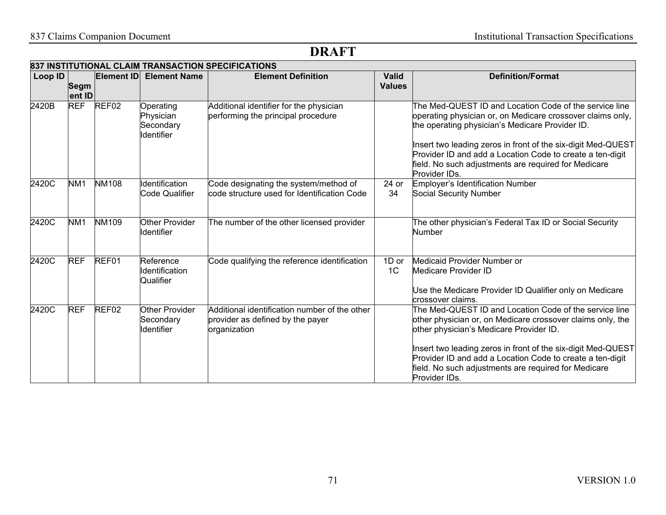|         | 837 INSTITUTIONAL CLAIM TRANSACTION SPECIFICATIONS |                   |                                                          |                                                                                                   |                               |                                                                                                                                                                                                                                                                                                                                                                               |  |  |
|---------|----------------------------------------------------|-------------------|----------------------------------------------------------|---------------------------------------------------------------------------------------------------|-------------------------------|-------------------------------------------------------------------------------------------------------------------------------------------------------------------------------------------------------------------------------------------------------------------------------------------------------------------------------------------------------------------------------|--|--|
| Loop ID | <b>Segm</b><br>ent ID                              | Element ID        | <b>Element Name</b>                                      | <b>Element Definition</b>                                                                         | <b>Valid</b><br><b>Values</b> | <b>Definition/Format</b>                                                                                                                                                                                                                                                                                                                                                      |  |  |
| 2420B   | <b>REF</b>                                         | REF <sub>02</sub> | Operating<br>Physician<br>Secondary<br><b>Identifier</b> | Additional identifier for the physician<br>performing the principal procedure                     |                               | The Med-QUEST ID and Location Code of the service line<br>operating physician or, on Medicare crossover claims only,<br>the operating physician's Medicare Provider ID.<br>Insert two leading zeros in front of the six-digit Med-QUEST<br>Provider ID and add a Location Code to create a ten-digit<br>field. No such adjustments are required for Medicare<br>Provider IDs. |  |  |
| 2420C   | NM <sub>1</sub>                                    | <b>NM108</b>      | Identification<br><b>Code Qualifier</b>                  | Code designating the system/method of<br>code structure used for Identification Code              | 24 or<br>34                   | Employer's Identification Number<br><b>Social Security Number</b>                                                                                                                                                                                                                                                                                                             |  |  |
| 2420C   | NM <sub>1</sub>                                    | NM109             | Other Provider<br>Identifier                             | The number of the other licensed provider                                                         |                               | The other physician's Federal Tax ID or Social Security<br>Number                                                                                                                                                                                                                                                                                                             |  |  |
| 2420C   | <b>REF</b>                                         | REF01             | Reference<br>Identification<br>Qualifier                 | Code qualifying the reference identification                                                      | 1D or<br>1 <sup>C</sup>       | Medicaid Provider Number or<br>Medicare Provider ID<br>Use the Medicare Provider ID Qualifier only on Medicare<br>crossover claims.                                                                                                                                                                                                                                           |  |  |
| 2420C   | <b>REF</b>                                         | REF <sub>02</sub> | <b>Other Provider</b><br>Secondary<br>Identifier         | Additional identification number of the other<br>provider as defined by the payer<br>organization |                               | The Med-QUEST ID and Location Code of the service line<br>other physician or, on Medicare crossover claims only, the<br>other physician's Medicare Provider ID.<br>Insert two leading zeros in front of the six-digit Med-QUEST<br>Provider ID and add a Location Code to create a ten-digit<br>field. No such adjustments are required for Medicare<br>Provider IDs.         |  |  |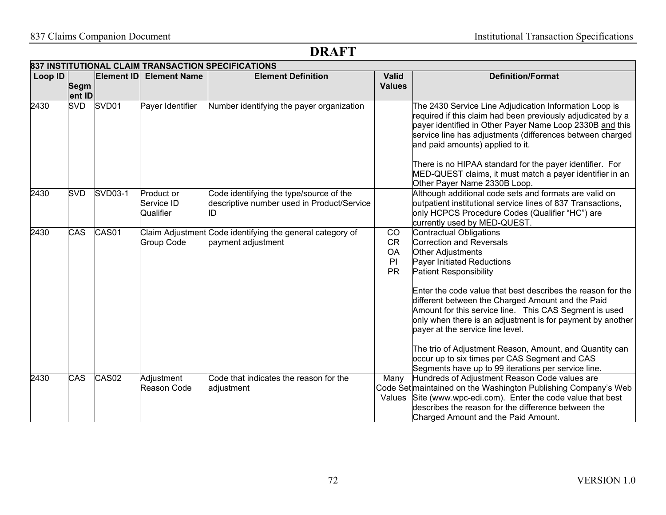| Loop ID |                       | Element ID        | <b>Element Name</b>                   | 837 INSTITUTIONAL CLAIM TRANSACTION SPECIFICATIONS<br><b>Element Definition</b>             | <b>Valid</b>                                    | <b>Definition/Format</b>                                                                                                                                                                                                                                                                                                                                                                                                                                                                                                                                                                   |
|---------|-----------------------|-------------------|---------------------------------------|---------------------------------------------------------------------------------------------|-------------------------------------------------|--------------------------------------------------------------------------------------------------------------------------------------------------------------------------------------------------------------------------------------------------------------------------------------------------------------------------------------------------------------------------------------------------------------------------------------------------------------------------------------------------------------------------------------------------------------------------------------------|
|         | <b>Segm</b><br>ent ID |                   |                                       |                                                                                             | <b>Values</b>                                   |                                                                                                                                                                                                                                                                                                                                                                                                                                                                                                                                                                                            |
| 2430    | <b>SVD</b>            | SVD <sub>01</sub> | Payer Identifier                      | Number identifying the payer organization                                                   |                                                 | The 2430 Service Line Adjudication Information Loop is<br>required if this claim had been previously adjudicated by a<br>payer identified in Other Payer Name Loop 2330B and this<br>service line has adjustments (differences between charged<br>and paid amounts) applied to it.<br>There is no HIPAA standard for the payer identifier. For<br>MED-QUEST claims, it must match a payer identifier in an<br>Other Payer Name 2330B Loop.                                                                                                                                                 |
| 2430    | <b>SVD</b>            | <b>SVD03-1</b>    | Product or<br>Service ID<br>Qualifier | Code identifying the type/source of the<br>descriptive number used in Product/Service<br>ID |                                                 | Although additional code sets and formats are valid on<br>outpatient institutional service lines of 837 Transactions,<br>only HCPCS Procedure Codes (Qualifier "HC") are<br>currently used by MED-QUEST.                                                                                                                                                                                                                                                                                                                                                                                   |
| 2430    | CAS                   | CAS01             | <b>Group Code</b>                     | Claim Adjustment Code identifying the general category of<br>payment adjustment             | CO<br><b>CR</b><br><b>OA</b><br>PI<br><b>PR</b> | Contractual Obligations<br>Correction and Reversals<br>Other Adjustments<br>Payer Initiated Reductions<br><b>Patient Responsibility</b><br>Enter the code value that best describes the reason for the<br>different between the Charged Amount and the Paid<br>Amount for this service line. This CAS Segment is used<br>only when there is an adjustment is for payment by another<br>payer at the service line level.<br>The trio of Adjustment Reason, Amount, and Quantity can<br>occur up to six times per CAS Segment and CAS<br>Segments have up to 99 iterations per service line. |
| 2430    | CAS                   | CAS <sub>02</sub> | Adjustment<br>Reason Code             | Code that indicates the reason for the<br>adjustment                                        | Many                                            | Hundreds of Adjustment Reason Code values are<br>Code Set maintained on the Washington Publishing Company's Web<br>Values Site (www.wpc-edi.com). Enter the code value that best<br>describes the reason for the difference between the<br>Charged Amount and the Paid Amount.                                                                                                                                                                                                                                                                                                             |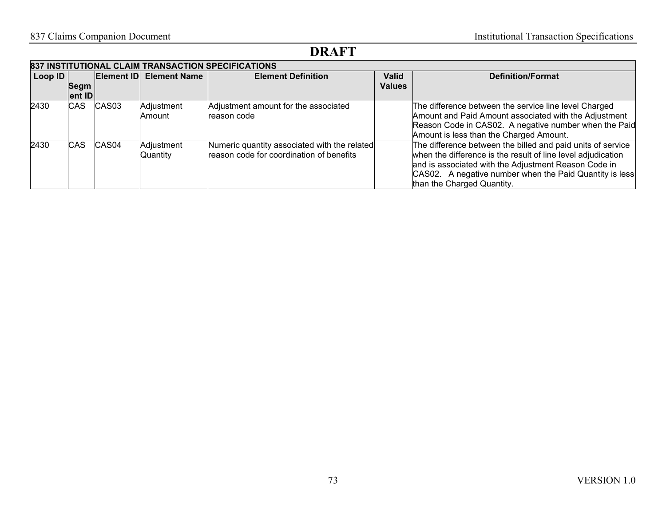| 837 INSTITUTIONAL CLAIM TRANSACTION SPECIFICATIONS |            |                   |                             |                                                                                          |               |                                                                                                                                                                                                                                                                              |
|----------------------------------------------------|------------|-------------------|-----------------------------|------------------------------------------------------------------------------------------|---------------|------------------------------------------------------------------------------------------------------------------------------------------------------------------------------------------------------------------------------------------------------------------------------|
| Loop ID                                            |            | Element ID        | <b>Element Name</b>         | <b>Element Definition</b>                                                                | <b>Valid</b>  | <b>Definition/Format</b>                                                                                                                                                                                                                                                     |
|                                                    | Segm       |                   |                             |                                                                                          | <b>Values</b> |                                                                                                                                                                                                                                                                              |
|                                                    | ent ID     |                   |                             |                                                                                          |               |                                                                                                                                                                                                                                                                              |
| 2430                                               | <b>CAS</b> | CAS <sub>03</sub> | Adjustment<br><b>Amount</b> | Adjustment amount for the associated<br>reason code                                      |               | The difference between the service line level Charged<br>Amount and Paid Amount associated with the Adjustment<br>Reason Code in CAS02. A negative number when the Paid<br>Amount is less than the Charged Amount.                                                           |
| 2430                                               | CAS        | CAS <sub>04</sub> | Adjustment<br>Quantity      | Numeric quantity associated with the related<br>reason code for coordination of benefits |               | The difference between the billed and paid units of service<br>when the difference is the result of line level adjudication<br>and is associated with the Adjustment Reason Code in<br>CAS02. A negative number when the Paid Quantity is less<br>than the Charged Quantity. |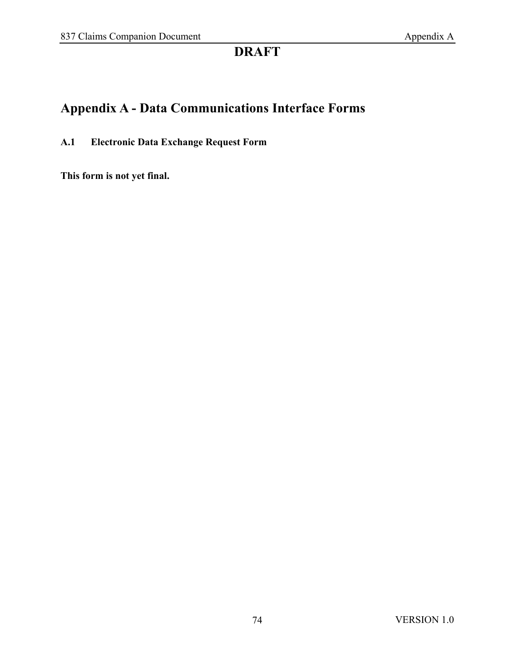# **Appendix A - Data Communications Interface Forms**

**A.1 Electronic Data Exchange Request Form**

**This form is not yet final.**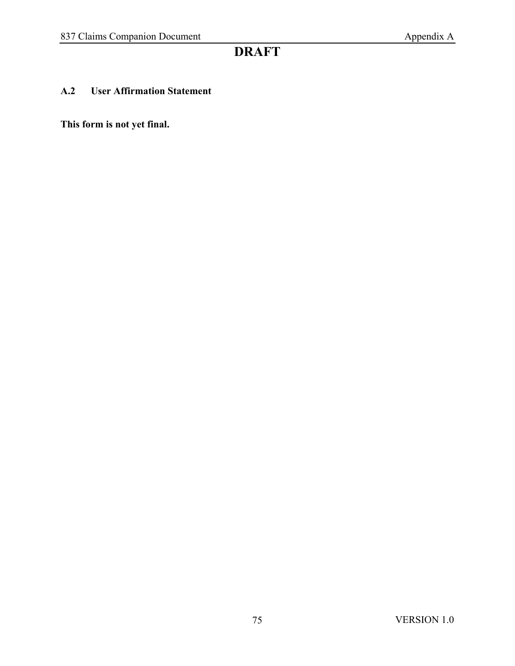#### **A.2 User Affirmation Statement**

**This form is not yet final.**